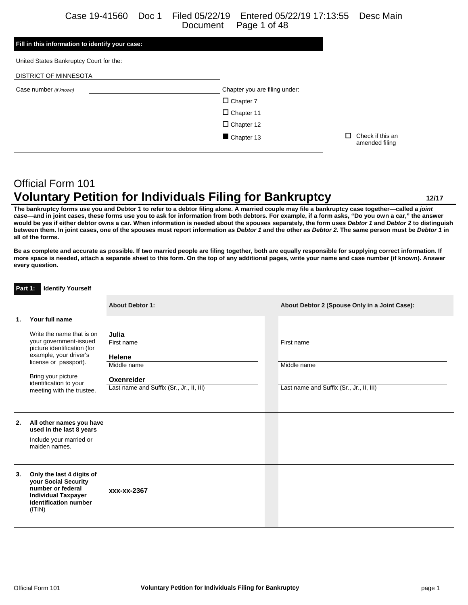| Fill in this information to identify your case: |                               |                                    |
|-------------------------------------------------|-------------------------------|------------------------------------|
| United States Bankruptcy Court for the:         |                               |                                    |
| <b>DISTRICT OF MINNESOTA</b>                    |                               |                                    |
| Case number (if known)                          | Chapter you are filing under: |                                    |
|                                                 | $\Box$ Chapter 7              |                                    |
|                                                 | $\Box$ Chapter 11             |                                    |
|                                                 | $\Box$ Chapter 12             |                                    |
|                                                 | Chapter 13                    | Check if this an<br>amended filing |

# Official Form 101 **Voluntary Petition for Individuals Filing for Bankruptcy 12/17**

**The bankruptcy forms use you and Debtor 1 to refer to a debtor filing alone. A married couple may file a bankruptcy case together—called a** *joint cas***e—and in joint cases, these forms use you to ask for information from both debtors. For example, if a form asks, "Do you own a car," the answer would be yes if either debtor owns a car. When information is needed about the spouses separately, the form uses** *Debtor 1* **and** *Debtor 2* **to distinguish between them. In joint cases, one of the spouses must report information as** *Debtor 1* **and the other as** *Debtor 2***. The same person must be** *Debtor 1* **in all of the forms.**

**Be as complete and accurate as possible. If two married people are filing together, both are equally responsible for supplying correct information. If more space is needed, attach a separate sheet to this form. On the top of any additional pages, write your name and case number (if known). Answer every question.**

|                | <b>Identify Yourself</b><br>Part 1:                                                                                                            |                                          |                                               |  |
|----------------|------------------------------------------------------------------------------------------------------------------------------------------------|------------------------------------------|-----------------------------------------------|--|
|                |                                                                                                                                                | <b>About Debtor 1:</b>                   | About Debtor 2 (Spouse Only in a Joint Case): |  |
| $\mathbf{1}$ . | Your full name                                                                                                                                 |                                          |                                               |  |
|                | Write the name that is on                                                                                                                      | Julia                                    |                                               |  |
|                | your government-issued<br>picture identification (for<br>example, your driver's<br>license or passport).                                       | First name                               | First name                                    |  |
|                |                                                                                                                                                | <b>Helene</b>                            |                                               |  |
|                |                                                                                                                                                | Middle name                              | Middle name                                   |  |
|                | Bring your picture                                                                                                                             | Oxenreider                               |                                               |  |
|                | identification to your<br>meeting with the trustee.                                                                                            | Last name and Suffix (Sr., Jr., II, III) | Last name and Suffix (Sr., Jr., II, III)      |  |
| 2.             | All other names you have<br>used in the last 8 years                                                                                           |                                          |                                               |  |
|                | Include your married or<br>maiden names.                                                                                                       |                                          |                                               |  |
| 3.             | Only the last 4 digits of<br>your Social Security<br>number or federal<br><b>Individual Taxpayer</b><br><b>Identification number</b><br>(ITIN) | xxx-xx-2367                              |                                               |  |
|                |                                                                                                                                                |                                          |                                               |  |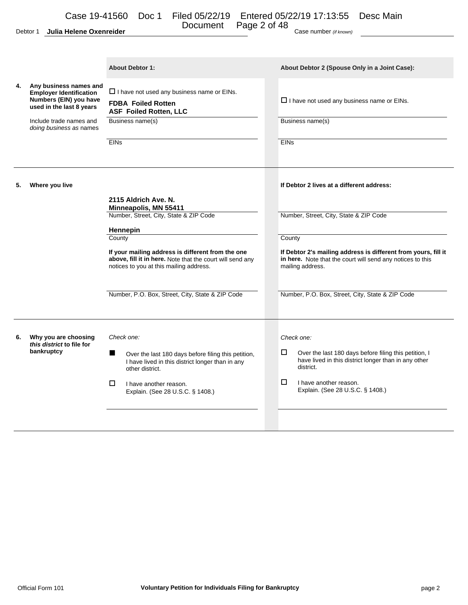Document Page 2 of 48<br>Debtor 1 **Julia Helene Oxenreider Case number** *(if known)* Page 2 of 48

|    |                                                                                                                | <b>About Debtor 1:</b>                                                                                                                                    | About Debtor 2 (Spouse Only in a Joint Case):                                                                                                    |  |  |
|----|----------------------------------------------------------------------------------------------------------------|-----------------------------------------------------------------------------------------------------------------------------------------------------------|--------------------------------------------------------------------------------------------------------------------------------------------------|--|--|
| 4. | Any business names and<br><b>Employer Identification</b><br>Numbers (EIN) you have<br>used in the last 8 years | $\Box$ I have not used any business name or EINs.<br><b>FDBA Foiled Rotten</b><br><b>ASF Foiled Rotten, LLC</b>                                           | $\Box$ I have not used any business name or EINs.                                                                                                |  |  |
|    | Include trade names and<br>doing business as names                                                             | Business name(s)                                                                                                                                          | Business name(s)                                                                                                                                 |  |  |
|    |                                                                                                                | <b>EINs</b>                                                                                                                                               | <b>EINs</b>                                                                                                                                      |  |  |
| 5. | Where you live                                                                                                 |                                                                                                                                                           | If Debtor 2 lives at a different address:                                                                                                        |  |  |
|    |                                                                                                                | 2115 Aldrich Ave. N.<br>Minneapolis, MN 55411                                                                                                             |                                                                                                                                                  |  |  |
|    |                                                                                                                | Number, Street, City, State & ZIP Code                                                                                                                    | Number, Street, City, State & ZIP Code                                                                                                           |  |  |
|    |                                                                                                                | Hennepin<br>County                                                                                                                                        | County                                                                                                                                           |  |  |
|    |                                                                                                                | If your mailing address is different from the one<br>above, fill it in here. Note that the court will send any<br>notices to you at this mailing address. | If Debtor 2's mailing address is different from yours, fill it<br>in here. Note that the court will send any notices to this<br>mailing address. |  |  |
|    |                                                                                                                | Number, P.O. Box, Street, City, State & ZIP Code                                                                                                          | Number, P.O. Box, Street, City, State & ZIP Code                                                                                                 |  |  |
| 6. | Why you are choosing<br>this district to file for                                                              | Check one:                                                                                                                                                | Check one:                                                                                                                                       |  |  |
|    | bankruptcy                                                                                                     | Over the last 180 days before filing this petition,<br>I have lived in this district longer than in any<br>other district.                                | □<br>Over the last 180 days before filing this petition, I<br>have lived in this district longer than in any other<br>district.                  |  |  |
|    |                                                                                                                | □<br>I have another reason.<br>Explain. (See 28 U.S.C. § 1408.)                                                                                           | $\Box$<br>I have another reason.<br>Explain. (See 28 U.S.C. § 1408.)                                                                             |  |  |
|    |                                                                                                                |                                                                                                                                                           |                                                                                                                                                  |  |  |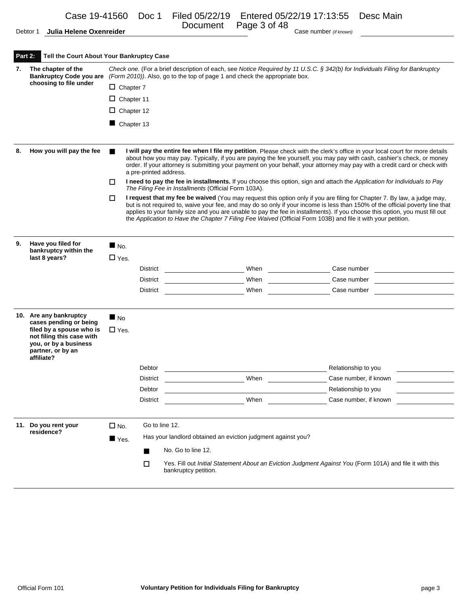Document Page 3 of 48<br>Debtor 1 **Julia Helene Oxenreider Case number** (if known)

Page 3 of 48

| Part 2: | Tell the Court About Your Bankruptcy Case                                                                         |                                                                                                                                                                                                                                                                                                                                                                                     |                                       |                      |                                                              |                                                                                                                                                                                                                                                                                                                                                                               |  |  |  |
|---------|-------------------------------------------------------------------------------------------------------------------|-------------------------------------------------------------------------------------------------------------------------------------------------------------------------------------------------------------------------------------------------------------------------------------------------------------------------------------------------------------------------------------|---------------------------------------|----------------------|--------------------------------------------------------------|-------------------------------------------------------------------------------------------------------------------------------------------------------------------------------------------------------------------------------------------------------------------------------------------------------------------------------------------------------------------------------|--|--|--|
| 7.      | The chapter of the<br><b>Bankruptcy Code you are</b>                                                              | Check one. (For a brief description of each, see Notice Required by 11 U.S.C. § 342(b) for Individuals Filing for Bankruptcy<br>(Form 2010)). Also, go to the top of page 1 and check the appropriate box.                                                                                                                                                                          |                                       |                      |                                                              |                                                                                                                                                                                                                                                                                                                                                                               |  |  |  |
|         | choosing to file under                                                                                            |                                                                                                                                                                                                                                                                                                                                                                                     | $\Box$ Chapter 7<br>$\Box$ Chapter 11 |                      |                                                              |                                                                                                                                                                                                                                                                                                                                                                               |  |  |  |
|         |                                                                                                                   |                                                                                                                                                                                                                                                                                                                                                                                     |                                       |                      |                                                              |                                                                                                                                                                                                                                                                                                                                                                               |  |  |  |
|         |                                                                                                                   |                                                                                                                                                                                                                                                                                                                                                                                     | $\Box$ Chapter 12                     |                      |                                                              |                                                                                                                                                                                                                                                                                                                                                                               |  |  |  |
|         |                                                                                                                   |                                                                                                                                                                                                                                                                                                                                                                                     | Chapter 13                            |                      |                                                              |                                                                                                                                                                                                                                                                                                                                                                               |  |  |  |
| 8.      | How you will pay the fee                                                                                          | I will pay the entire fee when I file my petition. Please check with the clerk's office in your local court for more details<br>about how you may pay. Typically, if you are paying the fee yourself, you may pay with cash, cashier's check, or money<br>order. If your attorney is submitting your payment on your behalf, your attorney may pay with a credit card or check with |                                       |                      |                                                              |                                                                                                                                                                                                                                                                                                                                                                               |  |  |  |
|         |                                                                                                                   | □                                                                                                                                                                                                                                                                                                                                                                                   |                                       |                      |                                                              | I need to pay the fee in installments. If you choose this option, sign and attach the Application for Individuals to Pay                                                                                                                                                                                                                                                      |  |  |  |
|         |                                                                                                                   |                                                                                                                                                                                                                                                                                                                                                                                     |                                       |                      | The Filing Fee in Installments (Official Form 103A).         | I request that my fee be waived (You may request this option only if you are filing for Chapter 7. By law, a judge may,                                                                                                                                                                                                                                                       |  |  |  |
|         |                                                                                                                   | □                                                                                                                                                                                                                                                                                                                                                                                   |                                       |                      |                                                              | but is not required to, waive your fee, and may do so only if your income is less than 150% of the official poverty line that<br>applies to your family size and you are unable to pay the fee in installments). If you choose this option, you must fill out<br>the Application to Have the Chapter 7 Filing Fee Waived (Official Form 103B) and file it with your petition. |  |  |  |
| 9.      | Have you filed for<br>bankruptcy within the                                                                       | $\blacksquare$ No.                                                                                                                                                                                                                                                                                                                                                                  |                                       |                      |                                                              |                                                                                                                                                                                                                                                                                                                                                                               |  |  |  |
|         | last 8 years?                                                                                                     | $\Box$ Yes.                                                                                                                                                                                                                                                                                                                                                                         |                                       |                      |                                                              |                                                                                                                                                                                                                                                                                                                                                                               |  |  |  |
|         |                                                                                                                   |                                                                                                                                                                                                                                                                                                                                                                                     | District                              |                      | When                                                         | Case number                                                                                                                                                                                                                                                                                                                                                                   |  |  |  |
|         |                                                                                                                   |                                                                                                                                                                                                                                                                                                                                                                                     | <b>District</b>                       |                      | When                                                         | Case number                                                                                                                                                                                                                                                                                                                                                                   |  |  |  |
|         |                                                                                                                   |                                                                                                                                                                                                                                                                                                                                                                                     | <b>District</b>                       |                      | When                                                         | Case number                                                                                                                                                                                                                                                                                                                                                                   |  |  |  |
|         | 10. Are any bankruptcy<br>cases pending or being                                                                  | N <sub>0</sub>                                                                                                                                                                                                                                                                                                                                                                      |                                       |                      |                                                              |                                                                                                                                                                                                                                                                                                                                                                               |  |  |  |
|         | filed by a spouse who is<br>not filing this case with<br>you, or by a business<br>partner, or by an<br>affiliate? | $\Box$ Yes.                                                                                                                                                                                                                                                                                                                                                                         |                                       |                      |                                                              |                                                                                                                                                                                                                                                                                                                                                                               |  |  |  |
|         |                                                                                                                   |                                                                                                                                                                                                                                                                                                                                                                                     | Debtor                                |                      |                                                              | Relationship to you                                                                                                                                                                                                                                                                                                                                                           |  |  |  |
|         |                                                                                                                   |                                                                                                                                                                                                                                                                                                                                                                                     | <b>District</b>                       |                      | When                                                         | Case number, if known                                                                                                                                                                                                                                                                                                                                                         |  |  |  |
|         |                                                                                                                   |                                                                                                                                                                                                                                                                                                                                                                                     | Debtor                                |                      |                                                              | Relationship to you                                                                                                                                                                                                                                                                                                                                                           |  |  |  |
|         |                                                                                                                   |                                                                                                                                                                                                                                                                                                                                                                                     | <b>District</b>                       |                      | When                                                         | Case number, if known                                                                                                                                                                                                                                                                                                                                                         |  |  |  |
|         | 11. Do you rent your                                                                                              | $\square$ No.                                                                                                                                                                                                                                                                                                                                                                       |                                       | Go to line 12.       |                                                              |                                                                                                                                                                                                                                                                                                                                                                               |  |  |  |
|         | residence?                                                                                                        | $\blacksquare$ Yes.                                                                                                                                                                                                                                                                                                                                                                 |                                       |                      | Has your landlord obtained an eviction judgment against you? |                                                                                                                                                                                                                                                                                                                                                                               |  |  |  |
|         |                                                                                                                   |                                                                                                                                                                                                                                                                                                                                                                                     | $\blacksquare$                        | No. Go to line 12.   |                                                              |                                                                                                                                                                                                                                                                                                                                                                               |  |  |  |
|         |                                                                                                                   |                                                                                                                                                                                                                                                                                                                                                                                     | □                                     | bankruptcy petition. |                                                              | Yes. Fill out Initial Statement About an Eviction Judgment Against You (Form 101A) and file it with this                                                                                                                                                                                                                                                                      |  |  |  |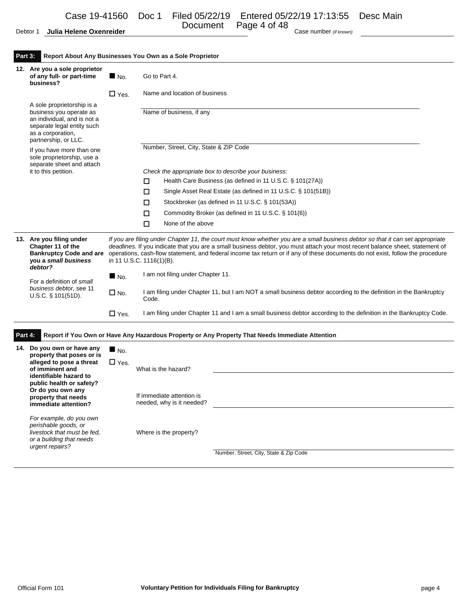|                   |  | Case 19-41560 Doc 1 Filed 05/22/19 Entered 05/22/19 17:13:55 Desc Main |  |
|-------------------|--|------------------------------------------------------------------------|--|
|                   |  | Document Page 4 of 48                                                  |  |
| Helene Oxenreider |  | Case number (if known)                                                 |  |

|  | Debtor 1 Julia Helene Oxenreider |
|--|----------------------------------|
|  |                                  |

| Part 3:<br>Report About Any Businesses You Own as a Sole Proprietor<br>12. Are you a sole proprietor                                                                   |                                |                                                                        |                                                                                                                                                                                                                                                                                                                                                                                     |
|------------------------------------------------------------------------------------------------------------------------------------------------------------------------|--------------------------------|------------------------------------------------------------------------|-------------------------------------------------------------------------------------------------------------------------------------------------------------------------------------------------------------------------------------------------------------------------------------------------------------------------------------------------------------------------------------|
| of any full- or part-time<br>business?                                                                                                                                 | $\blacksquare$ No.             | Go to Part 4.                                                          |                                                                                                                                                                                                                                                                                                                                                                                     |
|                                                                                                                                                                        | $\Box$ Yes.                    | Name and location of business                                          |                                                                                                                                                                                                                                                                                                                                                                                     |
| A sole proprietorship is a<br>business you operate as<br>an individual, and is not a<br>separate legal entity such<br>as a corporation,                                |                                | Name of business, if any                                               |                                                                                                                                                                                                                                                                                                                                                                                     |
| partnership, or LLC.<br>If you have more than one<br>sole proprietorship, use a                                                                                        |                                | Number, Street, City, State & ZIP Code                                 |                                                                                                                                                                                                                                                                                                                                                                                     |
| separate sheet and attach<br>it to this petition.                                                                                                                      |                                |                                                                        | Check the appropriate box to describe your business:                                                                                                                                                                                                                                                                                                                                |
|                                                                                                                                                                        |                                | □                                                                      | Health Care Business (as defined in 11 U.S.C. § 101(27A))                                                                                                                                                                                                                                                                                                                           |
|                                                                                                                                                                        |                                | □                                                                      | Single Asset Real Estate (as defined in 11 U.S.C. § 101(51B))                                                                                                                                                                                                                                                                                                                       |
|                                                                                                                                                                        |                                | □                                                                      | Stockbroker (as defined in 11 U.S.C. § 101(53A))                                                                                                                                                                                                                                                                                                                                    |
|                                                                                                                                                                        |                                | □                                                                      | Commodity Broker (as defined in 11 U.S.C. § 101(6))                                                                                                                                                                                                                                                                                                                                 |
|                                                                                                                                                                        |                                | None of the above<br>□                                                 |                                                                                                                                                                                                                                                                                                                                                                                     |
| Chapter 11 of the<br><b>Bankruptcy Code and are</b><br>you a small business<br>debtor?<br>For a definition of small<br>business debtor, see 11<br>$U.S.C.$ § 101(51D). | $N_{\rm O}$ .<br>$\square$ No. | in 11 U.S.C. 1116(1)(B).<br>I am not filing under Chapter 11.<br>Code. | deadlines. If you indicate that you are a small business debtor, you must attach your most recent balance sheet, statement of<br>operations, cash-flow statement, and federal income tax return or if any of these documents do not exist, follow the procedure<br>I am filing under Chapter 11, but I am NOT a small business debtor according to the definition in the Bankruptcy |
|                                                                                                                                                                        | $\Box$ Yes.                    |                                                                        | I am filing under Chapter 11 and I am a small business debtor according to the definition in the Bankruptcy Code.                                                                                                                                                                                                                                                                   |
| Part 4:                                                                                                                                                                |                                |                                                                        | Report if You Own or Have Any Hazardous Property or Any Property That Needs Immediate Attention                                                                                                                                                                                                                                                                                     |
| 14. Do you own or have any                                                                                                                                             | $N$ o.                         |                                                                        |                                                                                                                                                                                                                                                                                                                                                                                     |
| property that poses or is<br>alleged to pose a threat                                                                                                                  | $\square$ Yes.                 |                                                                        |                                                                                                                                                                                                                                                                                                                                                                                     |
| of imminent and<br>identifiable hazard to<br>public health or safety?                                                                                                  |                                | What is the hazard?                                                    |                                                                                                                                                                                                                                                                                                                                                                                     |
| Or do you own any                                                                                                                                                      |                                |                                                                        |                                                                                                                                                                                                                                                                                                                                                                                     |
| property that needs<br>immediate attention?                                                                                                                            |                                | If immediate attention is<br>needed, why is it needed?                 |                                                                                                                                                                                                                                                                                                                                                                                     |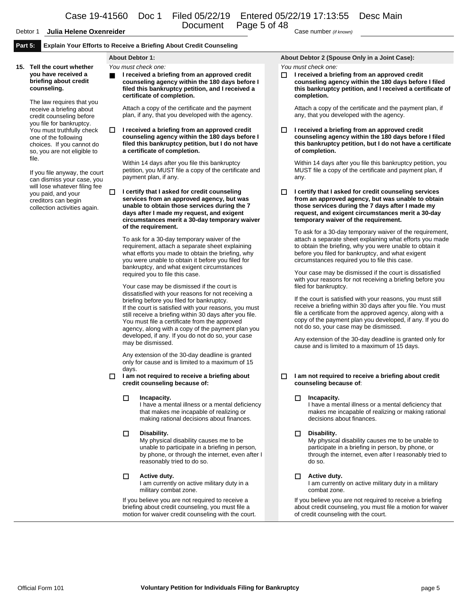# Document Page 5 of 48 Case number *(if known)*<br>Case number *(if known)*

#### **Part 5: Explain Your Efforts to Receive a Briefing About Credit Counseling**

**15. Tell the court whether you have received a briefing about credit counseling.**

> The law requires that you receive a briefing about credit counseling before you file for bankruptcy. You must truthfully check one of the following choices. If you cannot do so, you are not eligible to file.

If you file anyway, the court can dismiss your case, you will lose whatever filing fee you paid, and your creditors can begin collection activities again.

 **I received a briefing from an approved credit counseling agency within the 180 days before I filed this bankruptcy petition, and I received a certificate of completion.**

Attach a copy of the certificate and the payment plan, if any, that you developed with the agency.

 **I received a briefing from an approved credit counseling agency within the 180 days before I filed this bankruptcy petition, but I do not have a certificate of completion.**

Within 14 days after you file this bankruptcy petition, you MUST file a copy of the certificate and payment plan, if any.

 **I certify that I asked for credit counseling services from an approved agency, but was unable to obtain those services during the 7 days after I made my request, and exigent circumstances merit a 30-day temporary waiver of the requirement.**

To ask for a 30-day temporary waiver of the requirement, attach a separate sheet explaining what efforts you made to obtain the briefing, why you were unable to obtain it before you filed for bankruptcy, and what exigent circumstances required you to file this case.

Your case may be dismissed if the court is dissatisfied with your reasons for not receiving a briefing before you filed for bankruptcy. If the court is satisfied with your reasons, you must still receive a briefing within 30 days after you file. You must file a certificate from the approved agency, along with a copy of the payment plan you developed, if any. If you do not do so, your case may be dismissed.

Any extension of the 30-day deadline is granted only for cause and is limited to a maximum of 15 days.

#### **I am not required to receive a briefing about credit counseling because of:**

**Incapacity.**

I have a mental illness or a mental deficiency that makes me incapable of realizing or making rational decisions about finances.

#### **Disability.**

My physical disability causes me to be unable to participate in a briefing in person, by phone, or through the internet, even after I reasonably tried to do so.

 **Active duty.** I am currently on active military duty in a military combat zone.

If you believe you are not required to receive a briefing about credit counseling, you must file a motion for waiver credit counseling with the court.

#### **About Debtor 1: About Debtor 2 (Spouse Only in a Joint Case):**

*You must check one: You must check one:*

 **I received a briefing from an approved credit counseling agency within the 180 days before I filed this bankruptcy petition, and I received a certificate of completion.**

Attach a copy of the certificate and the payment plan, if any, that you developed with the agency.

 **I received a briefing from an approved credit counseling agency within the 180 days before I filed this bankruptcy petition, but I do not have a certificate of completion.**

Within 14 days after you file this bankruptcy petition, you MUST file a copy of the certificate and payment plan, if any.

 **I certify that I asked for credit counseling services from an approved agency, but was unable to obtain those services during the 7 days after I made my request, and exigent circumstances merit a 30-day temporary waiver of the requirement.**

To ask for a 30-day temporary waiver of the requirement, attach a separate sheet explaining what efforts you made to obtain the briefing, why you were unable to obtain it before you filed for bankruptcy, and what exigent circumstances required you to file this case.

Your case may be dismissed if the court is dissatisfied with your reasons for not receiving a briefing before you filed for bankruptcy.

If the court is satisfied with your reasons, you must still receive a briefing within 30 days after you file. You must file a certificate from the approved agency, along with a copy of the payment plan you developed, if any. If you do not do so, your case may be dismissed.

Any extension of the 30-day deadline is granted only for cause and is limited to a maximum of 15 days.

#### **I am not required to receive a briefing about credit counseling because of**:

#### **Incapacity.**

I have a mental illness or a mental deficiency that makes me incapable of realizing or making rational decisions about finances.

#### **Disability.**

My physical disability causes me to be unable to participate in a briefing in person, by phone, or through the internet, even after I reasonably tried to do so.

#### **Active duty.**

I am currently on active military duty in a military combat zone.

If you believe you are not required to receive a briefing about credit counseling, you must file a motion for waiver of credit counseling with the court.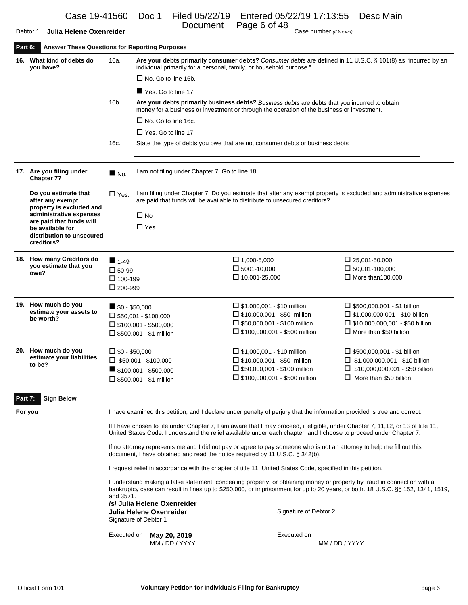| Debtor 1 | Julia Helene Oxenreider | Document Page 6 of 48 |  | Case number (if known) |  |
|----------|-------------------------|-----------------------|--|------------------------|--|
|          |                         |                       |  |                        |  |

|         | 16. What kind of debts do<br>you have?                               | 16a.                                                                                                                                                                                                    | individual primarily for a personal, family, or household purpose."                                                                                                                                                                                                                                     |                                                                           |                                         | Are your debts primarily consumer debts? Consumer debts are defined in 11 U.S.C. § 101(8) as "incurred by an                                                                                                                                           |  |
|---------|----------------------------------------------------------------------|---------------------------------------------------------------------------------------------------------------------------------------------------------------------------------------------------------|---------------------------------------------------------------------------------------------------------------------------------------------------------------------------------------------------------------------------------------------------------------------------------------------------------|---------------------------------------------------------------------------|-----------------------------------------|--------------------------------------------------------------------------------------------------------------------------------------------------------------------------------------------------------------------------------------------------------|--|
|         |                                                                      |                                                                                                                                                                                                         | $\Box$ No. Go to line 16b.                                                                                                                                                                                                                                                                              |                                                                           |                                         |                                                                                                                                                                                                                                                        |  |
|         |                                                                      |                                                                                                                                                                                                         | Yes. Go to line 17.                                                                                                                                                                                                                                                                                     |                                                                           |                                         |                                                                                                                                                                                                                                                        |  |
|         |                                                                      | 16b.                                                                                                                                                                                                    | money for a business or investment or through the operation of the business or investment.                                                                                                                                                                                                              |                                                                           |                                         | Are your debts primarily business debts? Business debts are debts that you incurred to obtain                                                                                                                                                          |  |
|         |                                                                      |                                                                                                                                                                                                         | $\Box$ No. Go to line 16c.                                                                                                                                                                                                                                                                              |                                                                           |                                         |                                                                                                                                                                                                                                                        |  |
|         |                                                                      |                                                                                                                                                                                                         | $\Box$ Yes. Go to line 17.                                                                                                                                                                                                                                                                              |                                                                           |                                         |                                                                                                                                                                                                                                                        |  |
|         |                                                                      | 16c.                                                                                                                                                                                                    | State the type of debts you owe that are not consumer debts or business debts                                                                                                                                                                                                                           |                                                                           |                                         |                                                                                                                                                                                                                                                        |  |
|         | 17. Are you filing under<br>Chapter 7?                               | $\blacksquare$ No.                                                                                                                                                                                      | I am not filing under Chapter 7. Go to line 18.                                                                                                                                                                                                                                                         |                                                                           |                                         |                                                                                                                                                                                                                                                        |  |
|         | Do you estimate that<br>after any exempt<br>property is excluded and | $\Box$ Yes.                                                                                                                                                                                             | are paid that funds will be available to distribute to unsecured creditors?                                                                                                                                                                                                                             |                                                                           |                                         | I am filing under Chapter 7. Do you estimate that after any exempt property is excluded and administrative expenses                                                                                                                                    |  |
|         | administrative expenses<br>are paid that funds will                  |                                                                                                                                                                                                         | $\Box$ No                                                                                                                                                                                                                                                                                               |                                                                           |                                         |                                                                                                                                                                                                                                                        |  |
|         | be available for<br>distribution to unsecured<br>creditors?          |                                                                                                                                                                                                         | $\Box$ Yes                                                                                                                                                                                                                                                                                              |                                                                           |                                         |                                                                                                                                                                                                                                                        |  |
|         | 18. How many Creditors do                                            | $1-49$                                                                                                                                                                                                  |                                                                                                                                                                                                                                                                                                         | $\Box$ 1,000-5,000                                                        |                                         | $\Box$ 25,001-50,000                                                                                                                                                                                                                                   |  |
|         | you estimate that you<br>owe?                                        | $\square$ 50-99                                                                                                                                                                                         |                                                                                                                                                                                                                                                                                                         | $\square$ 5001-10,000                                                     |                                         | $\Box$ 50,001-100,000                                                                                                                                                                                                                                  |  |
|         |                                                                      | $\Box$ 100-199<br>$\Box$ 200-999                                                                                                                                                                        |                                                                                                                                                                                                                                                                                                         | $\square$ 10,001-25,000                                                   |                                         | $\Box$ More than 100,000                                                                                                                                                                                                                               |  |
|         | 19. How much do you                                                  | $\blacksquare$ \$0 - \$50,000                                                                                                                                                                           |                                                                                                                                                                                                                                                                                                         | $\Box$ \$1,000,001 - \$10 million                                         |                                         | $\Box$ \$500,000,001 - \$1 billion                                                                                                                                                                                                                     |  |
|         | estimate your assets to<br>be worth?                                 |                                                                                                                                                                                                         | $\Box$ \$50,001 - \$100,000                                                                                                                                                                                                                                                                             | $\Box$ \$10,000,001 - \$50 million<br>$\Box$ \$50,000,001 - \$100 million |                                         | $\Box$ \$1,000,000,001 - \$10 billion<br>$\square$ \$10,000,000,001 - \$50 billion                                                                                                                                                                     |  |
|         |                                                                      |                                                                                                                                                                                                         | $\Box$ \$100,001 - \$500,000<br>$\Box$ \$500,001 - \$1 million                                                                                                                                                                                                                                          |                                                                           | $\square$ \$100,000,001 - \$500 million | $\Box$ More than \$50 billion                                                                                                                                                                                                                          |  |
|         | 20. How much do you                                                  | $\square$ \$0 - \$50,000                                                                                                                                                                                |                                                                                                                                                                                                                                                                                                         | $\Box$ \$1,000,001 - \$10 million                                         |                                         | $\square$ \$500,000,001 - \$1 billion                                                                                                                                                                                                                  |  |
|         | estimate your liabilities<br>to be?                                  |                                                                                                                                                                                                         | $\Box$ \$50,001 - \$100,000                                                                                                                                                                                                                                                                             | $\Box$ \$10,000,001 - \$50 million<br>$\Box$ \$50,000,001 - \$100 million |                                         | $\Box$ \$1,000,000,001 - \$10 billion<br>$\Box$ \$10,000,000,001 - \$50 billion                                                                                                                                                                        |  |
|         |                                                                      |                                                                                                                                                                                                         | $\blacksquare$ \$100,001 - \$500,000<br>$\Box$ \$500,001 - \$1 million                                                                                                                                                                                                                                  |                                                                           | $\Box$ \$100,000,001 - \$500 million    | $\Box$ More than \$50 billion                                                                                                                                                                                                                          |  |
| Part 7: | <b>Sign Below</b>                                                    |                                                                                                                                                                                                         |                                                                                                                                                                                                                                                                                                         |                                                                           |                                         |                                                                                                                                                                                                                                                        |  |
|         | For you                                                              |                                                                                                                                                                                                         |                                                                                                                                                                                                                                                                                                         |                                                                           |                                         | I have examined this petition, and I declare under penalty of perjury that the information provided is true and correct.                                                                                                                               |  |
|         |                                                                      |                                                                                                                                                                                                         |                                                                                                                                                                                                                                                                                                         |                                                                           |                                         | If I have chosen to file under Chapter 7, I am aware that I may proceed, if eligible, under Chapter 7, 11,12, or 13 of title 11,<br>United States Code. I understand the relief available under each chapter, and I choose to proceed under Chapter 7. |  |
|         |                                                                      | If no attorney represents me and I did not pay or agree to pay someone who is not an attorney to help me fill out this<br>document, I have obtained and read the notice required by 11 U.S.C. § 342(b). |                                                                                                                                                                                                                                                                                                         |                                                                           |                                         |                                                                                                                                                                                                                                                        |  |
|         |                                                                      |                                                                                                                                                                                                         | I request relief in accordance with the chapter of title 11, United States Code, specified in this petition.                                                                                                                                                                                            |                                                                           |                                         |                                                                                                                                                                                                                                                        |  |
|         |                                                                      |                                                                                                                                                                                                         | I understand making a false statement, concealing property, or obtaining money or property by fraud in connection with a<br>bankruptcy case can result in fines up to \$250,000, or imprisonment for up to 20 years, or both. 18 U.S.C. §§ 152, 1341, 1519,<br>and 3571.<br>/s/ Julia Helene Oxenreider |                                                                           |                                         |                                                                                                                                                                                                                                                        |  |
|         |                                                                      |                                                                                                                                                                                                         | Julia Helene Oxenreider<br>Signature of Debtor 1                                                                                                                                                                                                                                                        |                                                                           | Signature of Debtor 2                   |                                                                                                                                                                                                                                                        |  |
|         |                                                                      | Executed on                                                                                                                                                                                             | May 20, 2019                                                                                                                                                                                                                                                                                            |                                                                           | Executed on                             |                                                                                                                                                                                                                                                        |  |
|         |                                                                      |                                                                                                                                                                                                         | MM / DD / YYYY                                                                                                                                                                                                                                                                                          |                                                                           |                                         | MM / DD / YYYY                                                                                                                                                                                                                                         |  |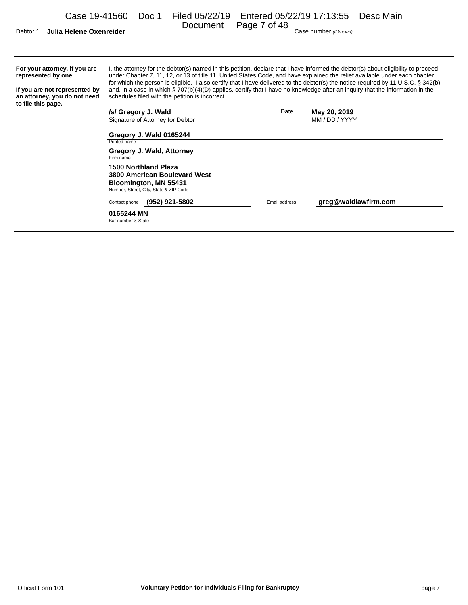| Case 19-41560<br>Julia Helene Oxenreider<br>Debtor 1                                | Doc 1                                  | Filed 05/22/19<br>Document                      | Entered 05/22/19 17:13:55<br>Page 7 of 48 | Case number (if known) | Desc Main                                                                                                                                                                                                                                                                                                                                                                                            |
|-------------------------------------------------------------------------------------|----------------------------------------|-------------------------------------------------|-------------------------------------------|------------------------|------------------------------------------------------------------------------------------------------------------------------------------------------------------------------------------------------------------------------------------------------------------------------------------------------------------------------------------------------------------------------------------------------|
|                                                                                     |                                        |                                                 |                                           |                        |                                                                                                                                                                                                                                                                                                                                                                                                      |
| For your attorney, if you are<br>represented by one                                 |                                        |                                                 |                                           |                        | I, the attorney for the debtor(s) named in this petition, declare that I have informed the debtor(s) about eligibility to proceed<br>under Chapter 7, 11, 12, or 13 of title 11, United States Code, and have explained the relief available under each chapter<br>for which the person is eligible. I also certify that I have delivered to the debtor(s) the notice required by 11 U.S.C. § 342(b) |
| If you are not represented by<br>an attorney, you do not need<br>to file this page. |                                        | schedules filed with the petition is incorrect. |                                           |                        | and, in a case in which § 707(b)(4)(D) applies, certify that I have no knowledge after an inquiry that the information in the                                                                                                                                                                                                                                                                        |
|                                                                                     | /s/ Gregory J. Wald                    |                                                 | Date                                      | May 20, 2019           |                                                                                                                                                                                                                                                                                                                                                                                                      |
|                                                                                     | Signature of Attorney for Debtor       |                                                 |                                           | MM / DD / YYYY         |                                                                                                                                                                                                                                                                                                                                                                                                      |
|                                                                                     | Gregory J. Wald 0165244                |                                                 |                                           |                        |                                                                                                                                                                                                                                                                                                                                                                                                      |
|                                                                                     | Printed name                           |                                                 |                                           |                        |                                                                                                                                                                                                                                                                                                                                                                                                      |
|                                                                                     | Gregory J. Wald, Attorney              |                                                 |                                           |                        |                                                                                                                                                                                                                                                                                                                                                                                                      |
|                                                                                     | Firm name                              |                                                 |                                           |                        |                                                                                                                                                                                                                                                                                                                                                                                                      |
|                                                                                     | 1500 Northland Plaza                   |                                                 |                                           |                        |                                                                                                                                                                                                                                                                                                                                                                                                      |
|                                                                                     | 3800 American Boulevard West           |                                                 |                                           |                        |                                                                                                                                                                                                                                                                                                                                                                                                      |
|                                                                                     | <b>Bloomington, MN 55431</b>           |                                                 |                                           |                        |                                                                                                                                                                                                                                                                                                                                                                                                      |
|                                                                                     | Number, Street, City, State & ZIP Code |                                                 |                                           |                        |                                                                                                                                                                                                                                                                                                                                                                                                      |
|                                                                                     | Contact phone                          | (952) 921-5802                                  | Email address                             |                        | greg@waldlawfirm.com                                                                                                                                                                                                                                                                                                                                                                                 |
|                                                                                     | 0165244 MN                             |                                                 |                                           |                        |                                                                                                                                                                                                                                                                                                                                                                                                      |
|                                                                                     | Bar number & State                     |                                                 |                                           |                        |                                                                                                                                                                                                                                                                                                                                                                                                      |
|                                                                                     |                                        |                                                 |                                           |                        |                                                                                                                                                                                                                                                                                                                                                                                                      |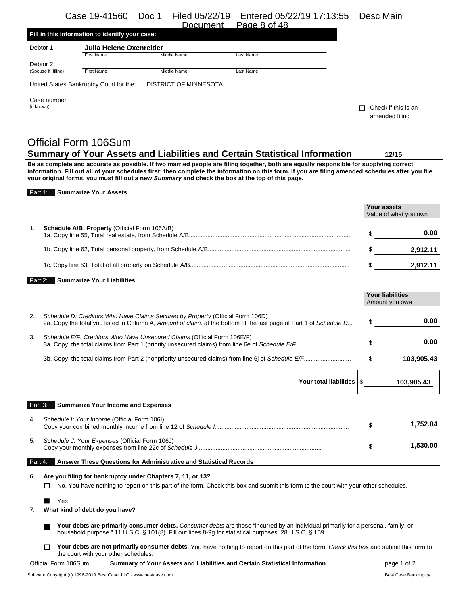|                     |                                                 | Document.             | Page 8 of 48 |                     |
|---------------------|-------------------------------------------------|-----------------------|--------------|---------------------|
|                     | Fill in this information to identify your case: |                       |              |                     |
| Debtor 1            | Julia Helene Oxenreider                         |                       |              |                     |
|                     | First Name                                      | Middle Name           | Last Name    |                     |
| Debtor 2            |                                                 |                       |              |                     |
| (Spouse if, filing) | <b>First Name</b>                               | Middle Name           | Last Name    |                     |
|                     | United States Bankruptcy Court for the:         | DISTRICT OF MINNESOTA |              |                     |
| Case number         |                                                 |                       |              |                     |
| (if known)          |                                                 |                       |              | Check if this is an |
|                     |                                                 |                       |              | amended filing      |

# Official Form 106Sum **Summary of Your Assets and Liabilities and Certain Statistical Information 12/15**

**Be as complete and accurate as possible. If two married people are filing together, both are equally responsible for supplying correct information. Fill out all of your schedules first; then complete the information on this form. If you are filing amended schedules after you file your original forms, you must fill out a new** *Summary* **and check the box at the top of this page.**

#### Part 1: **Summarize Your Assets**

|                                               | Your assets | Value of what you own |
|-----------------------------------------------|-------------|-----------------------|
| Schedule A/B: Property (Official Form 106A/B) |             | 0.00                  |
|                                               |             | 2,912.11              |
|                                               |             | 2.912.11              |

#### Part 2: **Summarize Your Liabilities**

|    |                                                                                                                                                                                                      | <b>Your liabilities</b><br>Amount you owe |
|----|------------------------------------------------------------------------------------------------------------------------------------------------------------------------------------------------------|-------------------------------------------|
| 2. | Schedule D: Creditors Who Have Claims Secured by Property (Official Form 106D)<br>2a. Copy the total you listed in Column A, Amount of claim, at the bottom of the last page of Part 1 of Schedule D | 0.00                                      |
| 3. | Schedule E/F: Creditors Who Have Unsecured Claims (Official Form 106E/F)                                                                                                                             | 0.00                                      |
|    |                                                                                                                                                                                                      | 103.905.43                                |
|    | Your total liabilities l <b>\$</b>                                                                                                                                                                   | 103.905.43                                |

| Part 3: | <b>Summarize Your Income and Expenses</b>                                                                    |          |
|---------|--------------------------------------------------------------------------------------------------------------|----------|
| 4.      | Schedule I: Your Income (Official Form 106I)<br>Copy your combined monthly income from line 12 of Schedule I | 1.752.84 |
| 5.      | Schedule J: Your Expenses (Official Form 106J)                                                               | 1.530.00 |

#### Part 4: Answer These Questions for Administrative and Statistical Records

6. **Are you filing for bankruptcy under Chapters 7, 11, or 13?**

□ No. You have nothing to report on this part of the form. Check this box and submit this form to the court with your other schedules.

**■** Yes

#### 7. **What kind of debt do you have?**

 **Your debts are primarily consumer debts.** *Consumer debts* are those "incurred by an individual primarily for a personal, family, or household purpose." 11 U.S.C. § 101(8). Fill out lines 8-9g for statistical purposes. 28 U.S.C. § 159.

 **Your debts are not primarily consumer debts**. You have nothing to report on this part of the form. *Check this box* and submit this form to the court with your other schedules.

Official Form 106Sum **Summary of Your Assets and Liabilities and Certain Statistical Information** page 1 of 2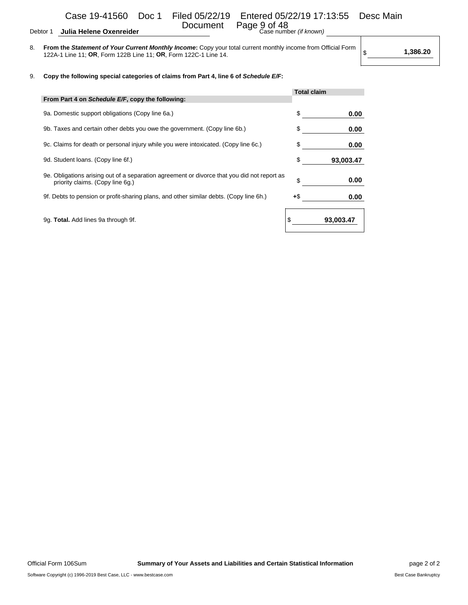## Debtor 1 **Julia Helene Oxenreider**

| ---------- |  |  |  | Case number (if known) |  |  |  |
|------------|--|--|--|------------------------|--|--|--|
|            |  |  |  |                        |  |  |  |

8. **From the** *Statement of Your Current Monthly Income***:** Copy your total current monthly income from Official Form 122A-1 Line 11; **OR**, Form 122B Line 11; **OR**, Form 122C-1 Line 14. **120** and the transmitted in the transmitted in the transmitted in the transmitted in the transmitted in the transmitted in the transmitted in the transmi

#### 9. **Copy the following special categories of claims from Part 4, line 6 of** *Schedule E/F***:**

|                                                                                                                                 |     | <b>Total claim</b> |
|---------------------------------------------------------------------------------------------------------------------------------|-----|--------------------|
| From Part 4 on Schedule E/F, copy the following:                                                                                |     |                    |
| 9a. Domestic support obligations (Copy line 6a.)                                                                                | \$  | 0.00               |
| 9b. Taxes and certain other debts you owe the government. (Copy line 6b.)                                                       | \$  | 0.00               |
| 9c. Claims for death or personal injury while you were intoxicated. (Copy line 6c.)                                             | \$  | 0.00               |
| 9d. Student Ioans. (Copy line 6f.)                                                                                              | \$  | 93,003.47          |
| 9e. Obligations arising out of a separation agreement or divorce that you did not report as<br>priority claims. (Copy line 6q.) | \$  | 0.00               |
| 9f. Debts to pension or profit-sharing plans, and other similar debts. (Copy line 6h.)                                          | +\$ | 0.00               |
| 9q. Total. Add lines 9a through 9f.                                                                                             | S   | 93,003.47          |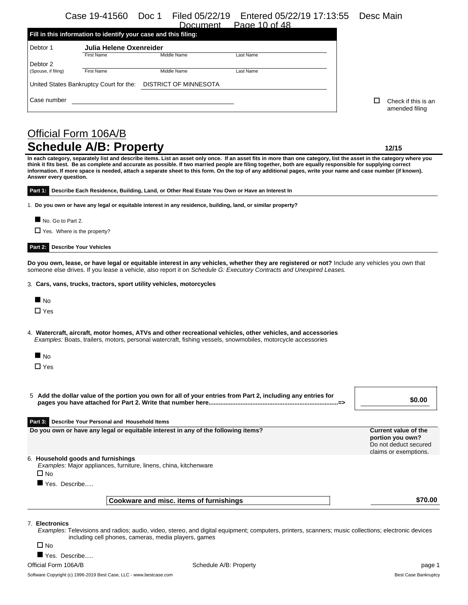#### Case 19-41560 Doc 1 Filed 05/22/19 Entered 05/22/19 17:13:55 Desc Main Dogs  $10 \text{ of } 40$

| Debtor 1                                | Julia Helene Oxenreider |                       |           |  |  |  |  |
|-----------------------------------------|-------------------------|-----------------------|-----------|--|--|--|--|
|                                         | First Name              | Middle Name           | Last Name |  |  |  |  |
| Debtor 2                                |                         |                       |           |  |  |  |  |
| (Spouse, if filing)                     | <b>First Name</b>       | Middle Name           | Last Name |  |  |  |  |
| United States Bankruptcy Court for the: |                         | DISTRICT OF MINNESOTA |           |  |  |  |  |
|                                         |                         |                       |           |  |  |  |  |

 $\Box$  Check if this is an amended filing

# Official Form 106A/B **Schedule A/B: Property 12/15**

**In each category, separately list and describe items. List an asset only once. If an asset fits in more than one category, list the asset in the category where you think it fits best. Be as complete and accurate as possible. If two married people are filing together, both are equally responsible for supplying correct information. If more space is needed, attach a separate sheet to this form. On the top of any additional pages, write your name and case number (if known). Answer every question.**

| 1. Do you own or have any legal or equitable interest in any residence, building, land, or similar property?                                                                                                                                                                                                                                                                                                 |                                                                                                   |
|--------------------------------------------------------------------------------------------------------------------------------------------------------------------------------------------------------------------------------------------------------------------------------------------------------------------------------------------------------------------------------------------------------------|---------------------------------------------------------------------------------------------------|
| No. Go to Part 2.                                                                                                                                                                                                                                                                                                                                                                                            |                                                                                                   |
| $\Box$ Yes. Where is the property?                                                                                                                                                                                                                                                                                                                                                                           |                                                                                                   |
|                                                                                                                                                                                                                                                                                                                                                                                                              |                                                                                                   |
| <b>Describe Your Vehicles</b><br>Part 2:                                                                                                                                                                                                                                                                                                                                                                     |                                                                                                   |
| Do you own, lease, or have legal or equitable interest in any vehicles, whether they are registered or not? Include any vehicles you own that<br>someone else drives. If you lease a vehicle, also report it on Schedule G: Executory Contracts and Unexpired Leases.                                                                                                                                        |                                                                                                   |
| 3. Cars, vans, trucks, tractors, sport utility vehicles, motorcycles                                                                                                                                                                                                                                                                                                                                         |                                                                                                   |
| $\blacksquare$ No                                                                                                                                                                                                                                                                                                                                                                                            |                                                                                                   |
| $\Box$ Yes                                                                                                                                                                                                                                                                                                                                                                                                   |                                                                                                   |
|                                                                                                                                                                                                                                                                                                                                                                                                              |                                                                                                   |
|                                                                                                                                                                                                                                                                                                                                                                                                              |                                                                                                   |
| Examples: Boats, trailers, motors, personal watercraft, fishing vessels, snowmobiles, motorcycle accessories                                                                                                                                                                                                                                                                                                 |                                                                                                   |
| $\blacksquare$ No                                                                                                                                                                                                                                                                                                                                                                                            |                                                                                                   |
| $\Box$ Yes                                                                                                                                                                                                                                                                                                                                                                                                   |                                                                                                   |
|                                                                                                                                                                                                                                                                                                                                                                                                              |                                                                                                   |
|                                                                                                                                                                                                                                                                                                                                                                                                              | \$0.00                                                                                            |
|                                                                                                                                                                                                                                                                                                                                                                                                              |                                                                                                   |
| Describe Your Personal and Household Items                                                                                                                                                                                                                                                                                                                                                                   | <b>Current value of the</b><br>portion you own?<br>Do not deduct secured<br>claims or exemptions. |
| Examples: Major appliances, furniture, linens, china, kitchenware                                                                                                                                                                                                                                                                                                                                            |                                                                                                   |
| $\Box$ No<br>Yes. Describe                                                                                                                                                                                                                                                                                                                                                                                   |                                                                                                   |
| 4. Watercraft, aircraft, motor homes, ATVs and other recreational vehicles, other vehicles, and accessories<br>5 Add the dollar value of the portion you own for all of your entries from Part 2, including any entries for<br>Part 3:<br>Do you own or have any legal or equitable interest in any of the following items?<br>6. Household goods and furnishings<br>Cookware and misc. items of furnishings | \$70.00                                                                                           |

*Examples:* Televisions and radios; audio, video, stereo, and digital equipment; computers, printers, scanners; music collections; electronic devices including cell phones, cameras, media players, games

 $\square$  No

Yes. Describe.....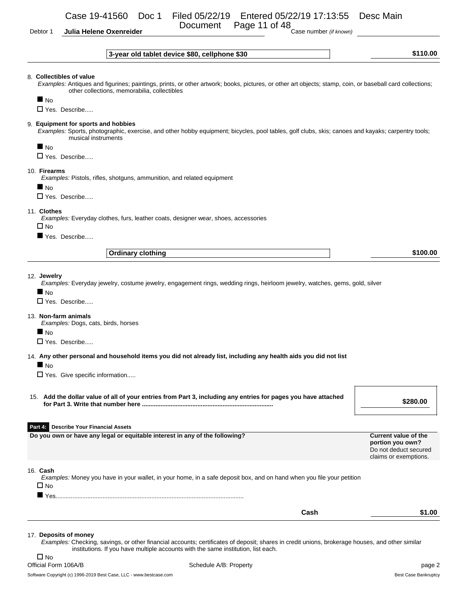Document Page 11 of 48

|                                    |                                                                                     | 3-year old tablet device \$80, cellphone \$30                                                                                                                                                            | \$110.00                                                                 |
|------------------------------------|-------------------------------------------------------------------------------------|----------------------------------------------------------------------------------------------------------------------------------------------------------------------------------------------------------|--------------------------------------------------------------------------|
| $\blacksquare$ No                  | 8. Collectibles of value<br>$\Box$ Yes. Describe                                    | Examples: Antiques and figurines; paintings, prints, or other artwork; books, pictures, or other art objects; stamp, coin, or baseball card collections;<br>other collections, memorabilia, collectibles |                                                                          |
| $\blacksquare$ No                  | 9. Equipment for sports and hobbies<br>musical instruments                          | Examples: Sports, photographic, exercise, and other hobby equipment; bicycles, pool tables, golf clubs, skis; canoes and kayaks; carpentry tools;                                                        |                                                                          |
| 10. Firearms<br>$\blacksquare$ No  | $\Box$ Yes. Describe<br>$\Box$ Yes. Describe                                        | Examples: Pistols, rifles, shotguns, ammunition, and related equipment                                                                                                                                   |                                                                          |
| 11. Clothes<br>$\Box$ No           | Yes. Describe                                                                       | Examples: Everyday clothes, furs, leather coats, designer wear, shoes, accessories                                                                                                                       |                                                                          |
|                                    |                                                                                     | <b>Ordinary clothing</b>                                                                                                                                                                                 | \$100.00                                                                 |
| $\blacksquare$ No                  | $\Box$ Yes. Describe                                                                | Examples: Everyday jewelry, costume jewelry, engagement rings, wedding rings, heirloom jewelry, watches, gems, gold, silver                                                                              |                                                                          |
| $\blacksquare$ No                  | 13. Non-farm animals<br>Examples: Dogs, cats, birds, horses<br>$\Box$ Yes. Describe |                                                                                                                                                                                                          |                                                                          |
| N <sub>O</sub>                     | $\Box$ Yes. Give specific information                                               | 14. Any other personal and household items you did not already list, including any health aids you did not list                                                                                          |                                                                          |
|                                    |                                                                                     | 15. Add the dollar value of all of your entries from Part 3, including any entries for pages you have attached                                                                                           | \$280.00                                                                 |
|                                    | <b>Describe Your Financial Assets</b>                                               |                                                                                                                                                                                                          |                                                                          |
|                                    |                                                                                     | Do you own or have any legal or equitable interest in any of the following?                                                                                                                              | <b>Current value of the</b><br>portion you own?<br>claims or exemptions. |
| $\Box$ No                          |                                                                                     | Examples: Money you have in your wallet, in your home, in a safe deposit box, and on hand when you file your petition                                                                                    |                                                                          |
| 12. Jewelry<br>Part 4:<br>16. Cash |                                                                                     | Cash                                                                                                                                                                                                     | Do not deduct secured<br>\$1.00                                          |

 $\square$  No<br>Official Form 106A/B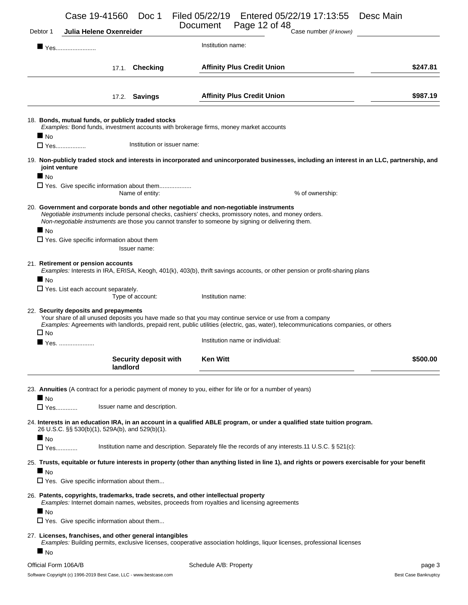|                                   | Case 19-41560                                       |          | Doc 1                                                                               | Filed 05/22/19         | Entered 05/22/19 17:13:55                                                                                                                                                                                                                                                                             |                        | Desc Main                                                                                                                                    |
|-----------------------------------|-----------------------------------------------------|----------|-------------------------------------------------------------------------------------|------------------------|-------------------------------------------------------------------------------------------------------------------------------------------------------------------------------------------------------------------------------------------------------------------------------------------------------|------------------------|----------------------------------------------------------------------------------------------------------------------------------------------|
| Debtor 1                          | Julia Helene Oxenreider                             |          |                                                                                     | Document               | Page 12 of 48                                                                                                                                                                                                                                                                                         | Case number (if known) |                                                                                                                                              |
|                                   |                                                     |          |                                                                                     | Institution name:      |                                                                                                                                                                                                                                                                                                       |                        |                                                                                                                                              |
|                                   |                                                     |          | 17.1. Checking                                                                      |                        | <b>Affinity Plus Credit Union</b>                                                                                                                                                                                                                                                                     |                        | \$247.81                                                                                                                                     |
|                                   |                                                     |          |                                                                                     |                        |                                                                                                                                                                                                                                                                                                       |                        |                                                                                                                                              |
|                                   |                                                     |          | 17.2. <b>Savings</b>                                                                |                        | <b>Affinity Plus Credit Union</b>                                                                                                                                                                                                                                                                     |                        | \$987.19                                                                                                                                     |
|                                   | 18. Bonds, mutual funds, or publicly traded stocks  |          |                                                                                     |                        | Examples: Bond funds, investment accounts with brokerage firms, money market accounts                                                                                                                                                                                                                 |                        |                                                                                                                                              |
| $\blacksquare$ No                 | $\Box$ Yes                                          |          | Institution or issuer name:                                                         |                        |                                                                                                                                                                                                                                                                                                       |                        |                                                                                                                                              |
| $\blacksquare$ No                 | joint venture                                       |          |                                                                                     |                        |                                                                                                                                                                                                                                                                                                       |                        | 19. Non-publicly traded stock and interests in incorporated and unincorporated businesses, including an interest in an LLC, partnership, and |
|                                   |                                                     |          | T Yes. Give specific information about them<br>Name of entity:                      |                        |                                                                                                                                                                                                                                                                                                       | % of ownership:        |                                                                                                                                              |
|                                   |                                                     |          |                                                                                     |                        | 20. Government and corporate bonds and other negotiable and non-negotiable instruments<br>Negotiable instruments include personal checks, cashiers' checks, promissory notes, and money orders.<br>Non-negotiable instruments are those you cannot transfer to someone by signing or delivering them. |                        |                                                                                                                                              |
| $\blacksquare$ No                 | $\square$ Yes. Give specific information about them |          | Issuer name:                                                                        |                        |                                                                                                                                                                                                                                                                                                       |                        |                                                                                                                                              |
|                                   | 21. Retirement or pension accounts                  |          |                                                                                     |                        | Examples: Interests in IRA, ERISA, Keogh, 401(k), 403(b), thrift savings accounts, or other pension or profit-sharing plans                                                                                                                                                                           |                        |                                                                                                                                              |
| $\blacksquare$ No                 | $\Box$ Yes. List each account separately.           |          | Type of account:                                                                    | Institution name:      |                                                                                                                                                                                                                                                                                                       |                        |                                                                                                                                              |
| $\Box$ No                         | 22. Security deposits and prepayments               |          |                                                                                     |                        | Your share of all unused deposits you have made so that you may continue service or use from a company<br>Examples: Agreements with landlords, prepaid rent, public utilities (electric, gas, water), telecommunications companies, or others                                                         |                        |                                                                                                                                              |
|                                   |                                                     |          |                                                                                     |                        | Institution name or individual:                                                                                                                                                                                                                                                                       |                        |                                                                                                                                              |
|                                   |                                                     | landlord | Security deposit with                                                               | <b>Ken Witt</b>        |                                                                                                                                                                                                                                                                                                       |                        | \$500.00                                                                                                                                     |
|                                   |                                                     |          |                                                                                     |                        | 23. Annuities (A contract for a periodic payment of money to you, either for life or for a number of years)                                                                                                                                                                                           |                        |                                                                                                                                              |
| $\blacksquare$ No<br>□ Yes        |                                                     |          | Issuer name and description.                                                        |                        |                                                                                                                                                                                                                                                                                                       |                        |                                                                                                                                              |
|                                   | 26 U.S.C. §§ 530(b)(1), 529A(b), and 529(b)(1).     |          |                                                                                     |                        | 24. Interests in an education IRA, in an account in a qualified ABLE program, or under a qualified state tuition program.                                                                                                                                                                             |                        |                                                                                                                                              |
| $\blacksquare$ No<br><b>D</b> Yes |                                                     |          |                                                                                     |                        | Institution name and description. Separately file the records of any interests 11 U.S.C. § 521(c):                                                                                                                                                                                                    |                        |                                                                                                                                              |
| $\blacksquare$ No                 |                                                     |          |                                                                                     |                        | 25. Trusts, equitable or future interests in property (other than anything listed in line 1), and rights or powers exercisable for your benefit                                                                                                                                                       |                        |                                                                                                                                              |
|                                   | $\Box$ Yes. Give specific information about them    |          |                                                                                     |                        |                                                                                                                                                                                                                                                                                                       |                        |                                                                                                                                              |
| $\blacksquare$ No                 |                                                     |          | 26. Patents, copyrights, trademarks, trade secrets, and other intellectual property |                        | Examples: Internet domain names, websites, proceeds from royalties and licensing agreements                                                                                                                                                                                                           |                        |                                                                                                                                              |
|                                   | $\square$ Yes. Give specific information about them |          |                                                                                     |                        |                                                                                                                                                                                                                                                                                                       |                        |                                                                                                                                              |
| $\blacksquare$ No                 |                                                     |          | 27. Licenses, franchises, and other general intangibles                             |                        | Examples: Building permits, exclusive licenses, cooperative association holdings, liquor licenses, professional licenses                                                                                                                                                                              |                        |                                                                                                                                              |
|                                   | Official Form 106A/B                                |          |                                                                                     | Schedule A/B: Property |                                                                                                                                                                                                                                                                                                       |                        | page 3                                                                                                                                       |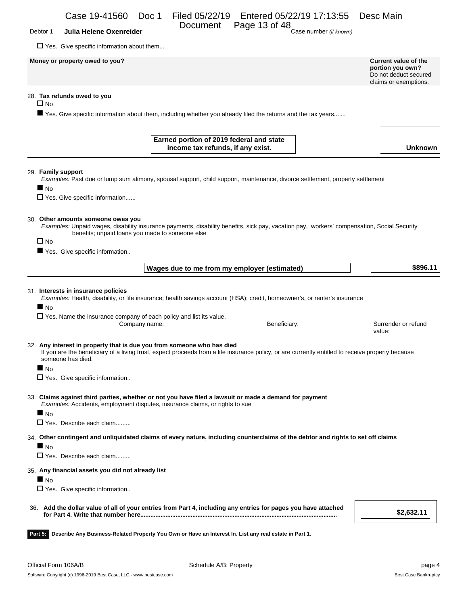| Debtor 1                                | Case 19-41560 Doc 1<br>Julia Helene Oxenreider                                                                                       | <b>Document</b>                                                               | Filed 05/22/19    Entered 05/22/19 17:13:55<br>Page 13 of 48<br>Case number (if known)                                                            | Desc Main                                                                                         |
|-----------------------------------------|--------------------------------------------------------------------------------------------------------------------------------------|-------------------------------------------------------------------------------|---------------------------------------------------------------------------------------------------------------------------------------------------|---------------------------------------------------------------------------------------------------|
|                                         | $\Box$ Yes. Give specific information about them                                                                                     |                                                                               |                                                                                                                                                   |                                                                                                   |
|                                         | Money or property owed to you?                                                                                                       |                                                                               |                                                                                                                                                   | <b>Current value of the</b><br>portion you own?<br>Do not deduct secured<br>claims or exemptions. |
| $\Box$ No                               | 28. Tax refunds owed to you                                                                                                          |                                                                               | ■ Yes. Give specific information about them, including whether you already filed the returns and the tax years                                    |                                                                                                   |
|                                         |                                                                                                                                      | Earned portion of 2019 federal and state<br>income tax refunds, if any exist. |                                                                                                                                                   | <b>Unknown</b>                                                                                    |
| 29. Family support<br>$\blacksquare$ No | $\Box$ Yes. Give specific information                                                                                                |                                                                               | Examples: Past due or lump sum alimony, spousal support, child support, maintenance, divorce settlement, property settlement                      |                                                                                                   |
| $\Box$ No                               | 30. Other amounts someone owes you<br>benefits; unpaid loans you made to someone else<br>Yes. Give specific information              |                                                                               | Examples: Unpaid wages, disability insurance payments, disability benefits, sick pay, vacation pay, workers' compensation, Social Security        |                                                                                                   |
|                                         |                                                                                                                                      | Wages due to me from my employer (estimated)                                  |                                                                                                                                                   | \$896.11                                                                                          |
| $\blacksquare$ No                       | 31. Interests in insurance policies<br>$\Box$ Yes. Name the insurance company of each policy and list its value.<br>Company name:    |                                                                               | Examples: Health, disability, or life insurance; health savings account (HSA); credit, homeowner's, or renter's insurance<br>Beneficiary:         | Surrender or refund<br>value:                                                                     |
| $\blacksquare$ No                       | 32. Any interest in property that is due you from someone who has died<br>someone has died.<br>$\Box$ Yes. Give specific information |                                                                               | If you are the beneficiary of a living trust, expect proceeds from a life insurance policy, or are currently entitled to receive property because |                                                                                                   |
| $\blacksquare$ No                       | Examples: Accidents, employment disputes, insurance claims, or rights to sue<br>$\Box$ Yes. Describe each claim                      |                                                                               | 33. Claims against third parties, whether or not you have filed a lawsuit or made a demand for payment                                            |                                                                                                   |
| $\blacksquare$ No                       | $\Box$ Yes. Describe each claim                                                                                                      |                                                                               | 34. Other contingent and unliquidated claims of every nature, including counterclaims of the debtor and rights to set off claims                  |                                                                                                   |
|                                         | 35. Any financial assets you did not already list                                                                                    |                                                                               |                                                                                                                                                   |                                                                                                   |
| $\blacksquare$ No                       | $\Box$ Yes. Give specific information                                                                                                |                                                                               |                                                                                                                                                   |                                                                                                   |
|                                         |                                                                                                                                      |                                                                               | 36. Add the dollar value of all of your entries from Part 4, including any entries for pages you have attached                                    | \$2,632.11                                                                                        |
| Part 5:                                 | Describe Any Business-Related Property You Own or Have an Interest In. List any real estate in Part 1.                               |                                                                               |                                                                                                                                                   |                                                                                                   |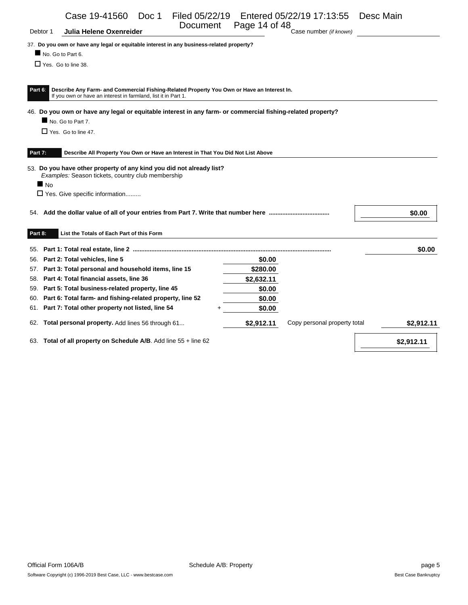|           | Case 19-41560<br>Doc 1                                                                                                                                       | Filed 05/22/19<br>Document | Page 14 of 48 | Entered 05/22/19 17:13:55    | Desc Main  |
|-----------|--------------------------------------------------------------------------------------------------------------------------------------------------------------|----------------------------|---------------|------------------------------|------------|
| Debtor 1  | Julia Helene Oxenreider                                                                                                                                      |                            |               | Case number (if known)       |            |
|           | 37. Do you own or have any legal or equitable interest in any business-related property?<br>No. Go to Part 6.                                                |                            |               |                              |            |
|           | $\Box$ Yes. Go to line 38.                                                                                                                                   |                            |               |                              |            |
|           |                                                                                                                                                              |                            |               |                              |            |
|           |                                                                                                                                                              |                            |               |                              |            |
| Part $6:$ | Describe Any Farm- and Commercial Fishing-Related Property You Own or Have an Interest In.<br>If you own or have an interest in farmland, list it in Part 1. |                            |               |                              |            |
|           | 46. Do you own or have any legal or equitable interest in any farm- or commercial fishing-related property?                                                  |                            |               |                              |            |
|           | No. Go to Part 7.                                                                                                                                            |                            |               |                              |            |
|           | $\Box$ Yes. Go to line 47.                                                                                                                                   |                            |               |                              |            |
|           |                                                                                                                                                              |                            |               |                              |            |
| Part 7:   | Describe All Property You Own or Have an Interest in That You Did Not List Above                                                                             |                            |               |                              |            |
|           | 53. Do you have other property of any kind you did not already list?<br>Examples: Season tickets, country club membership                                    |                            |               |                              |            |
|           | $\blacksquare$ No                                                                                                                                            |                            |               |                              |            |
|           | T Yes. Give specific information                                                                                                                             |                            |               |                              |            |
|           |                                                                                                                                                              |                            |               |                              | \$0.00     |
|           |                                                                                                                                                              |                            |               |                              |            |
| Part 8:   | List the Totals of Each Part of this Form                                                                                                                    |                            |               |                              |            |
| 55.       |                                                                                                                                                              |                            |               |                              | \$0.00     |
|           | 56. Part 2: Total vehicles, line 5                                                                                                                           |                            | \$0.00        |                              |            |
|           | 57. Part 3: Total personal and household items, line 15                                                                                                      |                            | \$280.00      |                              |            |
|           | 58. Part 4: Total financial assets, line 36                                                                                                                  |                            | \$2,632.11    |                              |            |
|           | 59. Part 5: Total business-related property, line 45                                                                                                         |                            | \$0.00        |                              |            |
| 60.       | Part 6: Total farm- and fishing-related property, line 52                                                                                                    |                            | \$0.00        |                              |            |
|           | 61. Part 7: Total other property not listed, line 54                                                                                                         |                            | \$0.00        |                              |            |
|           | 62. Total personal property. Add lines 56 through 61                                                                                                         |                            | \$2,912.11    | Copy personal property total | \$2,912.11 |
|           | of all proporty on Cohodulo A/D, Addiso EE Line CO                                                                                                           |                            |               |                              | 0.0001     |

63. **Total of all property on Schedule A/B**. Add line 55 + line 62 **\$2,912.11**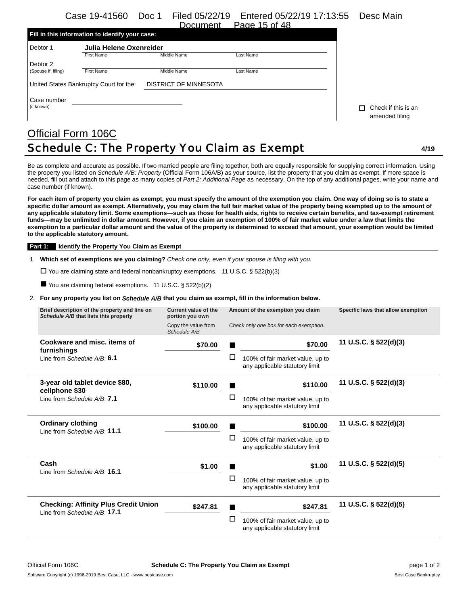Case 19-41560 Doc 1 Filed 05/22/19 Entered 05/22/19 17:13:55 Desc Main Dogs  $15 \text{ of } 40$ 

| Check if this is an |
|---------------------|
| amended filing      |
|                     |

# Official Form 106C Schedule C: The Property You Claim as Exempt **4/19** 4/19

Be as complete and accurate as possible. If two married people are filing together, both are equally responsible for supplying correct information. Using the property you listed on *Schedule A/B: Property* (Official Form 106A/B) as your source, list the property that you claim as exempt. If more space is needed, fill out and attach to this page as many copies of *Part 2: Additional Page* as necessary. On the top of any additional pages, write your name and case number (if known).

**For each item of property you claim as exempt, you must specify the amount of the exemption you claim. One way of doing so is to state a specific dollar amount as exempt. Alternatively, you may claim the full fair market value of the property being exempted up to the amount of any applicable statutory limit. Some exemptions—such as those for health aids, rights to receive certain benefits, and tax-exempt retirement funds—may be unlimited in dollar amount. However, if you claim an exemption of 100% of fair market value under a law that limits the exemption to a particular dollar amount and the value of the property is determined to exceed that amount, your exemption would be limited to the applicable statutory amount.**

#### **Part 1: Identify the Property You Claim as Exempt**

1. **Which set of exemptions are you claiming?** *Check one only, even if your spouse is filing with you.*

 $\Box$  You are claiming state and federal nonbankruptcy exemptions. 11 U.S.C. § 522(b)(3)

■ You are claiming federal exemptions. 11 U.S.C. § 522(b)(2)

2. **For any property you list on** *Schedule A/B* **that you claim as exempt, fill in the information below.**

| Brief description of the property and line on<br>Schedule A/B that lists this property | Current value of the<br>portion you own<br>Copy the value from |   | Amount of the exemption you claim<br>Check only one box for each exemption.    | Specific laws that allow exemption |
|----------------------------------------------------------------------------------------|----------------------------------------------------------------|---|--------------------------------------------------------------------------------|------------------------------------|
| Cookware and misc. items of<br>furnishings<br>Line from Schedule A/B: 6.1              | Schedule A/B<br>\$70.00                                        | □ | \$70.00<br>100% of fair market value, up to<br>any applicable statutory limit  | 11 U.S.C. § 522(d)(3)              |
| 3-year old tablet device \$80,<br>cellphone \$30<br>Line from Schedule A/B: 7.1        | \$110.00                                                       | □ | \$110.00<br>100% of fair market value, up to<br>any applicable statutory limit | 11 U.S.C. § 522(d)(3)              |
| <b>Ordinary clothing</b><br>Line from Schedule A/B 11.1                                | \$100.00                                                       | □ | \$100.00<br>100% of fair market value, up to<br>any applicable statutory limit | 11 U.S.C. § 522(d)(3)              |
| Cash<br>Line from Schedule A/B: 16.1                                                   | \$1.00                                                         | □ | \$1.00<br>100% of fair market value, up to<br>any applicable statutory limit   | 11 U.S.C. § 522(d)(5)              |
| <b>Checking: Affinity Plus Credit Union</b><br>Line from Schedule A/B: 17.1            | \$247.81                                                       | □ | \$247.81<br>100% of fair market value, up to<br>any applicable statutory limit | 11 U.S.C. § 522(d)(5)              |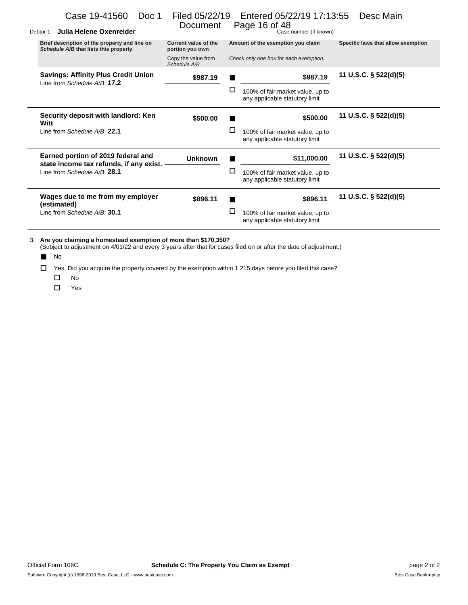| Julia Helene Oxenreider<br>Debtor 1                                                    | Document                                |   | Page 16 of 48<br>Case number (if known)                            |                                    |
|----------------------------------------------------------------------------------------|-----------------------------------------|---|--------------------------------------------------------------------|------------------------------------|
| Brief description of the property and line on<br>Schedule A/B that lists this property | Current value of the<br>portion you own |   | Amount of the exemption you claim                                  | Specific laws that allow exemption |
|                                                                                        | Copy the value from<br>Schedule A/B     |   | Check only one box for each exemption.                             |                                    |
| <b>Savings: Affinity Plus Credit Union</b><br>Line from Schedule A/B: 17.2             | \$987.19                                |   | \$987.19                                                           | 11 U.S.C. § 522(d)(5)              |
|                                                                                        |                                         | ப | 100% of fair market value, up to<br>any applicable statutory limit |                                    |
| Security deposit with landlord: Ken<br>Witt                                            | \$500.00                                |   | \$500.00                                                           | 11 U.S.C. § 522(d)(5)              |
| Line from Schedule A/B: 22.1                                                           |                                         | ப | 100% of fair market value, up to<br>any applicable statutory limit |                                    |
| Earned portion of 2019 federal and<br>state income tax refunds, if any exist.          | <b>Unknown</b>                          |   | \$11,000.00                                                        | 11 U.S.C. § 522(d)(5)              |
| Line from Schedule A/B 28.1                                                            |                                         | ⊔ | 100% of fair market value, up to<br>any applicable statutory limit |                                    |
| Wages due to me from my employer<br>(estimated)                                        | \$896.11                                |   | \$896.11                                                           | 11 U.S.C. § 522(d)(5)              |
| Line from Schedule A/B: 30.1                                                           |                                         | ப | 100% of fair market value, up to<br>any applicable statutory limit |                                    |

3. **Are you claiming a homestead exemption of more than \$170,350?**

(Subject to adjustment on 4/01/22 and every 3 years after that for cases filed on or after the date of adjustment.)

■ No

Yes. Did you acquire the property covered by the exemption within 1,215 days before you filed this case?

- $\square$  No
- Yes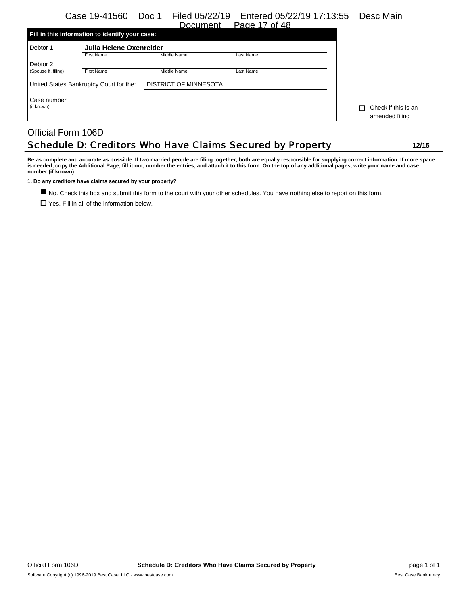|                                                                  |                                                 | Document    | Page 17 of 48 |                |  |  |
|------------------------------------------------------------------|-------------------------------------------------|-------------|---------------|----------------|--|--|
|                                                                  | Fill in this information to identify your case: |             |               |                |  |  |
| Debtor 1                                                         | Julia Helene Oxenreider                         |             |               |                |  |  |
|                                                                  | First Name                                      | Middle Name | Last Name     |                |  |  |
| Debtor 2                                                         |                                                 |             |               |                |  |  |
| (Spouse if, filing)                                              | <b>First Name</b>                               | Middle Name | Last Name     |                |  |  |
| DISTRICT OF MINNESOTA<br>United States Bankruptcy Court for the: |                                                 |             |               |                |  |  |
| Case number<br>(if known)<br>Check if this is an<br>п            |                                                 |             |               |                |  |  |
|                                                                  |                                                 |             |               | amended filing |  |  |
|                                                                  |                                                 |             |               |                |  |  |

# Official Form 106D Schedule D: Creditors Who Have Claims Secured by Property **12/15**

**Be as complete and accurate as possible. If two married people are filing together, both are equally responsible for supplying correct information. If more space is needed, copy the Additional Page, fill it out, number the entries, and attach it to this form. On the top of any additional pages, write your name and case number (if known).**

**1. Do any creditors have claims secured by your property?**

No. Check this box and submit this form to the court with your other schedules. You have nothing else to report on this form.

□ Yes. Fill in all of the information below.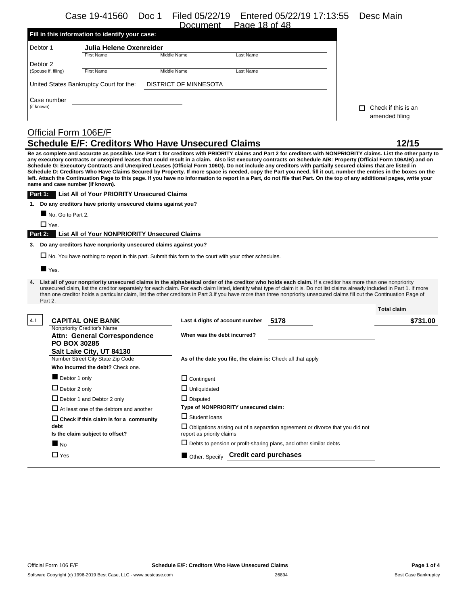|                                         | лжинеш                | <u>Paut 10 UL40</u>                                                        |                                            |
|-----------------------------------------|-----------------------|----------------------------------------------------------------------------|--------------------------------------------|
|                                         |                       |                                                                            |                                            |
|                                         |                       |                                                                            |                                            |
| <b>First Name</b>                       | Middle Name           | Last Name                                                                  |                                            |
|                                         |                       |                                                                            |                                            |
| <b>First Name</b>                       | Middle Name           | Last Name                                                                  |                                            |
| United States Bankruptcy Court for the: | DISTRICT OF MINNESOTA |                                                                            |                                            |
|                                         |                       |                                                                            | Check if this is an<br>П<br>amended filing |
|                                         |                       | Fill in this information to identify your case:<br>Julia Helene Oxenreider |                                            |

# Official Form 106E/F

# **Schedule E/F: Creditors Who Have Unsecured Claims 12/15**

**Be as complete and accurate as possible. Use Part 1 for creditors with PRIORITY claims and Part 2 for creditors with NONPRIORITY claims. List the other party to any executory contracts or unexpired leases that could result in a claim. Also list executory contracts on Schedule A/B: Property (Official Form 106A/B) and on Schedule G: Executory Contracts and Unexpired Leases (Official Form 106G). Do not include any creditors with partially secured claims that are listed in Schedule D: Creditors Who Have Claims Secured by Property. If more space is needed, copy the Part you need, fill it out, number the entries in the boxes on the left. Attach the Continuation Page to this page. If you have no information to report in a Part, do not file that Part. On the top of any additional pages, write your name and case number (if known).**

|                                                                    | <b>List All of Your PRIORITY Unsecured Claims</b><br>Part 1:                                                 |                                                                                                                                                                                                                                                                                                                                                                                                                                                                                                                          |                    |  |  |  |  |  |  |
|--------------------------------------------------------------------|--------------------------------------------------------------------------------------------------------------|--------------------------------------------------------------------------------------------------------------------------------------------------------------------------------------------------------------------------------------------------------------------------------------------------------------------------------------------------------------------------------------------------------------------------------------------------------------------------------------------------------------------------|--------------------|--|--|--|--|--|--|
| 1.                                                                 | Do any creditors have priority unsecured claims against you?                                                 |                                                                                                                                                                                                                                                                                                                                                                                                                                                                                                                          |                    |  |  |  |  |  |  |
|                                                                    | No. Go to Part 2.                                                                                            |                                                                                                                                                                                                                                                                                                                                                                                                                                                                                                                          |                    |  |  |  |  |  |  |
|                                                                    | $\Box$ Yes.                                                                                                  |                                                                                                                                                                                                                                                                                                                                                                                                                                                                                                                          |                    |  |  |  |  |  |  |
|                                                                    | Part 2: List All of Your NONPRIORITY Unsecured Claims                                                        |                                                                                                                                                                                                                                                                                                                                                                                                                                                                                                                          |                    |  |  |  |  |  |  |
| 3. Do any creditors have nonpriority unsecured claims against you? |                                                                                                              |                                                                                                                                                                                                                                                                                                                                                                                                                                                                                                                          |                    |  |  |  |  |  |  |
|                                                                    | $\Box$ No. You have nothing to report in this part. Submit this form to the court with your other schedules. |                                                                                                                                                                                                                                                                                                                                                                                                                                                                                                                          |                    |  |  |  |  |  |  |
|                                                                    | $\blacksquare$ Yes.                                                                                          |                                                                                                                                                                                                                                                                                                                                                                                                                                                                                                                          |                    |  |  |  |  |  |  |
| 4.                                                                 | Part 2.                                                                                                      | List all of your nonpriority unsecured claims in the alphabetical order of the creditor who holds each claim. If a creditor has more than one nonpriority<br>unsecured claim, list the creditor separately for each claim. For each claim listed, identify what type of claim it is. Do not list claims already included in Part 1. If more<br>than one creditor holds a particular claim, list the other creditors in Part 3.If you have more than three nonpriority unsecured claims fill out the Continuation Page of |                    |  |  |  |  |  |  |
|                                                                    |                                                                                                              |                                                                                                                                                                                                                                                                                                                                                                                                                                                                                                                          | <b>Total claim</b> |  |  |  |  |  |  |
| 4.1                                                                | <b>CAPITAL ONE BANK</b>                                                                                      | 5178<br>Last 4 digits of account number                                                                                                                                                                                                                                                                                                                                                                                                                                                                                  | \$731.00           |  |  |  |  |  |  |
|                                                                    | Nonpriority Creditor's Name<br>Attn: General Correspondence<br><b>PO BOX 30285</b>                           | When was the debt incurred?                                                                                                                                                                                                                                                                                                                                                                                                                                                                                              |                    |  |  |  |  |  |  |
|                                                                    | Salt Lake City, UT 84130<br>Number Street City State Zip Code                                                | As of the date you file, the claim is: Check all that apply                                                                                                                                                                                                                                                                                                                                                                                                                                                              |                    |  |  |  |  |  |  |
|                                                                    | Who incurred the debt? Check one.                                                                            |                                                                                                                                                                                                                                                                                                                                                                                                                                                                                                                          |                    |  |  |  |  |  |  |
|                                                                    | Debtor 1 only                                                                                                | $\Box$ Contingent                                                                                                                                                                                                                                                                                                                                                                                                                                                                                                        |                    |  |  |  |  |  |  |
|                                                                    | $\Box$ Debtor 2 only                                                                                         | $\Box$ Unliquidated                                                                                                                                                                                                                                                                                                                                                                                                                                                                                                      |                    |  |  |  |  |  |  |
|                                                                    | $\Box$ Debtor 1 and Debtor 2 only                                                                            | $\Box$ Disputed                                                                                                                                                                                                                                                                                                                                                                                                                                                                                                          |                    |  |  |  |  |  |  |
|                                                                    | $\Box$ At least one of the debtors and another                                                               | Type of NONPRIORITY unsecured claim:                                                                                                                                                                                                                                                                                                                                                                                                                                                                                     |                    |  |  |  |  |  |  |
|                                                                    | $\Box$ Check if this claim is for a community                                                                | $\Box$ Student Ioans                                                                                                                                                                                                                                                                                                                                                                                                                                                                                                     |                    |  |  |  |  |  |  |
|                                                                    | debt<br>Is the claim subject to offset?                                                                      | $\Box$ Obligations arising out of a separation agreement or divorce that you did not<br>report as priority claims                                                                                                                                                                                                                                                                                                                                                                                                        |                    |  |  |  |  |  |  |
|                                                                    | $\blacksquare$ No                                                                                            | $\Box$ Debts to pension or profit-sharing plans, and other similar debts                                                                                                                                                                                                                                                                                                                                                                                                                                                 |                    |  |  |  |  |  |  |
|                                                                    | $\Box$ Yes                                                                                                   | Other. Specify Credit card purchases                                                                                                                                                                                                                                                                                                                                                                                                                                                                                     |                    |  |  |  |  |  |  |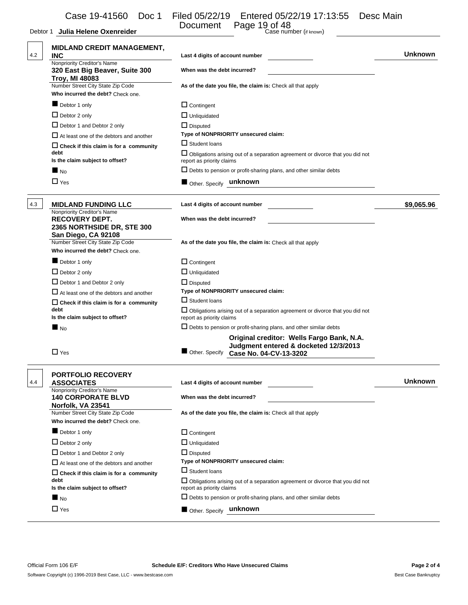| Debtor 1 Julia Helene Oxenreider | <u>Douanon</u> | $1.000 \pm 0.01 \pm 0.00$<br>Case number (if known) |
|----------------------------------|----------------|-----------------------------------------------------|
|----------------------------------|----------------|-----------------------------------------------------|

| Document | Page 19 of 48          |
|----------|------------------------|
|          | Case number (if known) |

| 4.2 | MIDLAND CREDIT MANAGEMENT,<br>INC<br>Nonpriority Creditor's Name<br>320 East Big Beaver, Suite 300<br><b>Troy, MI 48083</b><br>Number Street City State Zip Code<br>Who incurred the debt? Check one.<br>Debtor 1 only<br>$\Box$ Debtor 2 only<br>$\Box$ Debtor 1 and Debtor 2 only<br>$\Box$ At least one of the debtors and another<br>$\Box$ Check if this claim is for a community<br>debt<br>Is the claim subject to offset? | Last 4 digits of account number<br>When was the debt incurred?<br>As of the date you file, the claim is: Check all that apply<br>$\Box$ Contingent<br>$\Box$ Unliquidated<br>$\Box$ Disputed<br>Type of NONPRIORITY unsecured claim:<br>$\Box$ Student Ioans<br>$\Box$ Obligations arising out of a separation agreement or divorce that you did not<br>report as priority claims | <b>Unknown</b> |
|-----|-----------------------------------------------------------------------------------------------------------------------------------------------------------------------------------------------------------------------------------------------------------------------------------------------------------------------------------------------------------------------------------------------------------------------------------|-----------------------------------------------------------------------------------------------------------------------------------------------------------------------------------------------------------------------------------------------------------------------------------------------------------------------------------------------------------------------------------|----------------|
|     | $\blacksquare$ No                                                                                                                                                                                                                                                                                                                                                                                                                 | $\Box$ Debts to pension or profit-sharing plans, and other similar debts                                                                                                                                                                                                                                                                                                          |                |
|     | $\Box$ Yes                                                                                                                                                                                                                                                                                                                                                                                                                        | Other Specify unknown                                                                                                                                                                                                                                                                                                                                                             |                |
| 4.3 | <b>MIDLAND FUNDING LLC</b><br>Nonpriority Creditor's Name<br><b>RECOVERY DEPT.</b><br>2365 NORTHSIDE DR, STE 300<br>San Diego, CA 92108                                                                                                                                                                                                                                                                                           | Last 4 digits of account number<br>When was the debt incurred?                                                                                                                                                                                                                                                                                                                    | \$9,065.96     |
|     | Number Street City State Zip Code<br>Who incurred the debt? Check one.                                                                                                                                                                                                                                                                                                                                                            | As of the date you file, the claim is: Check all that apply                                                                                                                                                                                                                                                                                                                       |                |
|     | Debtor 1 only                                                                                                                                                                                                                                                                                                                                                                                                                     | $\Box$ Contingent                                                                                                                                                                                                                                                                                                                                                                 |                |
|     | $\Box$ Debtor 2 only                                                                                                                                                                                                                                                                                                                                                                                                              | $\Box$ Unliquidated                                                                                                                                                                                                                                                                                                                                                               |                |
|     | $\Box$ Debtor 1 and Debtor 2 only                                                                                                                                                                                                                                                                                                                                                                                                 | $\Box$ Disputed                                                                                                                                                                                                                                                                                                                                                                   |                |
|     | $\Box$ At least one of the debtors and another                                                                                                                                                                                                                                                                                                                                                                                    | Type of NONPRIORITY unsecured claim:                                                                                                                                                                                                                                                                                                                                              |                |
|     | $\Box$ Check if this claim is for a community                                                                                                                                                                                                                                                                                                                                                                                     | $\Box$ Student Ioans                                                                                                                                                                                                                                                                                                                                                              |                |
|     | debt<br>Is the claim subject to offset?                                                                                                                                                                                                                                                                                                                                                                                           | $\Box$ Obligations arising out of a separation agreement or divorce that you did not<br>report as priority claims                                                                                                                                                                                                                                                                 |                |
|     | $\blacksquare$ No                                                                                                                                                                                                                                                                                                                                                                                                                 | $\Box$ Debts to pension or profit-sharing plans, and other similar debts                                                                                                                                                                                                                                                                                                          |                |
|     | $\Box$ Yes                                                                                                                                                                                                                                                                                                                                                                                                                        | Original creditor: Wells Fargo Bank, N.A.<br>Judgment entered & docketed 12/3/2013<br>Other. Specify Case No. 04-CV-13-3202                                                                                                                                                                                                                                                       |                |
| 4.4 | <b>PORTFOLIO RECOVERY</b><br><b>ASSOCIATES</b>                                                                                                                                                                                                                                                                                                                                                                                    | Last 4 digits of account number                                                                                                                                                                                                                                                                                                                                                   | <b>Unknown</b> |
|     | Nonpriority Creditor's Name<br><b>140 CORPORATE BLVD</b><br>Norfolk, VA 23541                                                                                                                                                                                                                                                                                                                                                     | When was the debt incurred?                                                                                                                                                                                                                                                                                                                                                       |                |
|     | Number Street City State Zip Code<br>Who incurred the debt? Check one.                                                                                                                                                                                                                                                                                                                                                            | As of the date you file, the claim is: Check all that apply                                                                                                                                                                                                                                                                                                                       |                |
|     | Debtor 1 only                                                                                                                                                                                                                                                                                                                                                                                                                     | $\Box$ Contingent                                                                                                                                                                                                                                                                                                                                                                 |                |
|     | $\Box$ Debtor 2 only                                                                                                                                                                                                                                                                                                                                                                                                              |                                                                                                                                                                                                                                                                                                                                                                                   |                |
|     | $\Box$ Debtor 1 and Debtor 2 only                                                                                                                                                                                                                                                                                                                                                                                                 |                                                                                                                                                                                                                                                                                                                                                                                   |                |
|     | $\Box$ At least one of the debtors and another                                                                                                                                                                                                                                                                                                                                                                                    | Type of NONPRIORITY unsecured claim:                                                                                                                                                                                                                                                                                                                                              |                |
|     | $\Box$ Check if this claim is for a community                                                                                                                                                                                                                                                                                                                                                                                     | $\Box$ Student Ioans                                                                                                                                                                                                                                                                                                                                                              |                |
|     | debt<br>Is the claim subject to offset?                                                                                                                                                                                                                                                                                                                                                                                           | $\Box$ Obligations arising out of a separation agreement or divorce that you did not<br>report as priority claims                                                                                                                                                                                                                                                                 |                |
|     | $\blacksquare$ No                                                                                                                                                                                                                                                                                                                                                                                                                 | $\Box$ Debts to pension or profit-sharing plans, and other similar debts                                                                                                                                                                                                                                                                                                          |                |
|     | $\Box$ Yes                                                                                                                                                                                                                                                                                                                                                                                                                        | Other Specify unknown                                                                                                                                                                                                                                                                                                                                                             |                |
|     |                                                                                                                                                                                                                                                                                                                                                                                                                                   |                                                                                                                                                                                                                                                                                                                                                                                   |                |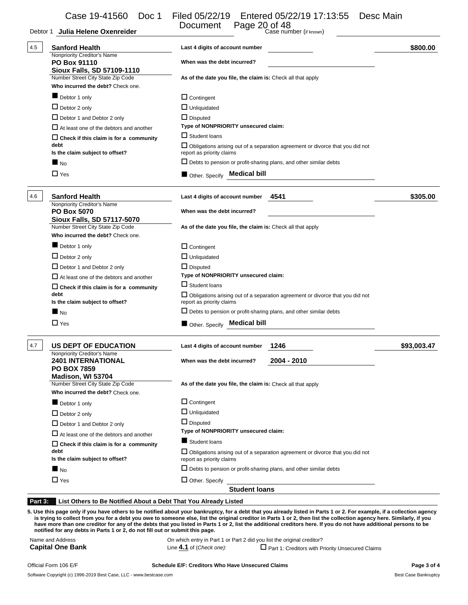Case 19-41560 Doc 1 Filed 05/22/19 Entered 05/22/19 17:13:55 Desc Main Document Page 20 of 48

| 4.5                                            | <b>Sanford Health</b><br>Nonpriority Creditor's Name                            | Last 4 digits of account number                                                                                   | \$800.00    |  |  |  |
|------------------------------------------------|---------------------------------------------------------------------------------|-------------------------------------------------------------------------------------------------------------------|-------------|--|--|--|
|                                                | PO Box 91110<br>Sioux Falls, SD 57109-1110                                      | When was the debt incurred?                                                                                       |             |  |  |  |
|                                                | Number Street City State Zip Code                                               | As of the date you file, the claim is: Check all that apply                                                       |             |  |  |  |
|                                                | Who incurred the debt? Check one.                                               |                                                                                                                   |             |  |  |  |
|                                                | Debtor 1 only                                                                   | $\Box$ Contingent                                                                                                 |             |  |  |  |
|                                                | $\Box$ Debtor 2 only                                                            | $\Box$ Unliquidated                                                                                               |             |  |  |  |
|                                                | Debtor 1 and Debtor 2 only                                                      | $\Box$ Disputed                                                                                                   |             |  |  |  |
| $\Box$ At least one of the debtors and another |                                                                                 | Type of NONPRIORITY unsecured claim:                                                                              |             |  |  |  |
|                                                | $\Box$ Check if this claim is for a community                                   | $\Box$ Student Ioans                                                                                              |             |  |  |  |
|                                                | debt                                                                            | $\Box$ Obligations arising out of a separation agreement or divorce that you did not                              |             |  |  |  |
|                                                | Is the claim subject to offset?                                                 | report as priority claims                                                                                         |             |  |  |  |
|                                                | $\blacksquare$ No                                                               | $\Box$ Debts to pension or profit-sharing plans, and other similar debts                                          |             |  |  |  |
|                                                | $\Box$ Yes                                                                      | Other Specify Medical bill                                                                                        |             |  |  |  |
| 4.6                                            | <b>Sanford Health</b>                                                           | Last 4 digits of account number<br>4541                                                                           | \$305.00    |  |  |  |
|                                                | Nonpriority Creditor's Name<br><b>PO Box 5070</b><br>Sioux Falls, SD 57117-5070 | When was the debt incurred?                                                                                       |             |  |  |  |
|                                                | Number Street City State Zip Code<br>Who incurred the debt? Check one.          | As of the date you file, the claim is: Check all that apply                                                       |             |  |  |  |
|                                                | Debtor 1 only                                                                   | $\Box$ Contingent                                                                                                 |             |  |  |  |
|                                                | $\Box$ Debtor 2 only                                                            | $\Box$ Unliquidated                                                                                               |             |  |  |  |
|                                                | $\Box$ Debtor 1 and Debtor 2 only                                               | $\Box$ Disputed                                                                                                   |             |  |  |  |
|                                                | $\Box$ At least one of the debtors and another                                  | Type of NONPRIORITY unsecured claim:                                                                              |             |  |  |  |
|                                                | $\Box$ Check if this claim is for a community                                   | $\Box$ Student Ioans                                                                                              |             |  |  |  |
|                                                | debt<br>Is the claim subject to offset?                                         | $\Box$ Obligations arising out of a separation agreement or divorce that you did not<br>report as priority claims |             |  |  |  |
|                                                | $\blacksquare$ No                                                               | $\Box$ Debts to pension or profit-sharing plans, and other similar debts                                          |             |  |  |  |
|                                                | $\Box$ Yes                                                                      | <b>Medical bill</b><br>Other. Specify                                                                             |             |  |  |  |
| 4.7                                            | <b>US DEPT OF EDUCATION</b>                                                     | Last 4 digits of account number<br>1246                                                                           | \$93,003.47 |  |  |  |
|                                                | Nonpriority Creditor's Name<br><b>2401 INTERNATIONAL</b>                        | 2004 - 2010<br>When was the debt incurred?                                                                        |             |  |  |  |
|                                                | <b>PO BOX 7859</b>                                                              |                                                                                                                   |             |  |  |  |
|                                                | Madison, WI 53704<br>Number Street City State Zip Code                          | As of the date you file, the claim is: Check all that apply                                                       |             |  |  |  |
|                                                | Who incurred the debt? Check one.                                               |                                                                                                                   |             |  |  |  |
|                                                | Debtor 1 only                                                                   | $\Box$ Contingent                                                                                                 |             |  |  |  |
|                                                |                                                                                 | $\Box$ Unliquidated                                                                                               |             |  |  |  |
|                                                | $\Box$ Debtor 2 only                                                            | $\Box$ Disputed                                                                                                   |             |  |  |  |
|                                                | Debtor 1 and Debtor 2 only                                                      | Type of NONPRIORITY unsecured claim:                                                                              |             |  |  |  |
|                                                | $\Box$ At least one of the debtors and another                                  |                                                                                                                   |             |  |  |  |
|                                                | $\Box$ Check if this claim is for a community<br>debt                           | Student loans<br>$\Box$ Obligations arising out of a separation agreement or divorce that you did not             |             |  |  |  |
|                                                | Is the claim subject to offset?                                                 | report as priority claims                                                                                         |             |  |  |  |
|                                                | $\blacksquare$ No                                                               | $\Box$ Debts to pension or profit-sharing plans, and other similar debts                                          |             |  |  |  |
|                                                | $\Box$ Yes                                                                      | $\Box$ Other. Specify                                                                                             |             |  |  |  |
|                                                |                                                                                 | <b>Student loans</b>                                                                                              |             |  |  |  |

**5. Use this page only if you have others to be notified about your bankruptcy, for a debt that you already listed in Parts 1 or 2. For example, if a collection agency is trying to collect from you for a debt you owe to someone else, list the original creditor in Parts 1 or 2, then list the collection agency here. Similarly, if you have more than one creditor for any of the debts that you listed in Parts 1 or 2, list the additional creditors here. If you do not have additional persons to be notified for any debts in Parts 1 or 2, do not fill out or submit this page.**

Name and Address **Capital One Bank** On which entry in Part 1 or Part 2 did you list the original creditor?<br>Capital One Bank **Capital One Bank** Line 4.1 of (*Check one):*  $\square$  Part 1: Creditors with P Line  $4.1$  of (*Check one):*  $\Box$  Part 1: Creditors with Priority Unsecured Claims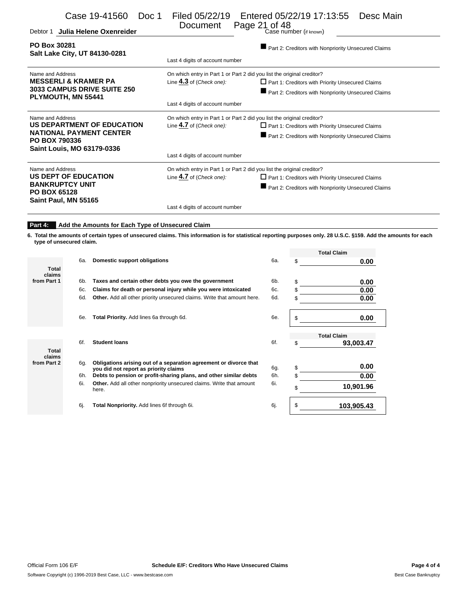| Case 19-41560 Doc 1<br>Julia Helene Oxenreider<br>Debtor 1            | Filed 05/22/19<br>Document                                             | Entered 05/22/19 17:13:55<br>Desc Main<br>Page 21 of 48<br>Case number (if known) |  |  |  |  |
|-----------------------------------------------------------------------|------------------------------------------------------------------------|-----------------------------------------------------------------------------------|--|--|--|--|
| PO Box 30281<br>Salt Lake City, UT 84130-0281                         | Last 4 digits of account number                                        | Part 2: Creditors with Nonpriority Unsecured Claims                               |  |  |  |  |
| Name and Address                                                      |                                                                        | On which entry in Part 1 or Part 2 did you list the original creditor?            |  |  |  |  |
| <b>MESSERLI &amp; KRAMER PA</b>                                       | Line $4.3$ of (Check one):                                             | $\Box$ Part 1: Creditors with Priority Unsecured Claims                           |  |  |  |  |
| <b>3033 CAMPUS DRIVE SUITE 250</b><br>PLYMOUTH, MN 55441              |                                                                        | Part 2: Creditors with Nonpriority Unsecured Claims                               |  |  |  |  |
|                                                                       |                                                                        | Last 4 digits of account number                                                   |  |  |  |  |
| Name and Address                                                      | On which entry in Part 1 or Part 2 did you list the original creditor? |                                                                                   |  |  |  |  |
| US DEPARTMENT OF EDUCATION                                            | Line $4.7$ of (Check one):                                             | Part 1: Creditors with Priority Unsecured Claims                                  |  |  |  |  |
| <b>NATIONAL PAYMENT CENTER</b><br>PO BOX 790336                       |                                                                        | Part 2: Creditors with Nonpriority Unsecured Claims                               |  |  |  |  |
| Saint Louis, MO 63179-0336                                            | Last 4 digits of account number                                        |                                                                                   |  |  |  |  |
|                                                                       |                                                                        |                                                                                   |  |  |  |  |
| Name and Address                                                      |                                                                        | On which entry in Part 1 or Part 2 did you list the original creditor?            |  |  |  |  |
| US DEPT OF EDUCATION                                                  | Line 4.7 of (Check one):                                               | $\Box$ Part 1: Creditors with Priority Unsecured Claims                           |  |  |  |  |
| <b>BANKRUPTCY UNIT</b><br><b>PO BOX 65128</b><br>Saint Paul, MN 55165 |                                                                        | Part 2: Creditors with Nonpriority Unsecured Claims                               |  |  |  |  |
|                                                                       | Last 4 digits of account number                                        |                                                                                   |  |  |  |  |

### **Part 4: Add the Amounts for Each Type of Unsecured Claim**

**6. Total the amounts of certain types of unsecured claims. This information is for statistical reporting purposes only. 28 U.S.C. §159. Add the amounts for each type of unsecured claim.**

|                 |     |                                                                                                            |     | <b>Total Claim</b> |
|-----------------|-----|------------------------------------------------------------------------------------------------------------|-----|--------------------|
|                 | 6а. | Domestic support obligations                                                                               | 6а. | \$<br>0.00         |
| Total           |     |                                                                                                            |     |                    |
| claims          |     |                                                                                                            |     |                    |
| from Part 1     | 6b. | Taxes and certain other debts you owe the government                                                       | 6b. | \$<br>0.00         |
|                 | 6с. | Claims for death or personal injury while you were intoxicated                                             | 6c. | \$<br>0.00         |
|                 | 6d. | <b>Other.</b> Add all other priority unsecured claims. Write that amount here.                             | 6d. | \$<br>0.00         |
|                 | 6e. | Total Priority. Add lines 6a through 6d.                                                                   | 6e. | \$<br>0.00         |
|                 |     |                                                                                                            |     | <b>Total Claim</b> |
|                 | 6f. | <b>Student loans</b>                                                                                       | 6f. | \$<br>93,003.47    |
| Total<br>claims |     |                                                                                                            |     |                    |
| from Part 2     | 6a. | Obligations arising out of a separation agreement or divorce that<br>you did not report as priority claims | 6g. | \$<br>0.00         |
|                 | 6h. | Debts to pension or profit-sharing plans, and other similar debts                                          | 6h. | \$<br>0.00         |
|                 | 6i. | <b>Other.</b> Add all other nonpriority unsecured claims. Write that amount<br>here.                       | 6i. | \$<br>10,901.96    |
|                 | 6i. | Total Nonpriority. Add lines 6f through 6i.                                                                | 6j. | \$<br>103,905.43   |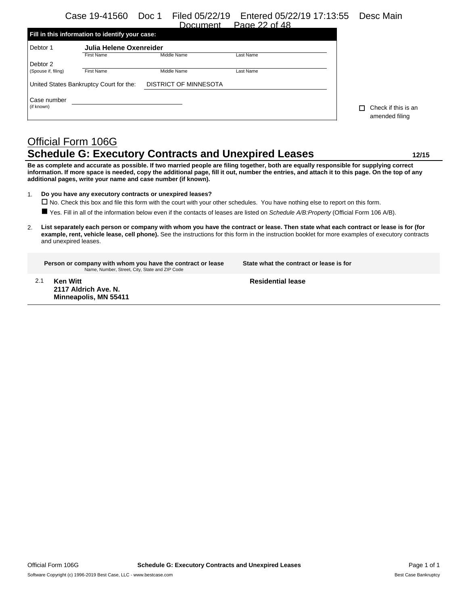|                                         |                                                 | лжинеш                       | Paue 22 01 46 |                                            |
|-----------------------------------------|-------------------------------------------------|------------------------------|---------------|--------------------------------------------|
|                                         | Fill in this information to identify your case: |                              |               |                                            |
| Debtor 1                                | Julia Helene Oxenreider                         |                              |               |                                            |
|                                         | <b>First Name</b>                               | Middle Name                  | Last Name     |                                            |
| Debtor 2                                |                                                 |                              |               |                                            |
| (Spouse if, filing)                     | <b>First Name</b>                               | Middle Name                  | Last Name     |                                            |
| United States Bankruptcy Court for the: |                                                 | <b>DISTRICT OF MINNESOTA</b> |               |                                            |
| Case number                             |                                                 |                              |               |                                            |
| (if known)                              |                                                 |                              |               | Check if this is an<br>п<br>amended filing |
|                                         |                                                 |                              |               |                                            |

# Official Form 106G **Schedule G: Executory Contracts and Unexpired Leases 12/15**

**Be as complete and accurate as possible. If two married people are filing together, both are equally responsible for supplying correct information. If more space is needed, copy the additional page, fill it out, number the entries, and attach it to this page. On the top of any additional pages, write your name and case number (if known).**

1. **Do you have any executory contracts or unexpired leases?**

No. Check this box and file this form with the court with your other schedules. You have nothing else to report on this form.

Yes. Fill in all of the information below even if the contacts of leases are listed on *Schedule A/B:Property* (Official Form 106 A/B).

2. **List separately each person or company with whom you have the contract or lease. Then state what each contract or lease is for (for example, rent, vehicle lease, cell phone).** See the instructions for this form in the instruction booklet for more examples of executory contracts and unexpired leases.

**Person or company with whom you have the contract or lease** Name, Number, Street, City, State and ZIP Code

2.1 **Ken Witt**

**Minneapolis, MN 55411**

**State what the contract or lease is for**

**2117 Aldrich Ave. N.**

**Residential lease**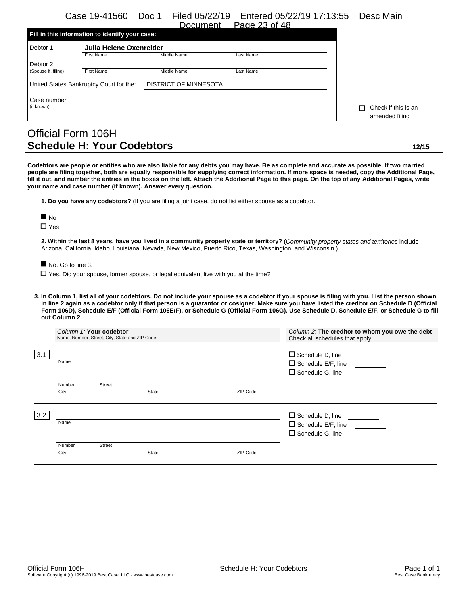|                                                                                                                         |                                                 | Document                     | Page 23 of 48 |                          |
|-------------------------------------------------------------------------------------------------------------------------|-------------------------------------------------|------------------------------|---------------|--------------------------|
|                                                                                                                         | Fill in this information to identify your case: |                              |               |                          |
| Debtor 1                                                                                                                | Julia Helene Oxenreider                         |                              |               |                          |
|                                                                                                                         | First Name                                      | Middle Name                  | Last Name     |                          |
| Debtor 2                                                                                                                |                                                 |                              |               |                          |
| (Spouse if, filing)                                                                                                     | <b>First Name</b>                               | Middle Name                  | Last Name     |                          |
|                                                                                                                         | United States Bankruptcy Court for the:         | <b>DISTRICT OF MINNESOTA</b> |               |                          |
| Case number                                                                                                             |                                                 |                              |               |                          |
| (if known)                                                                                                              |                                                 |                              |               | Check if this is an<br>П |
|                                                                                                                         |                                                 |                              |               | amended filing           |
| $\bigcap_{i=1}^{n}$ $\bigcup_{i=1}^{n}$ $\bigcap_{i=1}^{n}$ $\bigcap_{i=1}^{n}$ $\bigcap_{i=1}^{n}$ $\bigcap_{i=1}^{n}$ |                                                 |                              |               |                          |

# Official Form 106H **Schedule H: Your Codebtors bigger and the contract of the contract of the contract of the contract of the contract of the contract of the contract of the contract of the contract of the contract of the contract of the c**

**Codebtors are people or entities who are also liable for any debts you may have. Be as complete and accurate as possible. If two married people are filing together, both are equally responsible for supplying correct information. If more space is needed, copy the Additional Page, fill it out, and number the entries in the boxes on the left. Attach the Additional Page to this page. On the top of any Additional Pages, write your name and case number (if known). Answer every question.**

|  |  | 1. Do you have any codebtors? (If you are filing a joint case, do not list either spouse as a codebtor. |  |  |  |  |  |  |  |  |  |
|--|--|---------------------------------------------------------------------------------------------------------|--|--|--|--|--|--|--|--|--|
|--|--|---------------------------------------------------------------------------------------------------------|--|--|--|--|--|--|--|--|--|

□ Yes

**2. Within the last 8 years, have you lived in a community property state or territory?** (*Community property states and territories* include Arizona, California, Idaho, Louisiana, Nevada, New Mexico, Puerto Rico, Texas, Washington, and Wisconsin.)

No. Go to line 3.

 $\Box$  Yes. Did your spouse, former spouse, or legal equivalent live with you at the time?

**3. In Column 1, list all of your codebtors. Do not include your spouse as a codebtor if your spouse is filing with you. List the person shown in line 2 again as a codebtor only if that person is a guarantor or cosigner. Make sure you have listed the creditor on Schedule D (Official Form 106D), Schedule E/F (Official Form 106E/F), or Schedule G (Official Form 106G). Use Schedule D, Schedule E/F, or Schedule G to fill out Column 2.**

|     |        | Column 1: Your codebtor<br>Name, Number, Street, City, State and ZIP Code |       |          | Column 2: The creditor to whom you owe the debt<br>Check all schedules that apply:      |
|-----|--------|---------------------------------------------------------------------------|-------|----------|-----------------------------------------------------------------------------------------|
| 3.1 | Name   |                                                                           |       |          | $\square$ Schedule D, line<br>□ Schedule E/F, line _________<br>$\Box$ Schedule G. line |
|     | Number | <b>Street</b>                                                             |       |          |                                                                                         |
|     | City   |                                                                           | State | ZIP Code |                                                                                         |
| 3.2 |        |                                                                           |       |          | $\Box$ Schedule D, line __________                                                      |
|     | Name   |                                                                           |       |          | □ Schedule E/F, line _________                                                          |
|     |        |                                                                           |       |          | $\Box$ Schedule G. line                                                                 |
|     | Number | Street                                                                    |       |          |                                                                                         |
|     | City   |                                                                           | State | ZIP Code |                                                                                         |
|     |        |                                                                           |       |          |                                                                                         |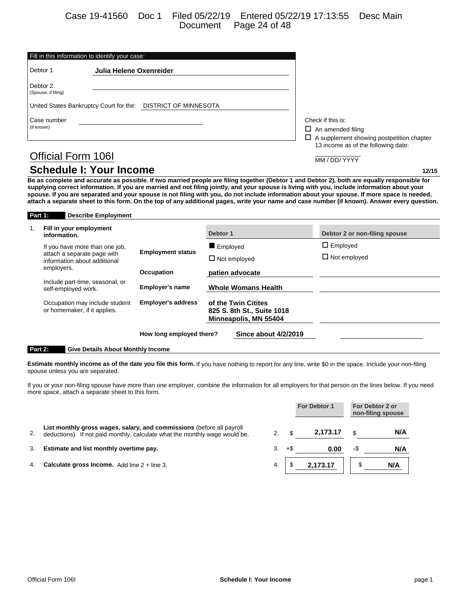Case 19-41560 Doc 1 Filed 05/22/19 Entered 05/22/19 17:13:55 Desc Main Document Page 24 of 48

| Fill in this information to identify your case: |                                                               |                                                                                                 |
|-------------------------------------------------|---------------------------------------------------------------|-------------------------------------------------------------------------------------------------|
| Debtor 1                                        | Julia Helene Oxenreider                                       |                                                                                                 |
| Debtor 2<br>(Spouse, if filing)                 |                                                               |                                                                                                 |
|                                                 | United States Bankruptcy Court for the: DISTRICT OF MINNESOTA |                                                                                                 |
| Case number<br>(If known)                       |                                                               | Check if this is:<br>$\Box$ An amended filing<br>□<br>A supplement showing postpetition chapter |
| <b>Official Form 1061</b>                       |                                                               | 13 income as of the following date:<br>MM / DD/ YYYY                                            |

# **Schedule I: Your Income 12/15**

**Be as complete and accurate as possible. If two married people are filing together (Debtor 1 and Debtor 2), both are equally responsible for supplying correct information. If you are married and not filing jointly, and your spouse is living with you, include information about your spouse. If you are separated and your spouse is not filing with you, do not include information about your spouse. If more space is needed, attach a separate sheet to this form. On the top of any additional pages, write your name and case number (if known). Answer every question.**

#### **Part 1: Describe Employment**

| 1.      | Fill in your employment<br>information.                        |                           | Debtor 1 |                                                                            | Debtor 2 or non-filing spouse |
|---------|----------------------------------------------------------------|---------------------------|----------|----------------------------------------------------------------------------|-------------------------------|
|         | If you have more than one job,                                 |                           | Employed |                                                                            | $\Box$ Employed               |
|         | attach a separate page with<br>information about additional    | <b>Employment status</b>  |          | $\Box$ Not employed                                                        | $\Box$ Not employed           |
|         | employers.                                                     | Occupation                |          | patien advocate                                                            |                               |
|         | Include part-time, seasonal, or<br>self-employed work.         | <b>Employer's name</b>    |          | <b>Whole Womans Health</b>                                                 |                               |
|         | Occupation may include student<br>or homemaker, if it applies. | <b>Employer's address</b> |          | of the Twin Citites<br>825 S. 8th St., Suite 1018<br>Minneapolis, MN 55404 |                               |
|         |                                                                | How long employed there?  |          | Since about 4/2/2019                                                       |                               |
| Part 2: | <b>Give Details About Monthly Income</b>                       |                           |          |                                                                            |                               |

**Estimate monthly income as of the date you file this form.** If you have nothing to report for any line, write \$0 in the space. Include your non-filing spouse unless you are separated.

If you or your non-filing spouse have more than one employer, combine the information for all employers for that person on the lines below. If you need more space, attach a separate sheet to this form.

|    |                                                                                                                                                      |    |     | <b>For Debtor 1</b> |     | For Debtor 2 or<br>non-filing spouse |
|----|------------------------------------------------------------------------------------------------------------------------------------------------------|----|-----|---------------------|-----|--------------------------------------|
| 2. | List monthly gross wages, salary, and commissions (before all payroll<br>deductions). If not paid monthly, calculate what the monthly wage would be. |    |     | 2.173.17            |     | N/A                                  |
| 3. | Estimate and list monthly overtime pay.                                                                                                              | 3. | +\$ | 0.00                | +\$ | N/A                                  |
| 4. | <b>Calculate gross Income.</b> Add line $2 +$ line 3.                                                                                                | 4. |     | 2.173.17            |     | N/A                                  |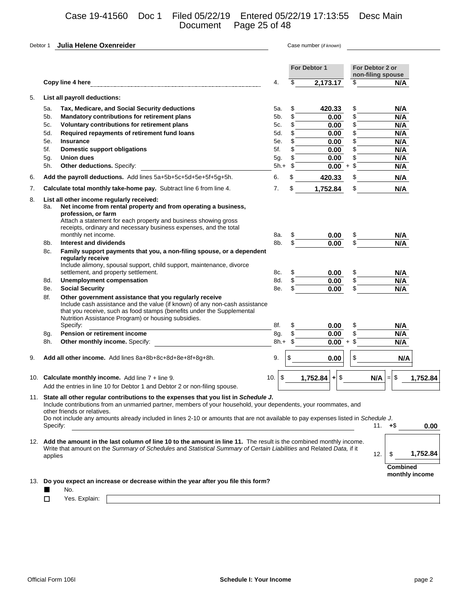Case 19-41560 Doc 1 Filed 05/22/19 Entered 05/22/19 17:13:55 Desc Main Document Page 25 of 48

| Debtor 1 |            | Julia Helene Oxenreider                                                                                                                                                                                                                                                                                                                                                                |            |          | Case number (if known) |           |                                      |                |
|----------|------------|----------------------------------------------------------------------------------------------------------------------------------------------------------------------------------------------------------------------------------------------------------------------------------------------------------------------------------------------------------------------------------------|------------|----------|------------------------|-----------|--------------------------------------|----------------|
|          |            |                                                                                                                                                                                                                                                                                                                                                                                        |            |          | For Debtor 1           |           | For Debtor 2 or<br>non-filing spouse |                |
|          |            | Copy line 4 here                                                                                                                                                                                                                                                                                                                                                                       | 4.         | \$       | 2,173.17               | \$        | N/A                                  |                |
| 5.       |            | List all payroll deductions:                                                                                                                                                                                                                                                                                                                                                           |            |          |                        |           |                                      |                |
|          |            |                                                                                                                                                                                                                                                                                                                                                                                        |            |          |                        |           |                                      |                |
|          | 5а.        | Tax, Medicare, and Social Security deductions                                                                                                                                                                                                                                                                                                                                          | 5а.        | \$       | 420.33                 | \$        | N/A                                  |                |
|          | 5b.        | Mandatory contributions for retirement plans                                                                                                                                                                                                                                                                                                                                           | 5b.        | \$<br>\$ | 0.00                   | \$        | N/A                                  |                |
|          | 5c.<br>5d. | Voluntary contributions for retirement plans<br>Required repayments of retirement fund loans                                                                                                                                                                                                                                                                                           | 5с.<br>5d. | \$       | 0.00                   | \$<br>\$  | N/A<br>N/A                           |                |
|          | 5е.        | <b>Insurance</b>                                                                                                                                                                                                                                                                                                                                                                       | 5е.        | \$       | 0.00                   | \$        | N/A                                  |                |
|          | 5f.        | <b>Domestic support obligations</b>                                                                                                                                                                                                                                                                                                                                                    | 5f.        | \$       | 0.00<br>0.00           | \$        | N/A                                  |                |
|          | 5g.        | <b>Union dues</b>                                                                                                                                                                                                                                                                                                                                                                      | 5g.        | \$       | 0.00                   |           | N/A                                  |                |
|          | 5h.        | Other deductions. Specify:                                                                                                                                                                                                                                                                                                                                                             | 5h.+       | \$       | 0.00                   | \$<br>$+$ | N/A                                  |                |
|          |            |                                                                                                                                                                                                                                                                                                                                                                                        |            |          |                        |           |                                      |                |
| 6.       |            | Add the payroll deductions. Add lines 5a+5b+5c+5d+5e+5f+5g+5h.                                                                                                                                                                                                                                                                                                                         | 6.         | \$       | 420.33                 | \$        | N/A                                  |                |
| 7.       |            | Calculate total monthly take-home pay. Subtract line 6 from line 4.                                                                                                                                                                                                                                                                                                                    | 7.         | \$       | 1,752.84               | \$        | N/A                                  |                |
| 8.       | 8a.        | List all other income regularly received:<br>Net income from rental property and from operating a business,<br>profession, or farm<br>Attach a statement for each property and business showing gross<br>receipts, ordinary and necessary business expenses, and the total<br>monthly net income.                                                                                      | 8a.        | \$       |                        | \$        | N/A                                  |                |
|          | 8b.        | <b>Interest and dividends</b>                                                                                                                                                                                                                                                                                                                                                          | 8b.        | \$       | 0.00<br>0.00           | \$        | N/A                                  |                |
|          | 8c.        | Family support payments that you, a non-filing spouse, or a dependent<br>regularly receive<br>Include alimony, spousal support, child support, maintenance, divorce<br>settlement, and property settlement.                                                                                                                                                                            | 8c.        | \$       | 0.00                   | \$        | N/A                                  |                |
|          | 8d.        | <b>Unemployment compensation</b>                                                                                                                                                                                                                                                                                                                                                       | 8d.        | \$       | 0.00                   | \$        | N/A                                  |                |
|          | 8e.        | <b>Social Security</b>                                                                                                                                                                                                                                                                                                                                                                 | 8e.        | \$       | 0.00                   | \$        | N/A                                  |                |
|          | 8f.        | Other government assistance that you regularly receive<br>Include cash assistance and the value (if known) of any non-cash assistance<br>that you receive, such as food stamps (benefits under the Supplemental<br>Nutrition Assistance Program) or housing subsidies.<br>Specify:                                                                                                     | 8f.        | \$       | 0.00                   | \$        | N/A                                  |                |
|          | 8g.        | Pension or retirement income                                                                                                                                                                                                                                                                                                                                                           | 8g.        | \$       | 0.00                   | \$        | N/A                                  |                |
|          | 8h.        | Other monthly income. Specify:                                                                                                                                                                                                                                                                                                                                                         | $8h.+$     | \$       | 0.00                   | $+$ \$    | N/A                                  |                |
| 9.       |            | Add all other income. Add lines 8a+8b+8c+8d+8e+8f+8g+8h.                                                                                                                                                                                                                                                                                                                               | 9.         | S        | 0.00                   | \$        | N/A                                  |                |
|          |            | 10. Calculate monthly income. Add line 7 + line 9                                                                                                                                                                                                                                                                                                                                      | \$<br>10.1 |          | \$<br>1,752.84<br>$+$  |           | $=$ \$<br>N/A                        | 1.752.84       |
|          |            | Add the entries in line 10 for Debtor 1 and Debtor 2 or non-filing spouse.                                                                                                                                                                                                                                                                                                             |            |          |                        |           |                                      |                |
| 11.      |            | State all other regular contributions to the expenses that you list in Schedule J.<br>Include contributions from an unmarried partner, members of your household, your dependents, your roommates, and<br>other friends or relatives.<br>Do not include any amounts already included in lines 2-10 or amounts that are not available to pay expenses listed in Schedule J.<br>Specify: |            |          |                        |           | 11. $+$ \$                           | 0.00           |
|          | applies    | 12. Add the amount in the last column of line 10 to the amount in line 11. The result is the combined monthly income.<br>Write that amount on the Summary of Schedules and Statistical Summary of Certain Liabilities and Related Data, if it                                                                                                                                          |            |          |                        |           | 12.                                  | 1,752.84       |
|          |            | 13. Do you expect an increase or decrease within the year after you file this form?<br>No.                                                                                                                                                                                                                                                                                             |            |          |                        |           | <b>Combined</b>                      | monthly income |
|          | □          | Yes. Explain:                                                                                                                                                                                                                                                                                                                                                                          |            |          |                        |           |                                      |                |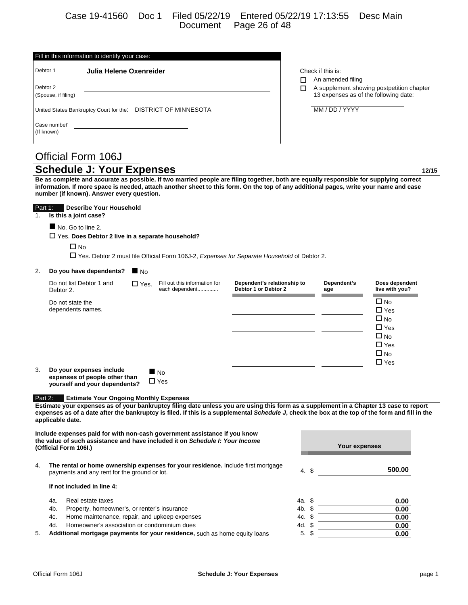Case 19-41560 Doc 1 Filed 05/22/19 Entered 05/22/19 17:13:55 Desc Main Document Page 26 of 48

|                                 | Fill in this information to identify your case:               |                               |
|---------------------------------|---------------------------------------------------------------|-------------------------------|
| Debtor 1                        | Julia Helene Oxenreider                                       | Check if this is:<br>An amend |
| Debtor 2<br>(Spouse, if filing) |                                                               | A supplem<br>13 expens        |
|                                 | United States Bankruptcy Court for the: DISTRICT OF MINNESOTA | MM/DD/                        |
| Case number<br>(If known)       |                                                               |                               |

# Official Form 106J **Schedule J: Your Expenses 12/15**

**Be as complete and accurate as possible. If two married people are filing together, both are equally responsible for supplying correct information. If more space is needed, attach another sheet to this form. On the top of any additional pages, write your name and case number (if known). Answer every question.**

#### Part 1: **Describe Your Household**

| Is this a joint case?<br>1. |  |
|-----------------------------|--|
|-----------------------------|--|

No. Go to line 2.

Yes. **Does Debtor 2 live in a separate household?**

© No

Yes. Debtor 2 must file Official Form 106J-2, *Expenses for Separate Household* of Debtor 2.

#### 2. **Do you have dependents?**  $\blacksquare$  No

|    | Do not list Debtor 1 and<br>Debtor 2. | $\Box$ Yes. | Fill out this information for<br>each dependent | Dependent's relationship to<br>Debtor 1 or Debtor 2 | Dependent's<br>age | Does dependent<br>live with you?           |
|----|---------------------------------------|-------------|-------------------------------------------------|-----------------------------------------------------|--------------------|--------------------------------------------|
|    | Do not state the<br>dependents names. |             |                                                 |                                                     |                    | $\square$ No<br>$\Box$ Yes                 |
|    |                                       |             |                                                 |                                                     |                    | $\square$ No<br>$\Box$ Yes                 |
|    |                                       |             |                                                 |                                                     |                    | $\square$ No<br>$\Box$ Yes<br>$\square$ No |
| 3. | Do your expenses include              |             | No.                                             |                                                     |                    | $\Box$ Yes                                 |

**expenses of people other than yourself and your dependents?**  $\Box$  Yes

#### Part 2: **Estimate Your Ongoing Monthly Expenses**

**Estimate your expenses as of your bankruptcy filing date unless you are using this form as a supplement in a Chapter 13 case to report expenses as of a date after the bankruptcy is filed. If this is a supplemental** *Schedule J***, check the box at the top of the form and fill in the applicable date.**

**Include expenses paid for with non-cash government assistance if you know the value of such assistance and have included it on** *Schedule I: Your Income* **(Official Form 106I.) Your expenses** 4. **The rental or home ownership expenses for your residence.** Include first mortgage payments and any rent for the ground or lot.<br> **payments and any rent for the ground or lot. 500.00 If not included in line 4:** 4a. Real estate taxes 4a. \$ **0.00** 4b. Property, homeowner's, or renter's insurance and the series of the series of the series of the series of the series of the series of the series of the series of the series of the series of the series of the series of t Home maintenance, repair, and upkeep expenses 4c. \$
4c. \$ **0.00**<br>
Homeowner's association or condominium dues
4d. \$ **0.00** 4d. Homeowner's association or condominium dues 4d. \$ 4d. \$ **0.00**<br> **Additional mortgage payments for your residence**, such as home equity loans 5. \$ 5. **Additional mortgage payments for your residence,** such as home equity loans 5. \$ **0.00**

 $\Pi$  An amended filing

 $\Box$  A supplement showing postpetition chapter 13 expenses as of the following date:

MM / DD / YYYY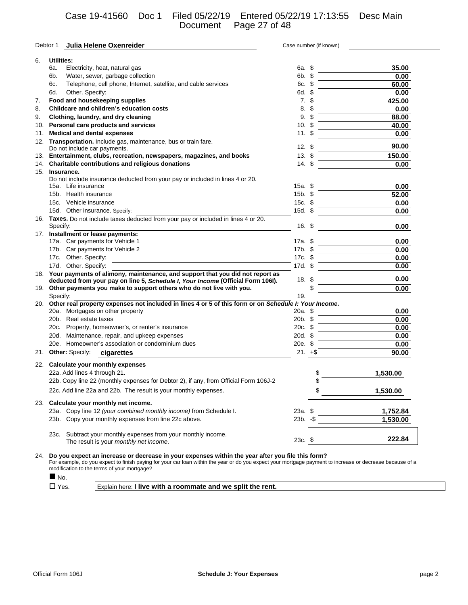## Case 19-41560 Doc 1 Filed 05/22/19 Entered 05/22/19 17:13:55 Desc Main Document Page 27 of 48

|     | Julia Helene Oxenreider<br>Debtor 1                                                                                                                        |                 | Case number (if known) |          |
|-----|------------------------------------------------------------------------------------------------------------------------------------------------------------|-----------------|------------------------|----------|
| 6.  | Utilities:                                                                                                                                                 |                 |                        |          |
|     | Electricity, heat, natural gas<br>6а.                                                                                                                      | 6a. \$          |                        | 35.00    |
|     | 6b.<br>Water, sewer, garbage collection                                                                                                                    | 6b. \$          |                        | 0.00     |
|     | Telephone, cell phone, Internet, satellite, and cable services<br>6c.                                                                                      | 6c. \$          |                        | 60.00    |
|     | 6d.<br>Other. Specify:                                                                                                                                     | 6d. \$          |                        | 0.00     |
| 7.  | Food and housekeeping supplies                                                                                                                             |                 | $7.$ \$                | 425.00   |
| 8.  | Childcare and children's education costs                                                                                                                   | 8.              | \$                     | 0.00     |
| 9.  | Clothing, laundry, and dry cleaning                                                                                                                        | 9.              | \$                     | 88.00    |
|     | 10. Personal care products and services                                                                                                                    | $10.$ \$        |                        | 40.00    |
| 11. | <b>Medical and dental expenses</b>                                                                                                                         | 11.             | \$                     | 0.00     |
|     | 12. Transportation. Include gas, maintenance, bus or train fare.                                                                                           |                 |                        |          |
|     | Do not include car payments.                                                                                                                               | 12.             | -\$                    | 90.00    |
|     | 13. Entertainment, clubs, recreation, newspapers, magazines, and books                                                                                     | 13.             | \$                     | 150.00   |
|     | 14. Charitable contributions and religious donations                                                                                                       | 14.             | \$                     | 0.00     |
|     | 15. Insurance.                                                                                                                                             |                 |                        |          |
|     | Do not include insurance deducted from your pay or included in lines 4 or 20.                                                                              |                 |                        |          |
|     | 15a. Life insurance                                                                                                                                        | 15a. \$         |                        | 0.00     |
|     | 15b. Health insurance                                                                                                                                      | $15b.$ \$       |                        | 52.00    |
|     | 15c. Vehicle insurance                                                                                                                                     | 15c. $\sqrt{5}$ |                        | 0.00     |
|     | 15d. Other insurance. Specify:                                                                                                                             | $15d.$ \$       |                        | 0.00     |
|     | 16. Taxes. Do not include taxes deducted from your pay or included in lines 4 or 20.                                                                       |                 |                        |          |
|     | Specify:                                                                                                                                                   | 16.             | \$                     | 0.00     |
|     | 17. Installment or lease payments:                                                                                                                         |                 |                        |          |
|     | 17a. Car payments for Vehicle 1                                                                                                                            | 17a. \$         |                        | 0.00     |
|     | 17b. Car payments for Vehicle 2                                                                                                                            | $17b.$ \$       |                        | 0.00     |
|     | 17c. Other. Specify:                                                                                                                                       | 17c. $$$        |                        | 0.00     |
|     | 17d. Other. Specify:                                                                                                                                       | 17d. \$         |                        | 0.00     |
|     | 18. Your payments of alimony, maintenance, and support that you did not report as                                                                          | 18.             | - \$                   | 0.00     |
|     | deducted from your pay on line 5, Schedule I, Your Income (Official Form 106I).<br>19. Other payments you make to support others who do not live with you. |                 | \$                     | 0.00     |
|     | Specify:                                                                                                                                                   | 19.             |                        |          |
|     | 20. Other real property expenses not included in lines 4 or 5 of this form or on Schedule I: Your Income.                                                  |                 |                        |          |
|     | 20a. Mortgages on other property                                                                                                                           | $20a.$ \$       |                        | 0.00     |
|     | 20b. Real estate taxes                                                                                                                                     | $20b.$ \$       |                        | 0.00     |
|     | 20c. Property, homeowner's, or renter's insurance                                                                                                          | $20c.$ \$       |                        | 0.00     |
|     | 20d. Maintenance, repair, and upkeep expenses                                                                                                              | $20d.$ \$       |                        | 0.00     |
|     | 20e. Homeowner's association or condominium dues                                                                                                           | 20e. \$         |                        | 0.00     |
|     | 21. Other: Specify:<br>cigarettes                                                                                                                          |                 | $21. + $$              | 90.00    |
|     |                                                                                                                                                            |                 |                        |          |
|     | 22. Calculate your monthly expenses                                                                                                                        |                 |                        |          |
|     | 22a. Add lines 4 through 21.                                                                                                                               |                 | \$                     | 1,530.00 |
|     | 22b. Copy line 22 (monthly expenses for Debtor 2), if any, from Official Form 106J-2                                                                       |                 | \$                     |          |
|     | 22c. Add line 22a and 22b. The result is your monthly expenses.                                                                                            |                 | \$                     | 1,530.00 |
|     |                                                                                                                                                            |                 |                        |          |
|     | 23. Calculate your monthly net income.<br>23a. Copy line 12 (your combined monthly income) from Schedule I.                                                | $23a.$ \$       |                        |          |
|     |                                                                                                                                                            |                 |                        | 1,752.84 |
|     | 23b. Copy your monthly expenses from line 22c above.                                                                                                       | $23b. - $$      |                        | 1,530.00 |
|     | 23c. Subtract your monthly expenses from your monthly income.                                                                                              |                 |                        |          |
|     | The result is your monthly net income.                                                                                                                     | 23c.            | \$                     | 222.84   |
|     |                                                                                                                                                            |                 |                        |          |
|     |                                                                                                                                                            |                 |                        |          |

24. **Do you expect an increase or decrease in your expenses within the year after you file this form?**

For example, do you expect to finish paying for your car loan within the year or do you expect your mortgage payment to increase or decrease because of a modification to the terms of your mortgage?

 $\blacksquare$  No.<br> $\square$  Yes.

**Explain here: I live with a roommate and we split the rent.**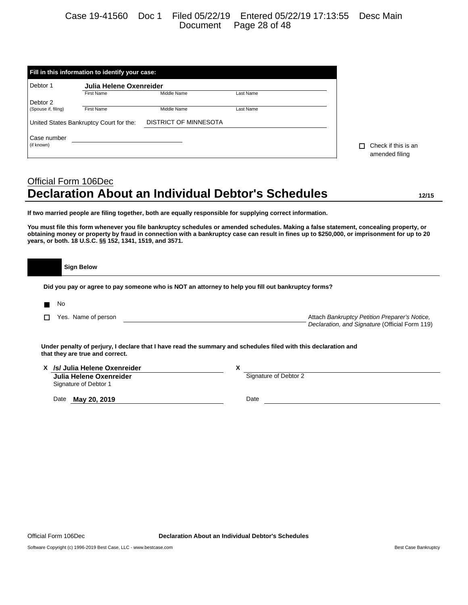Case 19-41560 Doc 1 Filed 05/22/19 Entered 05/22/19 17:13:55 Desc Main Document Page 28 of 48

|                     | Fill in this information to identify your case: |                       |           |                                             |  |
|---------------------|-------------------------------------------------|-----------------------|-----------|---------------------------------------------|--|
| Debtor 1            | Julia Helene Oxenreider                         |                       |           |                                             |  |
|                     | <b>First Name</b>                               | Middle Name           | Last Name |                                             |  |
| Debtor 2            |                                                 |                       |           |                                             |  |
| (Spouse if, filing) | <b>First Name</b>                               | Middle Name           | Last Name |                                             |  |
|                     | United States Bankruptcy Court for the:         | DISTRICT OF MINNESOTA |           |                                             |  |
| Case number         |                                                 |                       |           |                                             |  |
| (if known)          |                                                 |                       |           | Check if this is an<br>п.<br>amended filing |  |

# Official Form 106Dec **Declaration About an Individual Debtor's Schedules 12/15**

**If two married people are filing together, both are equally responsible for supplying correct information.**

**You must file this form whenever you file bankruptcy schedules or amended schedules. Making a false statement, concealing property, or obtaining money or property by fraud in connection with a bankruptcy case can result in fines up to \$250,000, or imprisonment for up to 20 years, or both. 18 U.S.C. §§ 152, 1341, 1519, and 3571.**

| <b>Sign Below</b>                                                                                 |                                                                                                                |
|---------------------------------------------------------------------------------------------------|----------------------------------------------------------------------------------------------------------------|
| Did you pay or agree to pay someone who is NOT an attorney to help you fill out bankruptcy forms? |                                                                                                                |
| No                                                                                                |                                                                                                                |
| Yes. Name of person                                                                               | Attach Bankruptcy Petition Preparer's Notice,<br>Declaration, and Signature (Official Form 119)                |
| that they are true and correct.                                                                   | Under penalty of perjury, I declare that I have read the summary and schedules filed with this declaration and |
| /s/ Julia Helene Oxenreider<br>X.                                                                 | Χ                                                                                                              |
| Julia Helene Oxenreider<br>Signature of Debtor 1                                                  | Signature of Debtor 2                                                                                          |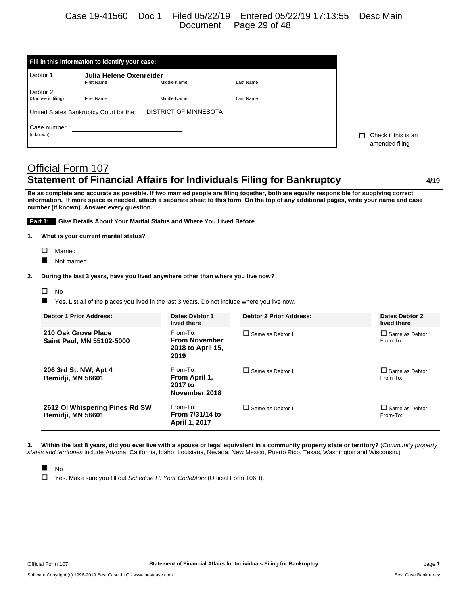# Case 19-41560 Doc 1 Filed 05/22/19 Entered 05/22/19 17:13:55 Desc Main Document Page 29 of 48

|                     | Fill in this information to identify your case: |                              |           |  |
|---------------------|-------------------------------------------------|------------------------------|-----------|--|
| Debtor 1            | Julia Helene Oxenreider                         |                              |           |  |
|                     | <b>First Name</b>                               | Middle Name                  | Last Name |  |
| Debtor 2            |                                                 |                              |           |  |
| (Spouse if, filing) | <b>First Name</b>                               | Middle Name                  | Last Name |  |
|                     | United States Bankruptcy Court for the:         | <b>DISTRICT OF MINNESOTA</b> |           |  |
| Case number         |                                                 |                              |           |  |
| (if known)          |                                                 |                              |           |  |
|                     |                                                 |                              |           |  |

# Official Form 107 **Statement of Financial Affairs for Individuals Filing for Bankruptcy <b>Addam** 4/19

**Be as complete and accurate as possible. If two married people are filing together, both are equally responsible for supplying correct information. If more space is needed, attach a separate sheet to this form. On the top of any additional pages, write your name and case number (if known). Answer every question.**

**Part 1: Give Details About Your Marital Status and Where You Lived Before**

**1. What is your current marital status?**

- Married
- Not married

**2. During the last 3 years, have you lived anywhere other than where you live now?**

 $\square$  No

Yes. List all of the places you lived in the last 3 years. Do not include where you live now.

| <b>Debtor 1 Prior Address:</b>                      | Dates Debtor 1<br>lived there                                 | <b>Debtor 2 Prior Address:</b> | Dates Debtor 2<br>lived there       |
|-----------------------------------------------------|---------------------------------------------------------------|--------------------------------|-------------------------------------|
| 210 Oak Grove Place<br>Saint Paul, MN 55102-5000    | From-To:<br><b>From November</b><br>2018 to April 15,<br>2019 | $\Box$ Same as Debtor 1        | $\Box$ Same as Debtor 1<br>From-To: |
| 206 3rd St. NW, Apt 4<br>Bemidji, MN 56601          | From-To:<br>From April 1,<br>2017 to<br>November 2018         | $\Box$ Same as Debtor 1        | $\Box$ Same as Debtor 1<br>From-To: |
| 2612 OI Whispering Pines Rd SW<br>Bemidji, MN 56601 | From-To:<br>From 7/31/14 to<br>April 1, 2017                  | $\Box$ Same as Debtor 1        | $\Box$ Same as Debtor 1<br>From-To: |

**3. Within the last 8 years, did you ever live with a spouse or legal equivalent in a community property state or territory?** (*Community property states and territories* include Arizona, California, Idaho, Louisiana, Nevada, New Mexico, Puerto Rico, Texas, Washington and Wisconsin.)

 $\blacksquare$  No

Yes. Make sure you fill out *Schedule H: Your Codebtors* (Official Form 106H).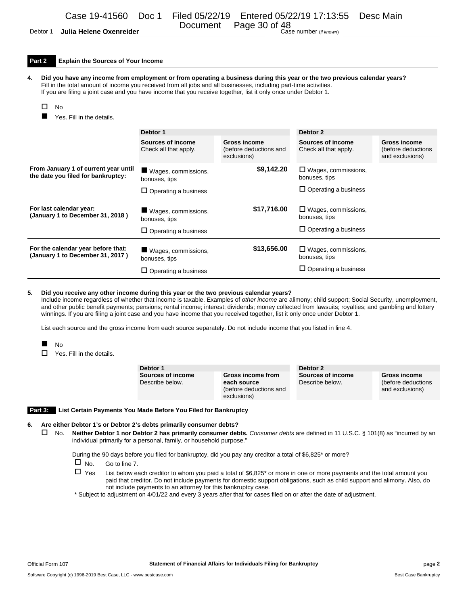Page 30 of 48

Document Page 30 of 48<br>Debtor 1 **Julia Helene Oxenreider Case number** (*if known*)

|    | Part 2<br><b>Explain the Sources of Your Income</b>                                                                                                                                                                                                                                                                                                               |                                                     |                                                              |                                             |                                                       |  |  |  |
|----|-------------------------------------------------------------------------------------------------------------------------------------------------------------------------------------------------------------------------------------------------------------------------------------------------------------------------------------------------------------------|-----------------------------------------------------|--------------------------------------------------------------|---------------------------------------------|-------------------------------------------------------|--|--|--|
| 4. | Did you have any income from employment or from operating a business during this year or the two previous calendar years?<br>Fill in the total amount of income you received from all jobs and all businesses, including part-time activities.<br>If you are filing a joint case and you have income that you receive together, list it only once under Debtor 1. |                                                     |                                                              |                                             |                                                       |  |  |  |
|    | П<br><b>No</b>                                                                                                                                                                                                                                                                                                                                                    |                                                     |                                                              |                                             |                                                       |  |  |  |
|    | Yes. Fill in the details.                                                                                                                                                                                                                                                                                                                                         |                                                     |                                                              |                                             |                                                       |  |  |  |
|    |                                                                                                                                                                                                                                                                                                                                                                   | Debtor 1                                            |                                                              | Debtor 2                                    |                                                       |  |  |  |
|    |                                                                                                                                                                                                                                                                                                                                                                   | Sources of income<br>Check all that apply.          | <b>Gross income</b><br>(before deductions and<br>exclusions) | Sources of income<br>Check all that apply.  | Gross income<br>(before deductions<br>and exclusions) |  |  |  |
|    | From January 1 of current year until<br>the date you filed for bankruptcy:                                                                                                                                                                                                                                                                                        | Wages, commissions,<br>bonuses, tips                | \$9,142.20                                                   | $\Box$ Wages, commissions,<br>bonuses, tips |                                                       |  |  |  |
|    |                                                                                                                                                                                                                                                                                                                                                                   | $\square$ Operating a business                      |                                                              | $\Box$ Operating a business                 |                                                       |  |  |  |
|    | For last calendar year:<br>(January 1 to December 31, 2018)                                                                                                                                                                                                                                                                                                       | $\blacksquare$ Wages, commissions,<br>bonuses, tips | \$17,716.00                                                  | $\Box$ Wages, commissions,<br>bonuses, tips |                                                       |  |  |  |
|    |                                                                                                                                                                                                                                                                                                                                                                   | $\Box$ Operating a business                         |                                                              | $\square$ Operating a business              |                                                       |  |  |  |
|    | For the calendar year before that:<br>(January 1 to December 31, 2017)                                                                                                                                                                                                                                                                                            | Wages, commissions,<br>bonuses, tips                | \$13,656.00                                                  | $\Box$ Wages, commissions,<br>bonuses, tips |                                                       |  |  |  |
|    |                                                                                                                                                                                                                                                                                                                                                                   | $\Box$ Operating a business                         |                                                              | $\Box$ Operating a business                 |                                                       |  |  |  |

#### **5. Did you receive any other income during this year or the two previous calendar years?** Include income regardless of whether that income is taxable. Examples of *other income* are alimony; child support; Social Security, unemployment, and other public benefit payments; pensions; rental income; interest; dividends; money collected from lawsuits; royalties; and gambling and lottery winnings. If you are filing a joint case and you have income that you received together, list it only once under Debtor 1.

List each source and the gross income from each source separately. Do not include income that you listed in line 4.

No

 $\Box$  Yes. Fill in the details.

| Debtor 1                             |                                                                           | Debtor 2                             |                                                       |
|--------------------------------------|---------------------------------------------------------------------------|--------------------------------------|-------------------------------------------------------|
| Sources of income<br>Describe below. | Gross income from<br>each source<br>(before deductions and<br>exclusions) | Sources of income<br>Describe below. | Gross income<br>(before deductions<br>and exclusions) |

#### **Part 3: List Certain Payments You Made Before You Filed for Bankruptcy**

#### **6. Are either Debtor 1's or Debtor 2's debts primarily consumer debts?**

 No. **Neither Debtor 1 nor Debtor 2 has primarily consumer debts.** *Consumer debts* are defined in 11 U.S.C. § 101(8) as "incurred by an individual primarily for a personal, family, or household purpose."

During the 90 days before you filed for bankruptcy, did you pay any creditor a total of \$6,825\* or more?

- $\Box$  No. Go to line 7.
- $\Box$  Yes List below each creditor to whom you paid a total of \$6,825\* or more in one or more payments and the total amount you paid that creditor. Do not include payments for domestic support obligations, such as child support and alimony. Also, do not include payments to an attorney for this bankruptcy case.

\* Subject to adjustment on 4/01/22 and every 3 years after that for cases filed on or after the date of adjustment.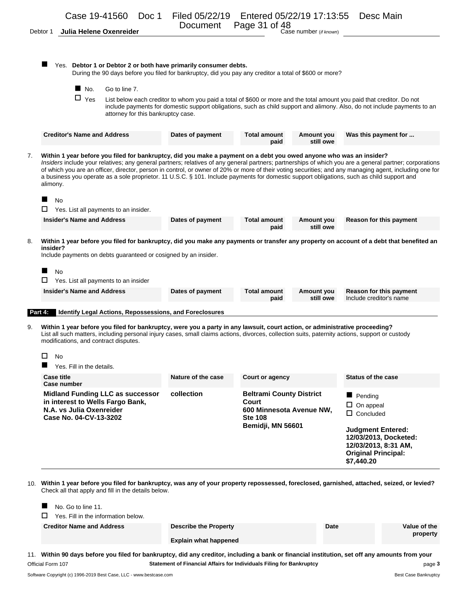|                                  | Document Page 31 of 48 |
|----------------------------------|------------------------|
| Debtor 1 Julia Helene Oxenreider | Case number (if known) |

|                   |                                                                    |                                                                 | During the 90 days before you filed for bankruptcy, did you pay any creditor a total of \$600 or more?                      |                             |                         |                                                                                                                                                                                                                                                                                                                                                                                                                                                                  |
|-------------------|--------------------------------------------------------------------|-----------------------------------------------------------------|-----------------------------------------------------------------------------------------------------------------------------|-----------------------------|-------------------------|------------------------------------------------------------------------------------------------------------------------------------------------------------------------------------------------------------------------------------------------------------------------------------------------------------------------------------------------------------------------------------------------------------------------------------------------------------------|
|                   | $\blacksquare$ No.                                                 | Go to line 7.                                                   |                                                                                                                             |                             |                         |                                                                                                                                                                                                                                                                                                                                                                                                                                                                  |
|                   | $\Box$ Yes                                                         | attorney for this bankruptcy case.                              |                                                                                                                             |                             |                         | List below each creditor to whom you paid a total of \$600 or more and the total amount you paid that creditor. Do not<br>include payments for domestic support obligations, such as child support and alimony. Also, do not include payments to an                                                                                                                                                                                                              |
|                   | <b>Creditor's Name and Address</b>                                 |                                                                 | Dates of payment                                                                                                            | <b>Total amount</b><br>paid | Amount you<br>still owe | Was this payment for                                                                                                                                                                                                                                                                                                                                                                                                                                             |
| alimony.          |                                                                    |                                                                 | Within 1 year before you filed for bankruptcy, did you make a payment on a debt you owed anyone who was an insider?         |                             |                         | Insiders include your relatives; any general partners; relatives of any general partners; partnerships of which you are a general partner; corporations<br>of which you are an officer, director, person in control, or owner of 20% or more of their voting securities; and any managing agent, including one for<br>a business you operate as a sole proprietor. 11 U.S.C. § 101. Include payments for domestic support obligations, such as child support and |
| No<br>□           |                                                                    | Yes. List all payments to an insider.                           |                                                                                                                             |                             |                         |                                                                                                                                                                                                                                                                                                                                                                                                                                                                  |
|                   | <b>Insider's Name and Address</b>                                  |                                                                 | Dates of payment                                                                                                            | <b>Total amount</b><br>paid | Amount you<br>still owe | Reason for this payment                                                                                                                                                                                                                                                                                                                                                                                                                                          |
| No                |                                                                    | Include payments on debts guaranteed or cosigned by an insider. |                                                                                                                             |                             |                         |                                                                                                                                                                                                                                                                                                                                                                                                                                                                  |
| □                 |                                                                    | Yes. List all payments to an insider                            |                                                                                                                             |                             |                         |                                                                                                                                                                                                                                                                                                                                                                                                                                                                  |
|                   | <b>Insider's Name and Address</b>                                  |                                                                 | Dates of payment                                                                                                            | <b>Total amount</b><br>paid | Amount you<br>still owe | Reason for this payment<br>Include creditor's name                                                                                                                                                                                                                                                                                                                                                                                                               |
| Part 4:           |                                                                    | <b>Identify Legal Actions, Repossessions, and Foreclosures</b>  |                                                                                                                             |                             |                         |                                                                                                                                                                                                                                                                                                                                                                                                                                                                  |
| □<br>No           | modifications, and contract disputes.<br>Yes. Fill in the details. |                                                                 | Within 1 year before you filed for bankruptcy, were you a party in any lawsuit, court action, or administrative proceeding? |                             |                         | List all such matters, including personal injury cases, small claims actions, divorces, collection suits, paternity actions, support or custody                                                                                                                                                                                                                                                                                                                  |
| <b>Case title</b> | Case number                                                        |                                                                 | Nature of the case                                                                                                          | Court or agency             |                         | <b>Status of the case</b>                                                                                                                                                                                                                                                                                                                                                                                                                                        |

10. **Within 1 year before you filed for bankruptcy, was any of your property repossessed, foreclosed, garnished, attached, seized, or levied?** Check all that apply and fill in the details below.

| No. Go to line 11.<br>П<br>Yes. Fill in the information below. |                              |             |              |
|----------------------------------------------------------------|------------------------------|-------------|--------------|
| <b>Creditor Name and Address</b>                               | <b>Describe the Property</b> | <b>Date</b> | Value of the |
|                                                                | <b>Explain what happened</b> |             | property     |

11. **Within 90 days before you filed for bankruptcy, did any creditor, including a bank or financial institution, set off any amounts from your** Official Form 107 **Statement of Financial Affairs for Individuals Filing for Bankruptcy** page **3**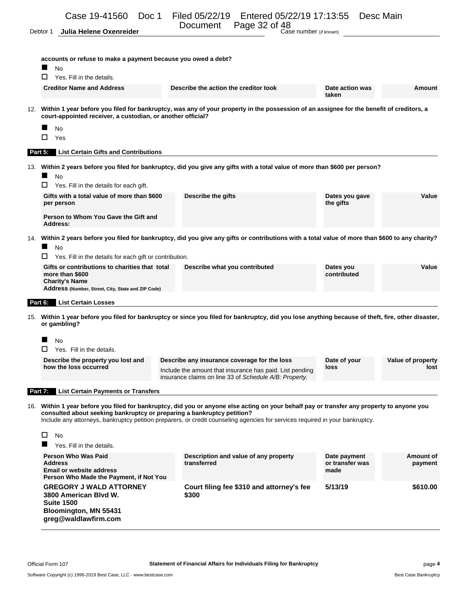| Debtor 1 | Julia Helene Oxenreider                                           | Document Page 32 of $48$<br>Case number (if known) |
|----------|-------------------------------------------------------------------|----------------------------------------------------|
|          | Cidale a kausa usu aanaad inaanaan a ayaa aa aanaa usu ayaa aighi |                                                    |

| accounts or refuse to make a payment because you owed a debt?<br><b>No</b>                                                                       |                                                                                                                                                                                                                                                                             |                                 |                      |  |  |  |
|--------------------------------------------------------------------------------------------------------------------------------------------------|-----------------------------------------------------------------------------------------------------------------------------------------------------------------------------------------------------------------------------------------------------------------------------|---------------------------------|----------------------|--|--|--|
| □<br>Yes. Fill in the details.                                                                                                                   |                                                                                                                                                                                                                                                                             |                                 |                      |  |  |  |
| <b>Creditor Name and Address</b>                                                                                                                 | Describe the action the creditor took                                                                                                                                                                                                                                       | Date action was<br>taken        | <b>Amount</b>        |  |  |  |
| court-appointed receiver, a custodian, or another official?                                                                                      | 12. Within 1 year before you filed for bankruptcy, was any of your property in the possession of an assignee for the benefit of creditors, a                                                                                                                                |                                 |                      |  |  |  |
| No<br>п<br>Yes                                                                                                                                   |                                                                                                                                                                                                                                                                             |                                 |                      |  |  |  |
| <b>List Certain Gifts and Contributions</b><br>Part 5:                                                                                           |                                                                                                                                                                                                                                                                             |                                 |                      |  |  |  |
| ш<br>No                                                                                                                                          | 13. Within 2 years before you filed for bankruptcy, did you give any gifts with a total value of more than \$600 per person?                                                                                                                                                |                                 |                      |  |  |  |
| ப<br>Yes. Fill in the details for each gift.                                                                                                     |                                                                                                                                                                                                                                                                             |                                 |                      |  |  |  |
| Gifts with a total value of more than \$600<br>per person                                                                                        | Describe the gifts                                                                                                                                                                                                                                                          | Dates you gave<br>the gifts     | Value                |  |  |  |
| Person to Whom You Gave the Gift and<br>Address:                                                                                                 |                                                                                                                                                                                                                                                                             |                                 |                      |  |  |  |
| No                                                                                                                                               | 14. Within 2 years before you filed for bankruptcy, did you give any gifts or contributions with a total value of more than \$600 to any charity?                                                                                                                           |                                 |                      |  |  |  |
| Yes. Fill in the details for each gift or contribution.<br>ப                                                                                     |                                                                                                                                                                                                                                                                             |                                 |                      |  |  |  |
| Gifts or contributions to charities that total<br>more than \$600<br><b>Charity's Name</b><br>Address (Number, Street, City, State and ZIP Code) | Describe what you contributed                                                                                                                                                                                                                                               | Dates you<br>contributed        | Value                |  |  |  |
| <b>List Certain Losses</b><br>Part 6:                                                                                                            |                                                                                                                                                                                                                                                                             |                                 |                      |  |  |  |
| or gambling?                                                                                                                                     | 15. Within 1 year before you filed for bankruptcy or since you filed for bankruptcy, did you lose anything because of theft, fire, other disaster,                                                                                                                          |                                 |                      |  |  |  |
| No<br>Yes. Fill in the details.<br>□                                                                                                             |                                                                                                                                                                                                                                                                             |                                 |                      |  |  |  |
| Describe the property you lost and                                                                                                               | Describe any insurance coverage for the loss                                                                                                                                                                                                                                | Date of your                    | Value of property    |  |  |  |
| how the loss occurred                                                                                                                            | Include the amount that insurance has paid. List pending<br>insurance claims on line 33 of Schedule A/B: Property.                                                                                                                                                          | loss                            | lost                 |  |  |  |
| <b>List Certain Payments or Transfers</b><br>Part 7:                                                                                             |                                                                                                                                                                                                                                                                             |                                 |                      |  |  |  |
| consulted about seeking bankruptcy or preparing a bankruptcy petition?                                                                           | 16. Within 1 year before you filed for bankruptcy, did you or anyone else acting on your behalf pay or transfer any property to anyone you<br>Include any attorneys, bankruptcy petition preparers, or credit counseling agencies for services required in your bankruptcy. |                                 |                      |  |  |  |
| □<br>No                                                                                                                                          |                                                                                                                                                                                                                                                                             |                                 |                      |  |  |  |
| Yes. Fill in the details.                                                                                                                        |                                                                                                                                                                                                                                                                             |                                 |                      |  |  |  |
| <b>Person Who Was Paid</b><br><b>Address</b>                                                                                                     | Description and value of any property<br>transferred                                                                                                                                                                                                                        | Date payment<br>or transfer was | Amount of<br>payment |  |  |  |
| <b>Email or website address</b><br>Person Who Made the Payment, if Not You                                                                       |                                                                                                                                                                                                                                                                             | made                            |                      |  |  |  |
| <b>GREGORY J WALD ATTORNEY</b><br>3800 American Blvd W.<br><b>Suite 1500</b><br>Bloomington, MN 55431<br>greg@waldlawfirm.com                    | Court filing fee \$310 and attorney's fee<br>\$300                                                                                                                                                                                                                          | 5/13/19                         | \$610.00             |  |  |  |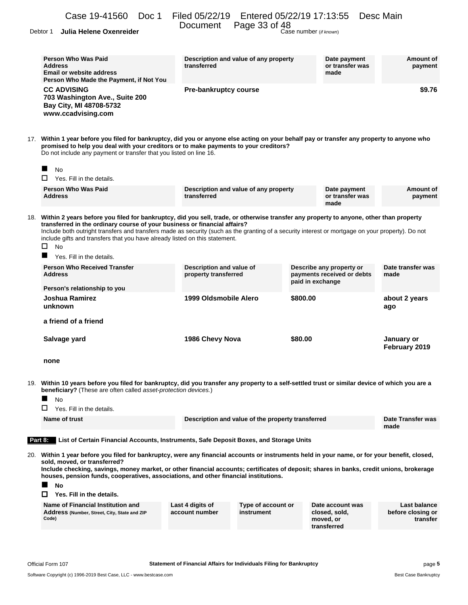|  |  |  | Case 19-41560 Doc 1 Filed 05/22/19 Entered 05/22/19 17:13:55 Desc Main |  |
|--|--|--|------------------------------------------------------------------------|--|
|--|--|--|------------------------------------------------------------------------|--|

Document Page 33 of 48

Debtor 1 **Julia Helene Oxenreider** Case number (*if known*)

| <b>Person Who Was Paid</b><br><b>Address</b><br><b>Email or website address</b><br>Person Who Made the Payment, if Not You                                                                                                                                                                                                                                                                                                                                                                                 | Description and value of any property<br>transferred                 |                                                   |          | Date payment<br>or transfer was<br>made                       | Amount of<br>payment                          |
|------------------------------------------------------------------------------------------------------------------------------------------------------------------------------------------------------------------------------------------------------------------------------------------------------------------------------------------------------------------------------------------------------------------------------------------------------------------------------------------------------------|----------------------------------------------------------------------|---------------------------------------------------|----------|---------------------------------------------------------------|-----------------------------------------------|
| <b>CC ADVISING</b><br>703 Washington Ave., Suite 200<br>Bay City, MI 48708-5732<br>www.ccadvising.com                                                                                                                                                                                                                                                                                                                                                                                                      | Pre-bankruptcy course                                                |                                                   |          |                                                               | \$9.76                                        |
| 17. Within 1 year before you filed for bankruptcy, did you or anyone else acting on your behalf pay or transfer any property to anyone who<br>promised to help you deal with your creditors or to make payments to your creditors?<br>Do not include any payment or transfer that you listed on line 16.                                                                                                                                                                                                   |                                                                      |                                                   |          |                                                               |                                               |
| <b>No</b><br>□<br>Yes. Fill in the details.                                                                                                                                                                                                                                                                                                                                                                                                                                                                |                                                                      |                                                   |          |                                                               |                                               |
| <b>Person Who Was Paid</b><br><b>Address</b>                                                                                                                                                                                                                                                                                                                                                                                                                                                               | Description and value of any property<br>transferred                 |                                                   |          | Date payment<br>or transfer was<br>made                       | Amount of<br>payment                          |
| 18. Within 2 years before you filed for bankruptcy, did you sell, trade, or otherwise transfer any property to anyone, other than property<br>transferred in the ordinary course of your business or financial affairs?<br>Include both outright transfers and transfers made as security (such as the granting of a security interest or mortgage on your property). Do not<br>include gifts and transfers that you have already listed on this statement.<br>□<br><b>No</b><br>Yes. Fill in the details. |                                                                      |                                                   |          |                                                               |                                               |
| <b>Person Who Received Transfer</b><br><b>Address</b>                                                                                                                                                                                                                                                                                                                                                                                                                                                      | Description and value of<br>property transferred<br>paid in exchange |                                                   |          | Describe any property or<br>payments received or debts        | Date transfer was<br>made                     |
| Person's relationship to you<br>Joshua Ramirez<br>unknown                                                                                                                                                                                                                                                                                                                                                                                                                                                  | 1999 Oldsmobile Alero                                                |                                                   | \$800.00 |                                                               | about 2 years<br>ago                          |
| a friend of a friend                                                                                                                                                                                                                                                                                                                                                                                                                                                                                       |                                                                      |                                                   |          |                                                               |                                               |
| Salvage yard                                                                                                                                                                                                                                                                                                                                                                                                                                                                                               | 1986 Chevy Nova                                                      |                                                   | \$80.00  |                                                               | January or<br>February 2019                   |
| none                                                                                                                                                                                                                                                                                                                                                                                                                                                                                                       |                                                                      |                                                   |          |                                                               |                                               |
| 19. Within 10 years before you filed for bankruptcy, did you transfer any property to a self-settled trust or similar device of which you are a<br><b>beneficiary?</b> (These are often called asset-protection devices.)<br><b>No</b><br>Yes. Fill in the details.                                                                                                                                                                                                                                        |                                                                      |                                                   |          |                                                               |                                               |
| Name of trust                                                                                                                                                                                                                                                                                                                                                                                                                                                                                              |                                                                      | Description and value of the property transferred |          |                                                               | Date Transfer was<br>made                     |
| List of Certain Financial Accounts, Instruments, Safe Deposit Boxes, and Storage Units<br>Part $8:$                                                                                                                                                                                                                                                                                                                                                                                                        |                                                                      |                                                   |          |                                                               |                                               |
| 20. Within 1 year before you filed for bankruptcy, were any financial accounts or instruments held in your name, or for your benefit, closed,<br>sold, moved, or transferred?<br>Include checking, savings, money market, or other financial accounts; certificates of deposit; shares in banks, credit unions, brokerage<br>houses, pension funds, cooperatives, associations, and other financial institutions.<br>No<br>Yes. Fill in the details.<br>П                                                  |                                                                      |                                                   |          |                                                               |                                               |
| Name of Financial Institution and<br>Address (Number, Street, City, State and ZIP<br>Code)                                                                                                                                                                                                                                                                                                                                                                                                                 | Last 4 digits of<br>account number                                   | Type of account or<br>instrument                  |          | Date account was<br>closed, sold,<br>moved, or<br>transferred | Last balance<br>before closing or<br>transfer |
|                                                                                                                                                                                                                                                                                                                                                                                                                                                                                                            |                                                                      |                                                   |          |                                                               |                                               |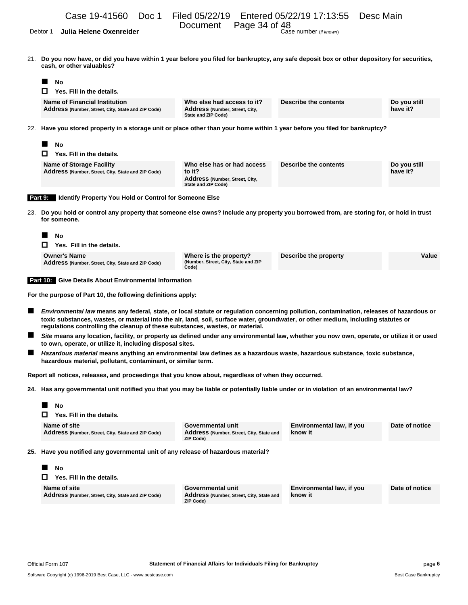Document Page 34 of 48<br>Debtor 1 **Julia Helene Oxenreider Case number** (*if known*)

21. **Do you now have, or did you have within 1 year before you filed for bankruptcy, any safe deposit box or other depository for securities, cash, or other valuables?**

|     | No<br>Yes. Fill in the details.<br>ш                                                                                                                                                                                                                                                                                                                            |                                                                                                      |                                      |                          |
|-----|-----------------------------------------------------------------------------------------------------------------------------------------------------------------------------------------------------------------------------------------------------------------------------------------------------------------------------------------------------------------|------------------------------------------------------------------------------------------------------|--------------------------------------|--------------------------|
|     | <b>Name of Financial Institution</b><br>Address (Number, Street, City, State and ZIP Code)                                                                                                                                                                                                                                                                      | Who else had access to it?<br>Address (Number, Street, City,<br><b>State and ZIP Code)</b>           | Describe the contents                | Do you still<br>have it? |
|     | 22. Have you stored property in a storage unit or place other than your home within 1 year before you filed for bankruptcy?                                                                                                                                                                                                                                     |                                                                                                      |                                      |                          |
|     | No<br>Yes. Fill in the details.<br>П                                                                                                                                                                                                                                                                                                                            |                                                                                                      |                                      |                          |
|     | <b>Name of Storage Facility</b><br>Address (Number, Street, City, State and ZIP Code)                                                                                                                                                                                                                                                                           | Who else has or had access<br>to it?<br>Address (Number, Street, City,<br><b>State and ZIP Code)</b> | <b>Describe the contents</b>         | Do you still<br>have it? |
|     | Identify Property You Hold or Control for Someone Else<br>Part 9:                                                                                                                                                                                                                                                                                               |                                                                                                      |                                      |                          |
| 23. | Do you hold or control any property that someone else owns? Include any property you borrowed from, are storing for, or hold in trust<br>for someone.                                                                                                                                                                                                           |                                                                                                      |                                      |                          |
|     | No<br>Yes. Fill in the details.<br>П                                                                                                                                                                                                                                                                                                                            |                                                                                                      |                                      |                          |
|     | <b>Owner's Name</b><br>Address (Number, Street, City, State and ZIP Code)                                                                                                                                                                                                                                                                                       | Where is the property?<br>(Number, Street, City, State and ZIP<br>Code)                              | Describe the property                | Value                    |
|     | <b>Part 10: Give Details About Environmental Information</b>                                                                                                                                                                                                                                                                                                    |                                                                                                      |                                      |                          |
|     | For the purpose of Part 10, the following definitions apply:                                                                                                                                                                                                                                                                                                    |                                                                                                      |                                      |                          |
| Ш   | Environmental law means any federal, state, or local statute or regulation concerning pollution, contamination, releases of hazardous or<br>toxic substances, wastes, or material into the air, land, soil, surface water, groundwater, or other medium, including statutes or<br>regulations controlling the cleanup of these substances, wastes, or material. |                                                                                                      |                                      |                          |
| H   | Site means any location, facility, or property as defined under any environmental law, whether you now own, operate, or utilize it or used<br>to own, operate, or utilize it, including disposal sites.                                                                                                                                                         |                                                                                                      |                                      |                          |
| E   | Hazardous material means anything an environmental law defines as a hazardous waste, hazardous substance, toxic substance,<br>hazardous material, pollutant, contaminant, or similar term.                                                                                                                                                                      |                                                                                                      |                                      |                          |
|     | Report all notices, releases, and proceedings that you know about, regardless of when they occurred.                                                                                                                                                                                                                                                            |                                                                                                      |                                      |                          |
|     | 24. Has any governmental unit notified you that you may be liable or potentially liable under or in violation of an environmental law?                                                                                                                                                                                                                          |                                                                                                      |                                      |                          |
|     | No<br>Yes. Fill in the details.                                                                                                                                                                                                                                                                                                                                 |                                                                                                      |                                      |                          |
|     | Name of site<br>Address (Number, Street, City, State and ZIP Code)                                                                                                                                                                                                                                                                                              | Governmental unit<br>Address (Number, Street, City, State and<br>ZIP Code)                           | Environmental law, if you<br>know it | Date of notice           |
| 25. | Have you notified any governmental unit of any release of hazardous material?                                                                                                                                                                                                                                                                                   |                                                                                                      |                                      |                          |
|     | <b>No</b><br>$\Box$<br>Yes. Fill in the details.                                                                                                                                                                                                                                                                                                                |                                                                                                      |                                      |                          |

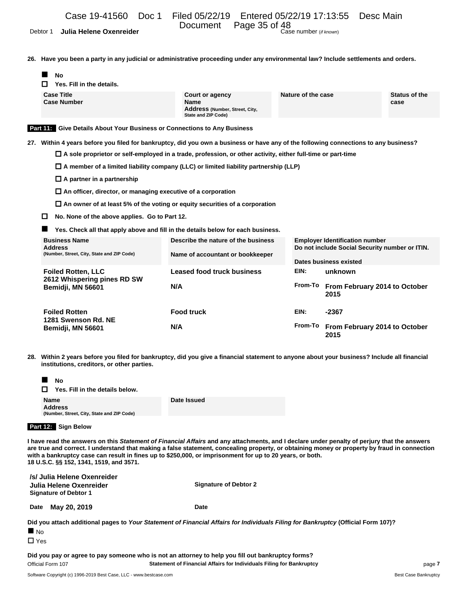Document Page 35 of 48<br>Debtor 1 **Julia Helene Oxenreider Case number** (*if known*)

**26. Have you been a party in any judicial or administrative proceeding under any environmental law? Include settlements and orders.**

| Trave you been a party in any judicial or administrative proceeding under any environmental law: include settlements and |   |                                                                                                                                                                                           |                                                                                                |                                                  |                                                |                                       |                              |  |  |  |  |
|--------------------------------------------------------------------------------------------------------------------------|---|-------------------------------------------------------------------------------------------------------------------------------------------------------------------------------------------|------------------------------------------------------------------------------------------------|--------------------------------------------------|------------------------------------------------|---------------------------------------|------------------------------|--|--|--|--|
|                                                                                                                          |   | <b>No</b><br>Yes. Fill in the details.                                                                                                                                                    |                                                                                                |                                                  |                                                |                                       |                              |  |  |  |  |
|                                                                                                                          |   | <b>Case Title</b><br><b>Case Number</b>                                                                                                                                                   | Court or agency<br><b>Name</b><br>Address (Number, Street, City,<br><b>State and ZIP Code)</b> |                                                  | Nature of the case                             |                                       | <b>Status of the</b><br>case |  |  |  |  |
|                                                                                                                          |   | Part 11: Give Details About Your Business or Connections to Any Business                                                                                                                  |                                                                                                |                                                  |                                                |                                       |                              |  |  |  |  |
|                                                                                                                          |   | 27. Within 4 years before you filed for bankruptcy, did you own a business or have any of the following connections to any business?                                                      |                                                                                                |                                                  |                                                |                                       |                              |  |  |  |  |
|                                                                                                                          |   | $\Box$ A sole proprietor or self-employed in a trade, profession, or other activity, either full-time or part-time                                                                        |                                                                                                |                                                  |                                                |                                       |                              |  |  |  |  |
|                                                                                                                          |   | $\Box$ A member of a limited liability company (LLC) or limited liability partnership (LLP)                                                                                               |                                                                                                |                                                  |                                                |                                       |                              |  |  |  |  |
|                                                                                                                          |   | $\Box$ A partner in a partnership                                                                                                                                                         |                                                                                                |                                                  |                                                |                                       |                              |  |  |  |  |
|                                                                                                                          |   | $\Box$ An officer, director, or managing executive of a corporation                                                                                                                       |                                                                                                |                                                  |                                                |                                       |                              |  |  |  |  |
|                                                                                                                          |   | $\Box$ An owner of at least 5% of the voting or equity securities of a corporation                                                                                                        |                                                                                                |                                                  |                                                |                                       |                              |  |  |  |  |
|                                                                                                                          | □ | No. None of the above applies. Go to Part 12.                                                                                                                                             |                                                                                                |                                                  |                                                |                                       |                              |  |  |  |  |
|                                                                                                                          |   | Yes. Check all that apply above and fill in the details below for each business.                                                                                                          |                                                                                                |                                                  |                                                |                                       |                              |  |  |  |  |
|                                                                                                                          |   | <b>Business Name</b>                                                                                                                                                                      | Describe the nature of the business<br>Name of accountant or bookkeeper                        |                                                  | <b>Employer Identification number</b>          |                                       |                              |  |  |  |  |
|                                                                                                                          |   | <b>Address</b><br>(Number, Street, City, State and ZIP Code)                                                                                                                              |                                                                                                |                                                  | Do not include Social Security number or ITIN. |                                       |                              |  |  |  |  |
|                                                                                                                          |   |                                                                                                                                                                                           |                                                                                                |                                                  | Dates business existed                         |                                       |                              |  |  |  |  |
|                                                                                                                          |   | <b>Foiled Rotten, LLC</b><br>2612 Whispering pines RD SW                                                                                                                                  | <b>Leased food truck business</b>                                                              |                                                  | EIN:                                           | unknown                               |                              |  |  |  |  |
|                                                                                                                          |   | Bemidji, MN 56601                                                                                                                                                                         | N/A                                                                                            |                                                  | From-To                                        | From February 2014 to October<br>2015 |                              |  |  |  |  |
|                                                                                                                          |   | <b>Foiled Rotten</b>                                                                                                                                                                      | <b>Food truck</b>                                                                              |                                                  | EIN:<br>-2367                                  |                                       |                              |  |  |  |  |
|                                                                                                                          |   | 1281 Swenson Rd. NE<br>Bemidji, MN 56601                                                                                                                                                  | N/A                                                                                            | From-To<br>From February 2014 to October<br>2015 |                                                |                                       |                              |  |  |  |  |
|                                                                                                                          |   | 28. Within 2 years before you filed for bankruptcy, did you give a financial statement to anyone about your business? Include all financial<br>institutions, creditors, or other parties. |                                                                                                |                                                  |                                                |                                       |                              |  |  |  |  |
|                                                                                                                          |   | <b>No</b>                                                                                                                                                                                 |                                                                                                |                                                  |                                                |                                       |                              |  |  |  |  |
|                                                                                                                          | ш | Yes. Fill in the details below.                                                                                                                                                           |                                                                                                |                                                  |                                                |                                       |                              |  |  |  |  |
|                                                                                                                          |   | Name<br><b>Address</b><br>(Number, Street, City, State and ZIP Code)                                                                                                                      | Date Issued                                                                                    |                                                  |                                                |                                       |                              |  |  |  |  |

#### **Part 12: Sign Below**

**I have read the answers on this** *Statement of Financial Affairs* **and any attachments, and I declare under penalty of perjury that the answers are true and correct. I understand that making a false statement, concealing property, or obtaining money or property by fraud in connection with a bankruptcy case can result in fines up to \$250,000, or imprisonment for up to 20 years, or both. 18 U.S.C. §§ 152, 1341, 1519, and 3571.**

| /s/ Julia Helene Oxenreider  |                              |
|------------------------------|------------------------------|
| Julia Helene Oxenreider      | <b>Signature of Debtor 2</b> |
| <b>Signature of Debtor 1</b> |                              |

**Date May 20, 2019 Date**

**Did you attach additional pages to** *Your Statement of Financial Affairs for Individuals Filing for Bankruptcy* **(Official Form 107)?**

 $N<sub>O</sub>$  $\Box$  Yes

**Did you pay or agree to pay someone who is not an attorney to help you fill out bankruptcy forms?** Official Form 107 **Statement of Financial Affairs for Individuals Filing for Bankruptcy** page **7**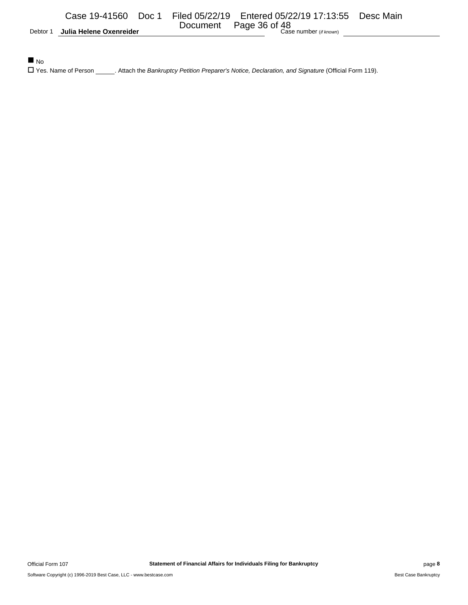Debtor 1 **Julia Helene Oxenreider Case 1 DOCUMENT** 

### $N<sub>O</sub>$

Yes. Name of Person . Attach the *Bankruptcy Petition Preparer's Notice, Declaration, and Signature* (Official Form 119).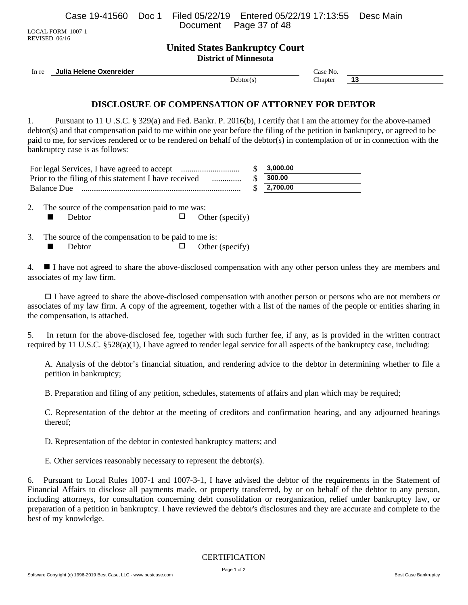LOCAL FORM 1007-1 REVISED 06/16

# **United States Bankruptcy Court**

**District of Minnesota**

In re **Julia Helene Oxenreider** Case No.<br>
Debtor(s) Case No.<br>
Chapter

Chapter **13** 

# **DISCLOSURE OF COMPENSATION OF ATTORNEY FOR DEBTOR**

1. Pursuant to 11 U .S.C. § 329(a) and Fed. Bankr. P. 2016(b), I certify that I am the attorney for the above-named debtor(s) and that compensation paid to me within one year before the filing of the petition in bankruptcy, or agreed to be paid to me, for services rendered or to be rendered on behalf of the debtor(s) in contemplation of or in connection with the bankruptcy case is as follows:

|                                                            | \$3,000.00 |
|------------------------------------------------------------|------------|
| Prior to the filing of this statement I have received<br>. | 300.00     |
| <b>Balance Due</b>                                         | \$2,700.00 |

2. The source of the compensation paid to me was: Debtor  $\Box$  Other (specify)

3. The source of the compensation to be paid to me is:

Debtor  $\Box$  Other (specify)

4. I have not agreed to share the above-disclosed compensation with any other person unless they are members and associates of my law firm.

 I have agreed to share the above-disclosed compensation with another person or persons who are not members or associates of my law firm. A copy of the agreement, together with a list of the names of the people or entities sharing in the compensation, is attached.

5. In return for the above-disclosed fee, together with such further fee, if any, as is provided in the written contract required by 11 U.S.C. §528(a)(1), I have agreed to render legal service for all aspects of the bankruptcy case, including:

A. Analysis of the debtor's financial situation, and rendering advice to the debtor in determining whether to file a petition in bankruptcy;

B. Preparation and filing of any petition, schedules, statements of affairs and plan which may be required;

C. Representation of the debtor at the meeting of creditors and confirmation hearing, and any adjourned hearings thereof;

D. Representation of the debtor in contested bankruptcy matters; and

E. Other services reasonably necessary to represent the debtor(s).

6. Pursuant to Local Rules 1007-1 and 1007-3-1, I have advised the debtor of the requirements in the Statement of Financial Affairs to disclose all payments made, or property transferred, by or on behalf of the debtor to any person, including attorneys, for consultation concerning debt consolidation or reorganization, relief under bankruptcy law, or preparation of a petition in bankruptcy. I have reviewed the debtor's disclosures and they are accurate and complete to the best of my knowledge.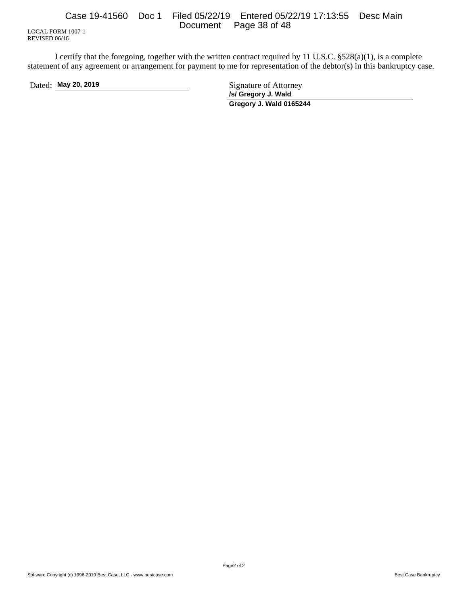LOCAL FORM 1007-1 REVISED 06/16

I certify that the foregoing, together with the written contract required by 11 U.S.C. §528(a)(1), is a complete statement of any agreement or arrangement for payment to me for representation of the debtor(s) in this bankruptcy case.

Dated: **May 20, 2019** Signature of Attorney **/s/ Gregory J. Wald Gregory J. Wald 0165244**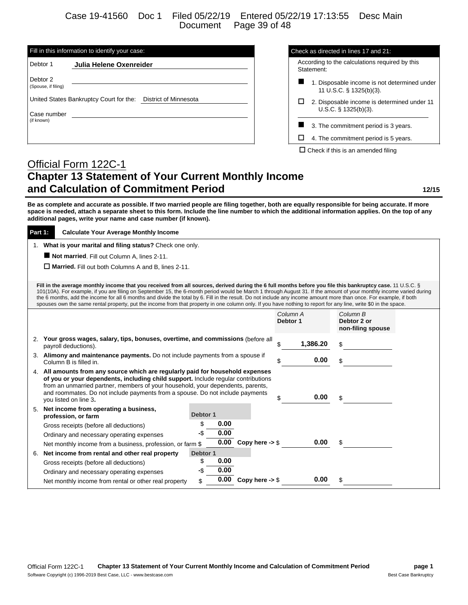Case 19-41560 Doc 1 Filed 05/22/19 Entered 05/22/19 17:13:55 Desc Main Document Page 39 of 48

|                                 | Fill in this information to identify your case:                  | Check as directed in lines 17 and 21:                        |
|---------------------------------|------------------------------------------------------------------|--------------------------------------------------------------|
| Debtor 1                        | Julia Helene Oxenreider                                          | According to the calculations requi<br>Statement:            |
| Debtor 2<br>(Spouse, if filing) |                                                                  | 1. Disposable income is not d<br>11 U.S.C. § 1325(b)(3).     |
| Case number                     | United States Bankruptcy Court for the:<br>District of Minnesota | 2. Disposable income is deter<br>ப<br>$U.S.C.$ § 1325(b)(3). |
| (if known)                      |                                                                  | 3. The commitment period is                                  |
|                                 |                                                                  | 4. The commitment period is                                  |

| Check as directed in lines 17 and 21:                        |                                                                         |  |  |  |  |  |
|--------------------------------------------------------------|-------------------------------------------------------------------------|--|--|--|--|--|
| According to the calculations required by this<br>Statement: |                                                                         |  |  |  |  |  |
|                                                              | 1. Disposable income is not determined under<br>11 U.S.C. § 1325(b)(3). |  |  |  |  |  |
| ப                                                            | 2. Disposable income is determined under 11<br>$U.S.C.$ § 1325(b)(3).   |  |  |  |  |  |
|                                                              | 3. The commitment period is 3 years.                                    |  |  |  |  |  |
|                                                              | 4. The commitment period is 5 years.                                    |  |  |  |  |  |

 $\square$  Check if this is an amended filing

# Official Form 122C-1 **Chapter 13 Statement of Your Current Monthly Income and Calculation of Commitment Period 12/15**

**Be as complete and accurate as possible. If two married people are filing together, both are equally responsible for being accurate. If more space is needed, attach a separate sheet to this form. Include the line number to which the additional information applies. On the top of any additional pages, write your name and case number (if known).**

| Part 1: | <b>Calculate Your Average Monthly Income</b>                                                                                                                                                                                                                                                                                                                                                                                                                                                                                                                                                                                                                              |          |      |                                 |                      |          |                                              |  |
|---------|---------------------------------------------------------------------------------------------------------------------------------------------------------------------------------------------------------------------------------------------------------------------------------------------------------------------------------------------------------------------------------------------------------------------------------------------------------------------------------------------------------------------------------------------------------------------------------------------------------------------------------------------------------------------------|----------|------|---------------------------------|----------------------|----------|----------------------------------------------|--|
|         | 1. What is your marital and filing status? Check one only.                                                                                                                                                                                                                                                                                                                                                                                                                                                                                                                                                                                                                |          |      |                                 |                      |          |                                              |  |
|         | Not married. Fill out Column A. lines 2-11.                                                                                                                                                                                                                                                                                                                                                                                                                                                                                                                                                                                                                               |          |      |                                 |                      |          |                                              |  |
|         | $\Box$ Married. Fill out both Columns A and B, lines 2-11.                                                                                                                                                                                                                                                                                                                                                                                                                                                                                                                                                                                                                |          |      |                                 |                      |          |                                              |  |
|         | Fill in the average monthly income that you received from all sources, derived during the 6 full months before you file this bankruptcy case. 11 U.S.C. §<br>101(10A). For example, if you are filing on September 15, the 6-month period would be March 1 through August 31. If the amount of your monthly income varied during<br>the 6 months, add the income for all 6 months and divide the total by 6. Fill in the result. Do not include any income amount more than once. For example, if both<br>spouses own the same rental property, put the income from that property in one column only. If you have nothing to report for any line, write \$0 in the space. |          |      |                                 |                      |          |                                              |  |
|         |                                                                                                                                                                                                                                                                                                                                                                                                                                                                                                                                                                                                                                                                           |          |      |                                 | Column A<br>Debtor 1 |          | Column B<br>Debtor 2 or<br>non-filing spouse |  |
|         | 2. Your gross wages, salary, tips, bonuses, overtime, and commissions (before all<br>payroll deductions).                                                                                                                                                                                                                                                                                                                                                                                                                                                                                                                                                                 |          |      |                                 | \$                   | 1,386.20 | \$                                           |  |
|         | 3. Alimony and maintenance payments. Do not include payments from a spouse if<br>Column B is filled in.                                                                                                                                                                                                                                                                                                                                                                                                                                                                                                                                                                   |          |      |                                 | \$.                  | 0.00     | \$                                           |  |
|         | 4. All amounts from any source which are regularly paid for household expenses<br>of you or your dependents, including child support. Include regular contributions<br>from an unmarried partner, members of your household, your dependents, parents,<br>and roommates. Do not include payments from a spouse. Do not include payments<br>you listed on line 3.                                                                                                                                                                                                                                                                                                          |          |      |                                 | \$                   | 0.00     | \$                                           |  |
|         | 5. Net income from operating a business,<br>profession, or farm                                                                                                                                                                                                                                                                                                                                                                                                                                                                                                                                                                                                           | Debtor 1 |      |                                 |                      |          |                                              |  |
|         | Gross receipts (before all deductions)                                                                                                                                                                                                                                                                                                                                                                                                                                                                                                                                                                                                                                    |          | 0.00 |                                 |                      |          |                                              |  |
|         | Ordinary and necessary operating expenses                                                                                                                                                                                                                                                                                                                                                                                                                                                                                                                                                                                                                                 | -\$      | 0.00 |                                 |                      |          |                                              |  |
|         | Net monthly income from a business, profession, or farm \$                                                                                                                                                                                                                                                                                                                                                                                                                                                                                                                                                                                                                |          |      | 0.00 Copy here $-$ \$           |                      | 0.00     | \$                                           |  |
| 6.      | Net income from rental and other real property                                                                                                                                                                                                                                                                                                                                                                                                                                                                                                                                                                                                                            | Debtor 1 |      |                                 |                      |          |                                              |  |
|         | Gross receipts (before all deductions)                                                                                                                                                                                                                                                                                                                                                                                                                                                                                                                                                                                                                                    | \$       | 0.00 |                                 |                      |          |                                              |  |
|         | Ordinary and necessary operating expenses                                                                                                                                                                                                                                                                                                                                                                                                                                                                                                                                                                                                                                 |          | 0.00 |                                 |                      |          |                                              |  |
|         | Net monthly income from rental or other real property                                                                                                                                                                                                                                                                                                                                                                                                                                                                                                                                                                                                                     | \$       |      | 0.00 Copy here $\rightarrow$ \$ |                      | 0.00     | \$.                                          |  |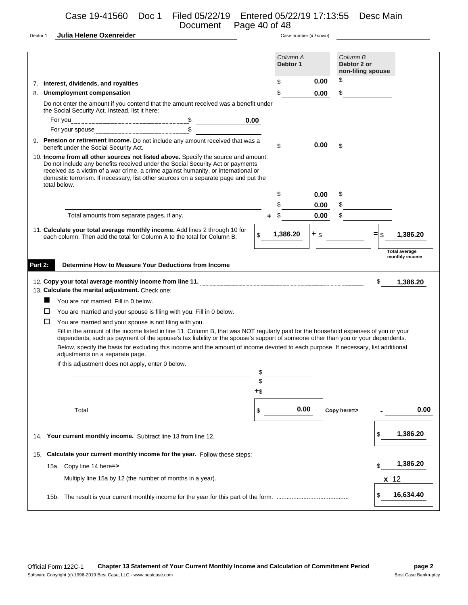| Debtor 1     |                                                   |                                                                                                                                                                                                                                                                        | Document Page 40 of 48 |            |                        |        |      |                                              |                |                                                    |
|--------------|---------------------------------------------------|------------------------------------------------------------------------------------------------------------------------------------------------------------------------------------------------------------------------------------------------------------------------|------------------------|------------|------------------------|--------|------|----------------------------------------------|----------------|----------------------------------------------------|
|              | Julia Helene Oxenreider                           |                                                                                                                                                                                                                                                                        |                        |            | Case number (if known) |        |      |                                              |                |                                                    |
|              |                                                   |                                                                                                                                                                                                                                                                        |                        |            | Column A<br>Debtor 1   |        |      | Column B<br>Debtor 2 or<br>non-filing spouse |                |                                                    |
|              | 7. Interest, dividends, and royalties             |                                                                                                                                                                                                                                                                        |                        |            | \$                     |        | 0.00 | \$                                           |                |                                                    |
|              | 8. Unemployment compensation                      |                                                                                                                                                                                                                                                                        |                        |            | \$                     |        | 0.00 | \$                                           |                |                                                    |
|              |                                                   | Do not enter the amount if you contend that the amount received was a benefit under                                                                                                                                                                                    |                        |            |                        |        |      |                                              |                |                                                    |
|              | the Social Security Act. Instead, list it here:   |                                                                                                                                                                                                                                                                        | 0.00                   |            |                        |        |      |                                              |                |                                                    |
|              |                                                   |                                                                                                                                                                                                                                                                        |                        |            |                        |        |      |                                              |                |                                                    |
|              |                                                   | 9. Pension or retirement income. Do not include any amount received that was a                                                                                                                                                                                         |                        |            | \$                     |        | 0.00 | \$                                           |                |                                                    |
|              | benefit under the Social Security Act.            | 10. Income from all other sources not listed above. Specify the source and amount.                                                                                                                                                                                     |                        |            |                        |        |      |                                              |                |                                                    |
| total below. |                                                   | Do not include any benefits received under the Social Security Act or payments<br>received as a victim of a war crime, a crime against humanity, or international or<br>domestic terrorism. If necessary, list other sources on a separate page and put the            |                        |            | \$                     |        | 0.00 | \$                                           |                |                                                    |
|              |                                                   |                                                                                                                                                                                                                                                                        |                        |            | \$                     |        | 0.00 |                                              |                |                                                    |
|              | Total amounts from separate pages, if any.        |                                                                                                                                                                                                                                                                        |                        |            | \$                     |        | 0.00 |                                              |                |                                                    |
| Part 2:      |                                                   | 11. Calculate your total average monthly income. Add lines 2 through 10 for<br>each column. Then add the total for Column A to the total for Column B.<br>Determine How to Measure Your Deductions from Income                                                         | \$                     |            | 1,386.20               | $+$ \$ |      |                                              | $=$ $\sqrt{s}$ | 1,386.20<br><b>Total average</b><br>monthly income |
|              |                                                   | 12. Copy your total average monthly income from line 11. <b>Communications</b> and an analyzing the state and an analyzing the state of the state and a state and a state of the state of the state of the state of the state of th                                    |                        |            |                        |        |      |                                              |                | 1,386.20                                           |
|              | 13. Calculate the marital adjustment. Check one:  |                                                                                                                                                                                                                                                                        |                        |            |                        |        |      |                                              |                |                                                    |
| ш            | You are not married. Fill in 0 below.             |                                                                                                                                                                                                                                                                        |                        |            |                        |        |      |                                              |                |                                                    |
|              |                                                   | You are married and your spouse is filing with you. Fill in 0 below.<br>You are married and your spouse is not filing with you.                                                                                                                                        |                        |            |                        |        |      |                                              |                |                                                    |
| □            |                                                   | Fill in the amount of the income listed in line 11, Column B, that was NOT regularly paid for the household expenses of you or your<br>dependents, such as payment of the spouse's tax liability or the spouse's support of someone other than you or your dependents. |                        |            |                        |        |      |                                              |                |                                                    |
| ш            |                                                   |                                                                                                                                                                                                                                                                        |                        |            |                        |        |      |                                              |                |                                                    |
|              | adjustments on a separate page.                   | Below, specify the basis for excluding this income and the amount of income devoted to each purpose. If necessary, list additional                                                                                                                                     |                        |            |                        |        |      |                                              |                |                                                    |
|              | If this adjustment does not apply, enter 0 below. | <u> 1989 - Johann Stein, mars an deutscher Stein und der Stein und der Stein und der Stein und der Stein und der</u>                                                                                                                                                   |                        |            |                        |        |      |                                              |                |                                                    |
|              |                                                   | <u> 1980 - Johann Barn, mars an t-Amerikaansk ferskeizh (</u>                                                                                                                                                                                                          |                        |            |                        |        |      |                                              |                |                                                    |
|              |                                                   |                                                                                                                                                                                                                                                                        |                        | $+$ \$ $-$ |                        |        |      |                                              |                |                                                    |
|              |                                                   |                                                                                                                                                                                                                                                                        |                        | S          | 0.00                   |        |      | Copy here=>                                  |                | 0.00                                               |

Multiply line 15a by 12 (the number of months in a year). **x** 12

15b. The result is your current monthly income for the year for this part of the form. ........................................... \$ **16,634.40**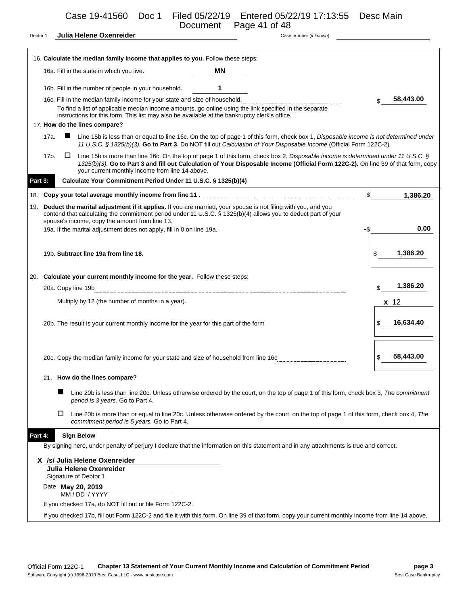| Debtor 1 |      |                    | Julia Helene Oxenreider                                                                                                                                                                                                                                                             | Document | Page 41 of 48<br>Case number (if known)                                                                                           |     |           |
|----------|------|--------------------|-------------------------------------------------------------------------------------------------------------------------------------------------------------------------------------------------------------------------------------------------------------------------------------|----------|-----------------------------------------------------------------------------------------------------------------------------------|-----|-----------|
|          |      |                    |                                                                                                                                                                                                                                                                                     |          |                                                                                                                                   |     |           |
|          |      |                    | 16. Calculate the median family income that applies to you. Follow these steps:                                                                                                                                                                                                     |          |                                                                                                                                   |     |           |
|          |      |                    | 16a. Fill in the state in which you live.                                                                                                                                                                                                                                           | ΜN       |                                                                                                                                   |     |           |
|          |      |                    | 16b. Fill in the number of people in your household.                                                                                                                                                                                                                                | 1        |                                                                                                                                   |     |           |
|          |      |                    | 16c. Fill in the median family income for your state and size of household.                                                                                                                                                                                                         |          |                                                                                                                                   |     | 58,443.00 |
|          |      |                    | To find a list of applicable median income amounts, go online using the link specified in the separate<br>instructions for this form. This list may also be available at the bankruptcy clerk's office.                                                                             |          |                                                                                                                                   |     |           |
|          |      |                    | 17. How do the lines compare?                                                                                                                                                                                                                                                       |          |                                                                                                                                   |     |           |
|          | 17a. |                    | Line 15b is less than or equal to line 16c. On the top of page 1 of this form, check box 1, Disposable income is not determined under                                                                                                                                               |          | 11 U.S.C. § 1325(b)(3). Go to Part 3. Do NOT fill out Calculation of Your Disposable Income (Official Form 122C-2).               |     |           |
|          | 17b. | ⊔                  | Line 15b is more than line 16c. On the top of page 1 of this form, check box 2, Disposable income is determined under 11 U.S.C. §<br>your current monthly income from line 14 above.                                                                                                |          | 1325(b)(3). Go to Part 3 and fill out Calculation of Your Disposable Income (Official Form 122C-2). On line 39 of that form, copy |     |           |
| Part 3:  |      |                    | Calculate Your Commitment Period Under 11 U.S.C. § 1325(b)(4)                                                                                                                                                                                                                       |          |                                                                                                                                   |     |           |
|          |      |                    | 18. Copy your total average monthly income from line 11.                                                                                                                                                                                                                            |          |                                                                                                                                   | \$  | 1,386.20  |
|          |      |                    | 19. Deduct the marital adjustment if it applies. If you are married, your spouse is not filing with you, and you<br>contend that calculating the commitment period under 11 U.S.C. § 1325(b)(4) allows you to deduct part of your<br>spouse's income, copy the amount from line 13. |          |                                                                                                                                   |     |           |
|          |      |                    | 19a. If the marital adjustment does not apply, fill in 0 on line 19a.                                                                                                                                                                                                               |          |                                                                                                                                   | -\$ | 0.00      |
|          |      |                    |                                                                                                                                                                                                                                                                                     |          |                                                                                                                                   |     |           |
|          |      |                    | 19b. Subtract line 19a from line 18.                                                                                                                                                                                                                                                |          |                                                                                                                                   | \$  | 1,386.20  |
|          |      |                    | 20. Calculate your current monthly income for the year. Follow these steps:                                                                                                                                                                                                         |          |                                                                                                                                   |     |           |
|          |      | 20a. Copy line 19b |                                                                                                                                                                                                                                                                                     |          |                                                                                                                                   |     | 1,386.20  |
|          |      |                    | Multiply by 12 (the number of months in a year).                                                                                                                                                                                                                                    |          |                                                                                                                                   |     | $x$ 12    |
|          |      |                    |                                                                                                                                                                                                                                                                                     |          |                                                                                                                                   |     |           |
|          |      |                    | 20b. The result is your current monthly income for the year for this part of the form                                                                                                                                                                                               |          |                                                                                                                                   | \$  | 16,634.40 |
|          |      |                    |                                                                                                                                                                                                                                                                                     |          |                                                                                                                                   |     |           |
|          |      |                    | 20c. Copy the median family income for your state and size of household from line 16c                                                                                                                                                                                               |          |                                                                                                                                   | \$  | 58,443.00 |
|          |      |                    |                                                                                                                                                                                                                                                                                     |          |                                                                                                                                   |     |           |
|          |      |                    | 21. How do the lines compare?                                                                                                                                                                                                                                                       |          |                                                                                                                                   |     |           |
|          |      |                    | Line 20b is less than line 20c. Unless otherwise ordered by the court, on the top of page 1 of this form, check box 3, The commitment<br>period is 3 years. Go to Part 4.                                                                                                           |          |                                                                                                                                   |     |           |
|          |      | □                  | Line 20b is more than or equal to line 20c. Unless otherwise ordered by the court, on the top of page 1 of this form, check box 4, The<br>commitment period is 5 years. Go to Part 4.                                                                                               |          |                                                                                                                                   |     |           |
| Part 4:  |      |                    | <b>Sign Below</b>                                                                                                                                                                                                                                                                   |          |                                                                                                                                   |     |           |
|          |      |                    | By signing here, under penalty of perjury I declare that the information on this statement and in any attachments is true and correct.                                                                                                                                              |          |                                                                                                                                   |     |           |
|          |      |                    | X /s/ Julia Helene Oxenreider                                                                                                                                                                                                                                                       |          |                                                                                                                                   |     |           |
|          |      |                    | Julia Helene Oxenreider<br>Signature of Debtor 1                                                                                                                                                                                                                                    |          |                                                                                                                                   |     |           |
|          |      |                    | Date May 20, 2019                                                                                                                                                                                                                                                                   |          |                                                                                                                                   |     |           |
|          |      |                    | MM / DD / YYYY<br>If you checked 17a, do NOT fill out or file Form 122C-2.                                                                                                                                                                                                          |          |                                                                                                                                   |     |           |
|          |      |                    | If you checked 17b, fill out Form 122C-2 and file it with this form. On line 39 of that form, copy your current monthly income from line 14 above.                                                                                                                                  |          |                                                                                                                                   |     |           |
|          |      |                    |                                                                                                                                                                                                                                                                                     |          |                                                                                                                                   |     |           |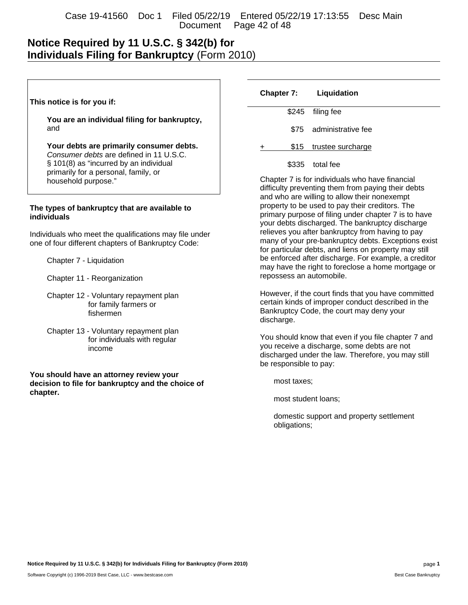# **Notice Required by 11 U.S.C. § 342(b) for Individuals Filing for Bankruptcy** (Form 2010)

### **This notice is for you if:**

**You are an individual filing for bankruptcy,** and

**Your debts are primarily consumer debts.** *Consumer debts* are defined in 11 U.S.C. § 101(8) as "incurred by an individual primarily for a personal, family, or household purpose."

### **The types of bankruptcy that are available to individuals**

Individuals who meet the qualifications may file under one of four different chapters of Bankruptcy Code:

Chapter 7 - Liquidation

- Chapter 11 Reorganization
- Chapter 12 Voluntary repayment plan for family farmers or fishermen
- Chapter 13 Voluntary repayment plan for individuals with regular income

### **You should have an attorney review your decision to file for bankruptcy and the choice of chapter.**

# **Chapter 7: Liquidation**

|   | \$245 filing fee        |
|---|-------------------------|
|   | \$75 administrative fee |
| ÷ | \$15 trustee surcharge  |

\$335 total fee

Chapter 7 is for individuals who have financial difficulty preventing them from paying their debts and who are willing to allow their nonexempt property to be used to pay their creditors. The primary purpose of filing under chapter 7 is to have your debts discharged. The bankruptcy discharge relieves you after bankruptcy from having to pay many of your pre-bankruptcy debts. Exceptions exist for particular debts, and liens on property may still be enforced after discharge. For example, a creditor may have the right to foreclose a home mortgage or repossess an automobile.

However, if the court finds that you have committed certain kinds of improper conduct described in the Bankruptcy Code, the court may deny your discharge.

You should know that even if you file chapter 7 and you receive a discharge, some debts are not discharged under the law. Therefore, you may still be responsible to pay:

most taxes;

most student loans;

domestic support and property settlement obligations;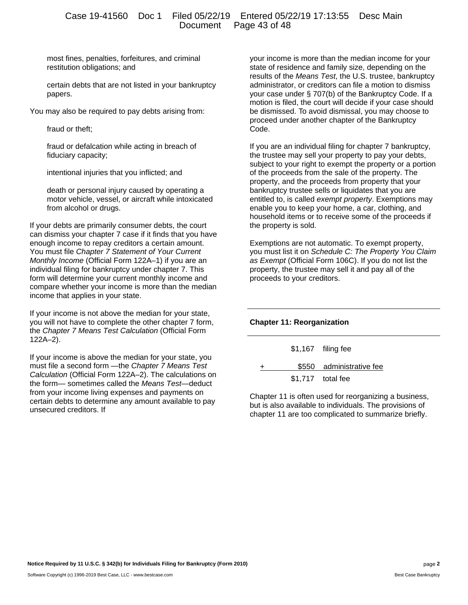### Case 19-41560 Doc 1 Filed 05/22/19 Entered 05/22/19 17:13:55 Desc Main Document Page 43 of 48

most fines, penalties, forfeitures, and criminal restitution obligations; and

certain debts that are not listed in your bankruptcy papers.

You may also be required to pay debts arising from:

fraud or theft;

fraud or defalcation while acting in breach of fiduciary capacity;

intentional injuries that you inflicted; and

death or personal injury caused by operating a motor vehicle, vessel, or aircraft while intoxicated from alcohol or drugs.

If your debts are primarily consumer debts, the court can dismiss your chapter 7 case if it finds that you have enough income to repay creditors a certain amount. You must file *Chapter 7 Statement of Your Current Monthly Income* (Official Form 122A–1) if you are an individual filing for bankruptcy under chapter 7. This form will determine your current monthly income and compare whether your income is more than the median income that applies in your state.

If your income is not above the median for your state, you will not have to complete the other chapter 7 form, the *Chapter 7 Means Test Calculation* (Official Form 122A–2).

If your income is above the median for your state, you must file a second form —the *Chapter 7 Means Test Calculation* (Official Form 122A–2). The calculations on the form— sometimes called the *Means Test*—deduct from your income living expenses and payments on certain debts to determine any amount available to pay unsecured creditors. If

your income is more than the median income for your state of residence and family size, depending on the results of the *Means Test*, the U.S. trustee, bankruptcy administrator, or creditors can file a motion to dismiss your case under § 707(b) of the Bankruptcy Code. If a motion is filed, the court will decide if your case should be dismissed. To avoid dismissal, you may choose to proceed under another chapter of the Bankruptcy Code.

If you are an individual filing for chapter 7 bankruptcy, the trustee may sell your property to pay your debts, subject to your right to exempt the property or a portion of the proceeds from the sale of the property. The property, and the proceeds from property that your bankruptcy trustee sells or liquidates that you are entitled to, is called *exempt property*. Exemptions may enable you to keep your home, a car, clothing, and household items or to receive some of the proceeds if the property is sold.

Exemptions are not automatic. To exempt property, you must list it on *Schedule C: The Property You Claim as Exempt* (Official Form 106C). If you do not list the property, the trustee may sell it and pay all of the proceeds to your creditors.

### **Chapter 11: Reorganization**

|           | $$1,167$ filing fee      |
|-----------|--------------------------|
| $\ddot{}$ | \$550 administrative fee |
|           | $$1,717$ total fee       |

Chapter 11 is often used for reorganizing a business, but is also available to individuals. The provisions of chapter 11 are too complicated to summarize briefly.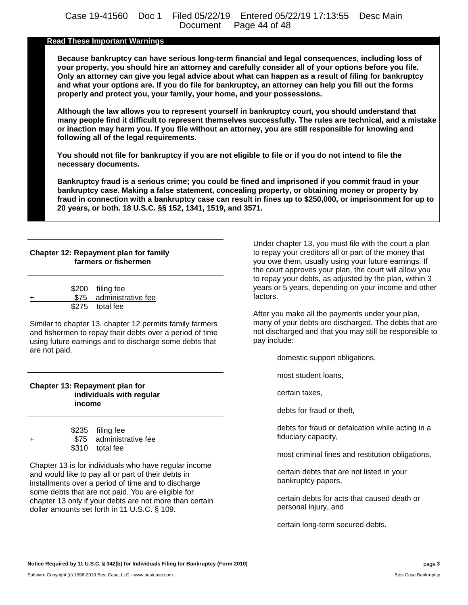### **Read These Important Warnings**

**Because bankruptcy can have serious long-term financial and legal consequences, including loss of your property, you should hire an attorney and carefully consider all of your options before you file. Only an attorney can give you legal advice about what can happen as a result of filing for bankruptcy and what your options are. If you do file for bankruptcy, an attorney can help you fill out the forms properly and protect you, your family, your home, and your possessions.**

**Although the law allows you to represent yourself in bankruptcy court, you should understand that many people find it difficult to represent themselves successfully. The rules are technical, and a mistake or inaction may harm you. If you file without an attorney, you are still responsible for knowing and following all of the legal requirements.**

**You should not file for bankruptcy if you are not eligible to file or if you do not intend to file the necessary documents.**

**Bankruptcy fraud is a serious crime; you could be fined and imprisoned if you commit fraud in your bankruptcy case. Making a false statement, concealing property, or obtaining money or property by fraud in connection with a bankruptcy case can result in fines up to \$250,000, or imprisonment for up to 20 years, or both. 18 U.S.C. §§ 152, 1341, 1519, and 3571.**

### **Chapter 12: Repayment plan for family farmers or fishermen**

|        | \$200 filing fee        |
|--------|-------------------------|
| $\div$ | \$75 administrative fee |
|        | \$275 total fee         |

Similar to chapter 13, chapter 12 permits family farmers and fishermen to repay their debts over a period of time using future earnings and to discharge some debts that are not paid.

### **Chapter 13: Repayment plan for individuals with regular income**

|     | \$235 filing fee        |
|-----|-------------------------|
| $+$ | \$75 administrative fee |
|     | \$310 total fee         |

Chapter 13 is for individuals who have regular income and would like to pay all or part of their debts in installments over a period of time and to discharge some debts that are not paid. You are eligible for chapter 13 only if your debts are not more than certain dollar amounts set forth in 11 U.S.C. § 109.

Under chapter 13, you must file with the court a plan to repay your creditors all or part of the money that you owe them, usually using your future earnings. If the court approves your plan, the court will allow you to repay your debts, as adjusted by the plan, within 3 years or 5 years, depending on your income and other factors.

After you make all the payments under your plan, many of your debts are discharged. The debts that are not discharged and that you may still be responsible to pay include:

domestic support obligations,

most student loans,

certain taxes,

debts for fraud or theft,

debts for fraud or defalcation while acting in a fiduciary capacity,

most criminal fines and restitution obligations,

certain debts that are not listed in your bankruptcy papers,

certain debts for acts that caused death or personal injury, and

certain long-term secured debts.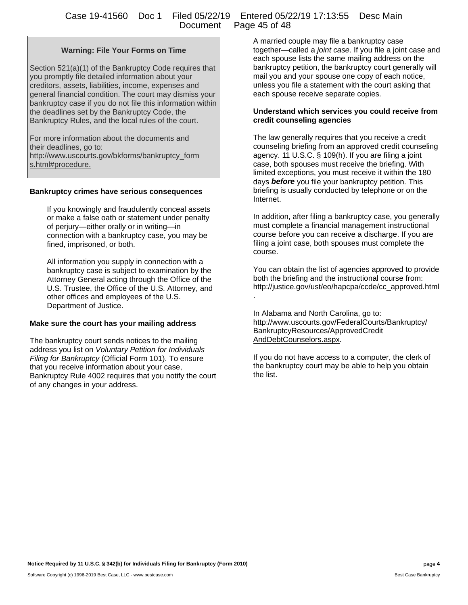.

# **Warning: File Your Forms on Time**

Section 521(a)(1) of the Bankruptcy Code requires that you promptly file detailed information about your creditors, assets, liabilities, income, expenses and general financial condition. The court may dismiss your bankruptcy case if you do not file this information within the deadlines set by the Bankruptcy Code, the Bankruptcy Rules, and the local rules of the court.

For more information about the documents and their deadlines, go to:

http://www.uscourts.gov/bkforms/bankruptcy\_form s.html#procedure.

# **Bankruptcy crimes have serious consequences**

If you knowingly and fraudulently conceal assets or make a false oath or statement under penalty of perjury—either orally or in writing—in connection with a bankruptcy case, you may be fined, imprisoned, or both.

All information you supply in connection with a bankruptcy case is subject to examination by the Attorney General acting through the Office of the U.S. Trustee, the Office of the U.S. Attorney, and other offices and employees of the U.S. Department of Justice.

### **Make sure the court has your mailing address**

The bankruptcy court sends notices to the mailing address you list on *Voluntary Petition for Individuals Filing for Bankruptcy* (Official Form 101). To ensure that you receive information about your case, Bankruptcy Rule 4002 requires that you notify the court of any changes in your address.

A married couple may file a bankruptcy case together—called a *joint case*. If you file a joint case and each spouse lists the same mailing address on the bankruptcy petition, the bankruptcy court generally will mail you and your spouse one copy of each notice, unless you file a statement with the court asking that each spouse receive separate copies.

### **Understand which services you could receive from credit counseling agencies**

The law generally requires that you receive a credit counseling briefing from an approved credit counseling agency. 11 U.S.C. § 109(h). If you are filing a joint case, both spouses must receive the briefing. With limited exceptions, you must receive it within the 180 days *before* you file your bankruptcy petition. This briefing is usually conducted by telephone or on the Internet.

In addition, after filing a bankruptcy case, you generally must complete a financial management instructional course before you can receive a discharge. If you are filing a joint case, both spouses must complete the course.

You can obtain the list of agencies approved to provide both the briefing and the instructional course from: http://justice.gov/ust/eo/hapcpa/ccde/cc\_approved.html

In Alabama and North Carolina, go to: http://www.uscourts.gov/FederalCourts/Bankruptcy/ BankruptcyResources/ApprovedCredit AndDebtCounselors.aspx.

If you do not have access to a computer, the clerk of the bankruptcy court may be able to help you obtain the list.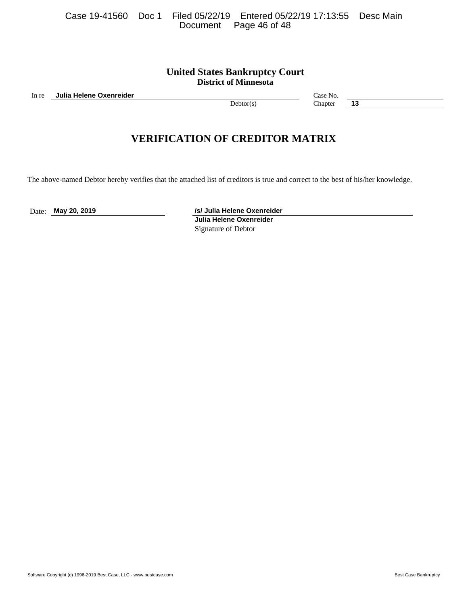## **United States Bankruptcy Court District of Minnesota**

In re **Julia Helene Oxenreider** Case No.

Debtor(s) Chapter **13** 

# **VERIFICATION OF CREDITOR MATRIX**

The above-named Debtor hereby verifies that the attached list of creditors is true and correct to the best of his/her knowledge.

Date: **May 20, 2019** */s/ Julia Helene Oxenreider* **Julia Helene Oxenreider** Signature of Debtor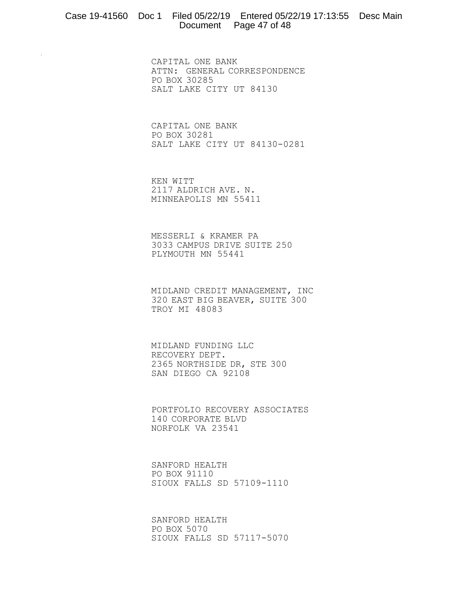### Case 19-41560 Doc 1 Filed 05/22/19 Entered 05/22/19 17:13:55 Desc Main Document Page 47 of 48

CAPITAL ONE BANK ATTN: GENERAL CORRESPONDENCE PO BOX 30285 SALT LAKE CITY UT 84130

CAPITAL ONE BANK PO BOX 30281 SALT LAKE CITY UT 84130-0281

KEN WITT 2117 ALDRICH AVE. N. MINNEAPOLIS MN 55411

MESSERLI & KRAMER PA 3033 CAMPUS DRIVE SUITE 250 PLYMOUTH MN 55441

MIDLAND CREDIT MANAGEMENT, INC 320 EAST BIG BEAVER, SUITE 300 TROY MI 48083

MIDLAND FUNDING LLC RECOVERY DEPT. 2365 NORTHSIDE DR, STE 300 SAN DIEGO CA 92108

PORTFOLIO RECOVERY ASSOCIATES 140 CORPORATE BLVD NORFOLK VA 23541

SANFORD HEALTH PO BOX 91110 SIOUX FALLS SD 57109-1110

SANFORD HEALTH PO BOX 5070 SIOUX FALLS SD 57117-5070